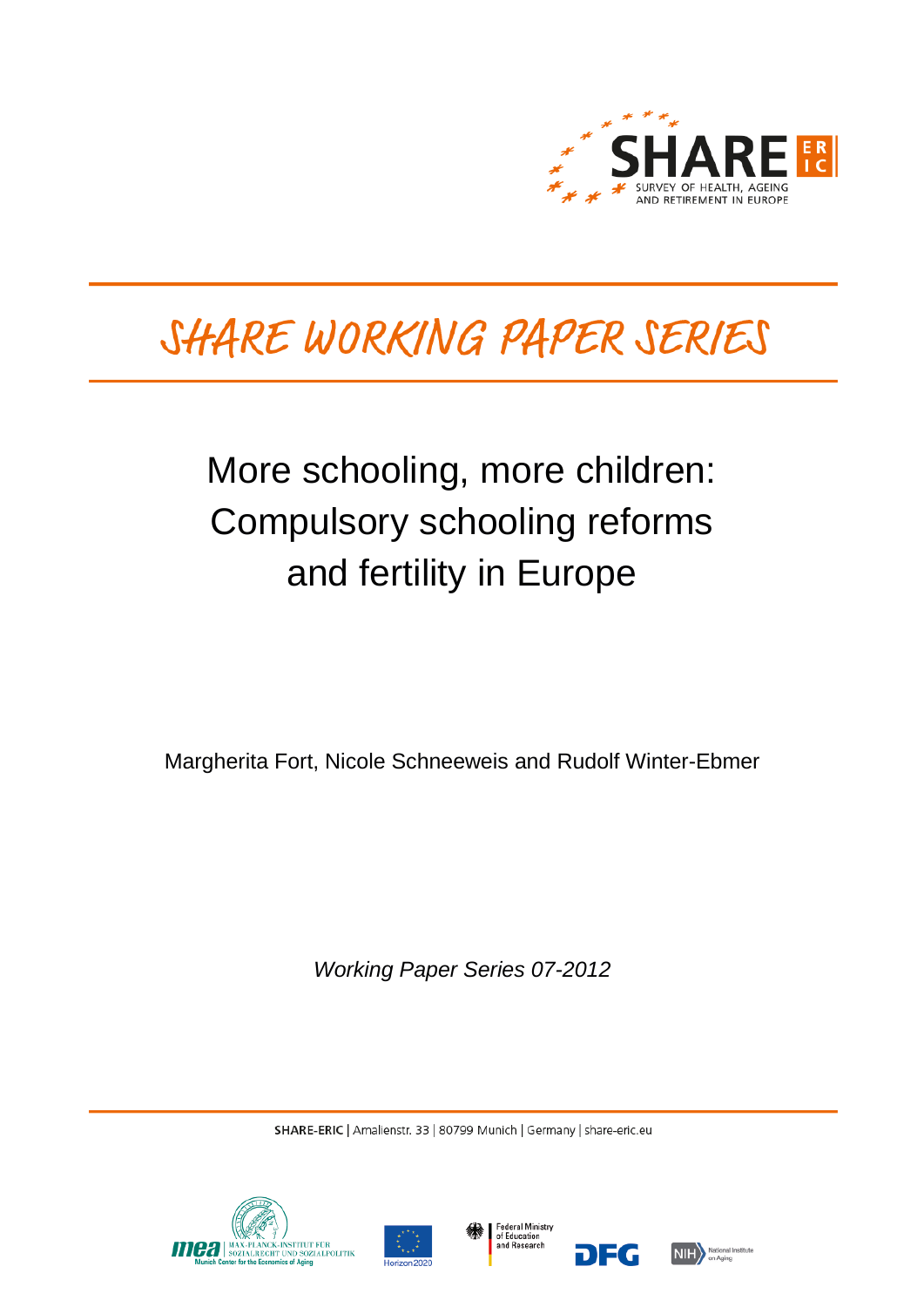

# SHARE WORKING PAPER SERIES

# More schooling, more children: Compulsory schooling reforms and fertility in Europe

Margherita Fort, Nicole Schneeweis and Rudolf Winter-Ebmer

*Working Paper Series 07-2012*

SHARE-ERIC | Amalienstr. 33 | 80799 Munich | Germany | share-eric.eu







DEG

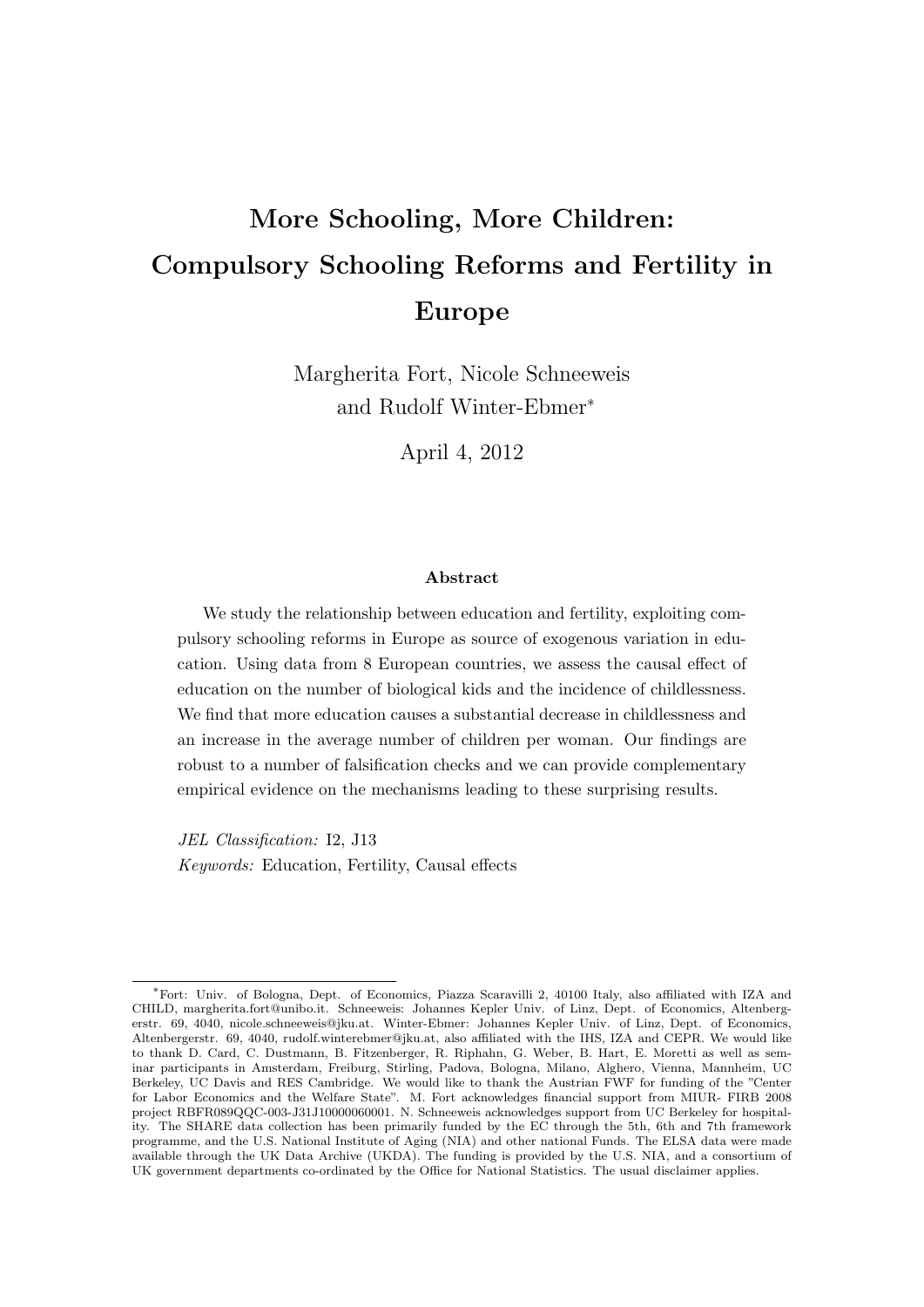## More Schooling, More Children: Compulsory Schooling Reforms and Fertility in Europe

Margherita Fort, Nicole Schneeweis and Rudolf Winter-Ebmer<sup>∗</sup>

April 4, 2012

#### Abstract

We study the relationship between education and fertility, exploiting compulsory schooling reforms in Europe as source of exogenous variation in education. Using data from 8 European countries, we assess the causal effect of education on the number of biological kids and the incidence of childlessness. We find that more education causes a substantial decrease in childlessness and an increase in the average number of children per woman. Our findings are robust to a number of falsification checks and we can provide complementary empirical evidence on the mechanisms leading to these surprising results.

JEL Classification: I2, J13 Keywords: Education, Fertility, Causal effects

<sup>∗</sup>Fort: Univ. of Bologna, Dept. of Economics, Piazza Scaravilli 2, 40100 Italy, also affiliated with IZA and CHILD, [margherita.fort@unibo.it.](mailto:margherita.fort@unibo.it) Schneeweis: Johannes Kepler Univ. of Linz, Dept. of Economics, Altenbergerstr. 69, 4040, [nicole.schneeweis@jku.at.](mailto:nicole.schneeweis@jku.at) Winter-Ebmer: Johannes Kepler Univ. of Linz, Dept. of Economics, Altenbergerstr. 69, 4040, [rudolf.winterebmer@jku.at,](mailto:rudolf.winterebmer@jku.at) also affiliated with the IHS, IZA and CEPR. We would like to thank D. Card, C. Dustmann, B. Fitzenberger, R. Riphahn, G. Weber, B. Hart, E. Moretti as well as seminar participants in Amsterdam, Freiburg, Stirling, Padova, Bologna, Milano, Alghero, Vienna, Mannheim, UC Berkeley, UC Davis and RES Cambridge. We would like to thank the Austrian FWF for funding of the "Center for Labor Economics and the Welfare State". M. Fort acknowledges financial support from MIUR- FIRB 2008 project RBFR089QQC-003-J31J10000060001. N. Schneeweis acknowledges support from UC Berkeley for hospitality. The SHARE data collection has been primarily funded by the EC through the 5th, 6th and 7th framework programme, and the U.S. National Institute of Aging (NIA) and other national Funds. The ELSA data were made available through the UK Data Archive (UKDA). The funding is provided by the U.S. NIA, and a consortium of UK government departments co-ordinated by the Office for National Statistics. The usual disclaimer applies.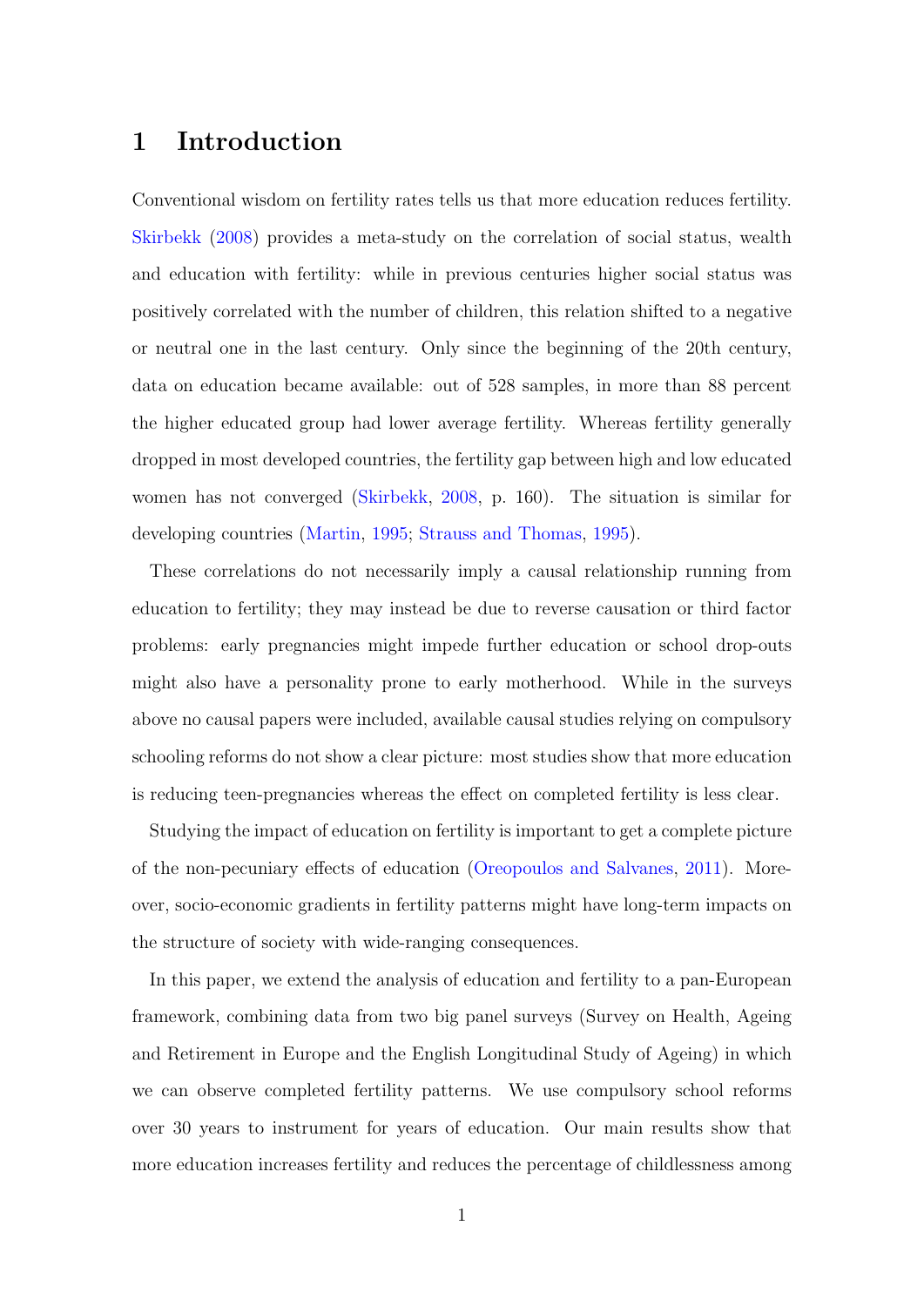## 1 Introduction

Conventional wisdom on fertility rates tells us that more education reduces fertility. [Skirbekk](#page-41-0) [\(2008\)](#page-41-0) provides a meta-study on the correlation of social status, wealth and education with fertility: while in previous centuries higher social status was positively correlated with the number of children, this relation shifted to a negative or neutral one in the last century. Only since the beginning of the 20th century, data on education became available: out of 528 samples, in more than 88 percent the higher educated group had lower average fertility. Whereas fertility generally dropped in most developed countries, the fertility gap between high and low educated women has not converged [\(Skirbekk,](#page-41-0) [2008,](#page-41-0) p. 160). The situation is similar for developing countries [\(Martin,](#page-40-0) [1995;](#page-40-0) [Strauss and Thomas,](#page-41-1) [1995\)](#page-41-1).

These correlations do not necessarily imply a causal relationship running from education to fertility; they may instead be due to reverse causation or third factor problems: early pregnancies might impede further education or school drop-outs might also have a personality prone to early motherhood. While in the surveys above no causal papers were included, available causal studies relying on compulsory schooling reforms do not show a clear picture: most studies show that more education is reducing teen-pregnancies whereas the effect on completed fertility is less clear.

Studying the impact of education on fertility is important to get a complete picture of the non-pecuniary effects of education [\(Oreopoulos and Salvanes,](#page-40-1) [2011\)](#page-40-1). Moreover, socio-economic gradients in fertility patterns might have long-term impacts on the structure of society with wide-ranging consequences.

In this paper, we extend the analysis of education and fertility to a pan-European framework, combining data from two big panel surveys (Survey on Health, Ageing and Retirement in Europe and the English Longitudinal Study of Ageing) in which we can observe completed fertility patterns. We use compulsory school reforms over 30 years to instrument for years of education. Our main results show that more education increases fertility and reduces the percentage of childlessness among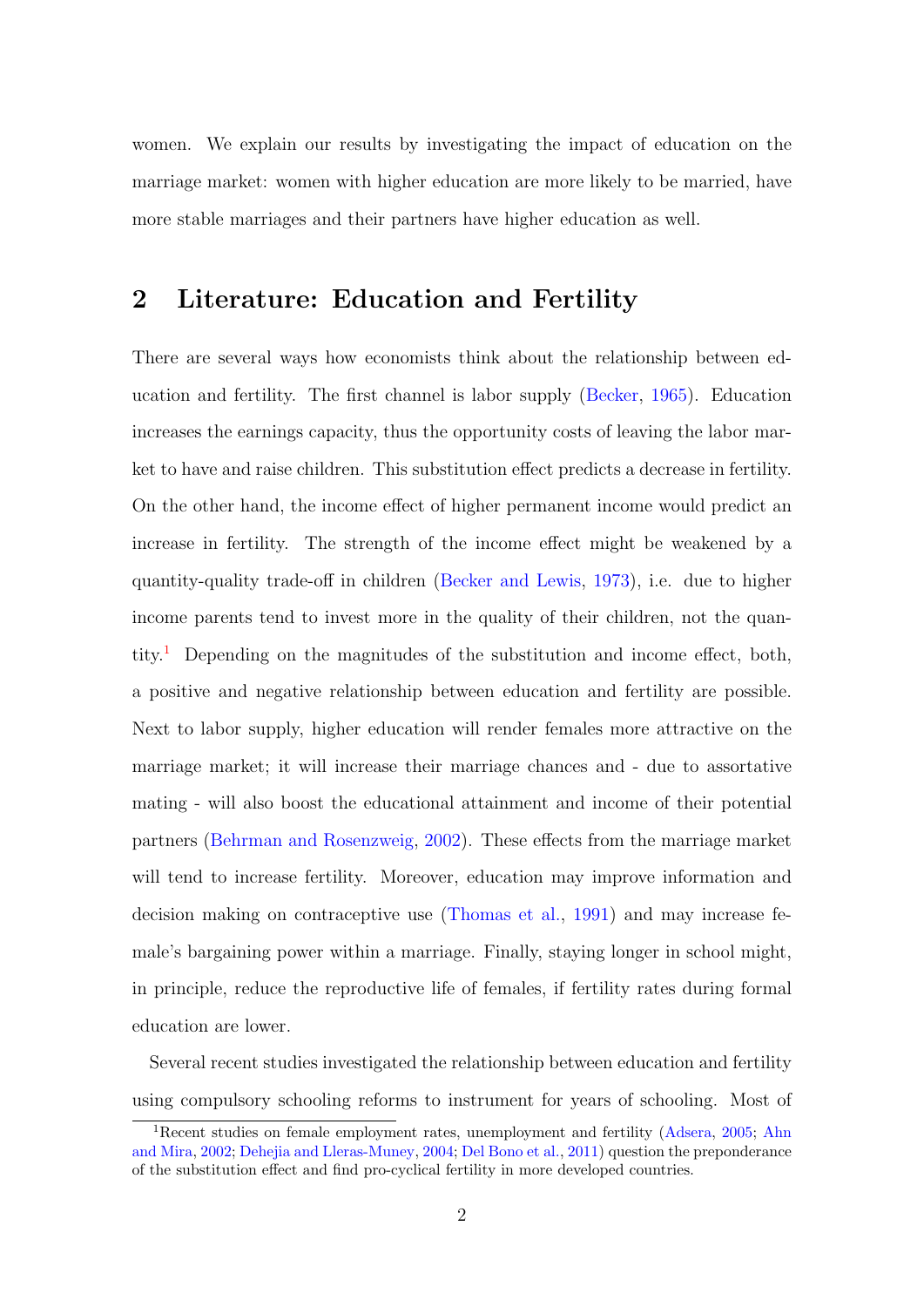women. We explain our results by investigating the impact of education on the marriage market: women with higher education are more likely to be married, have more stable marriages and their partners have higher education as well.

## 2 Literature: Education and Fertility

There are several ways how economists think about the relationship between education and fertility. The first channel is labor supply [\(Becker,](#page-37-0) [1965\)](#page-37-0). Education increases the earnings capacity, thus the opportunity costs of leaving the labor market to have and raise children. This substitution effect predicts a decrease in fertility. On the other hand, the income effect of higher permanent income would predict an increase in fertility. The strength of the income effect might be weakened by a quantity-quality trade-off in children [\(Becker and Lewis,](#page-37-1) [1973\)](#page-37-1), i.e. due to higher income parents tend to invest more in the quality of their children, not the quan-tity.<sup>[1](#page-3-0)</sup> Depending on the magnitudes of the substitution and income effect, both, a positive and negative relationship between education and fertility are possible. Next to labor supply, higher education will render females more attractive on the marriage market; it will increase their marriage chances and - due to assortative mating - will also boost the educational attainment and income of their potential partners [\(Behrman and Rosenzweig,](#page-37-2) [2002\)](#page-37-2). These effects from the marriage market will tend to increase fertility. Moreover, education may improve information and decision making on contraceptive use [\(Thomas et al.,](#page-41-2) [1991\)](#page-41-2) and may increase female's bargaining power within a marriage. Finally, staying longer in school might, in principle, reduce the reproductive life of females, if fertility rates during formal education are lower.

Several recent studies investigated the relationship between education and fertility using compulsory schooling reforms to instrument for years of schooling. Most of

<span id="page-3-0"></span><sup>&</sup>lt;sup>1</sup>Recent studies on female employment rates, unemployment and fertility [\(Adsera,](#page-37-3) [2005;](#page-37-3) [Ahn](#page-37-4) [and Mira,](#page-37-4) [2002;](#page-37-4) [Dehejia and Lleras-Muney,](#page-38-0) [2004;](#page-38-0) [Del Bono et al.,](#page-38-1) [2011\)](#page-38-1) question the preponderance of the substitution effect and find pro-cyclical fertility in more developed countries.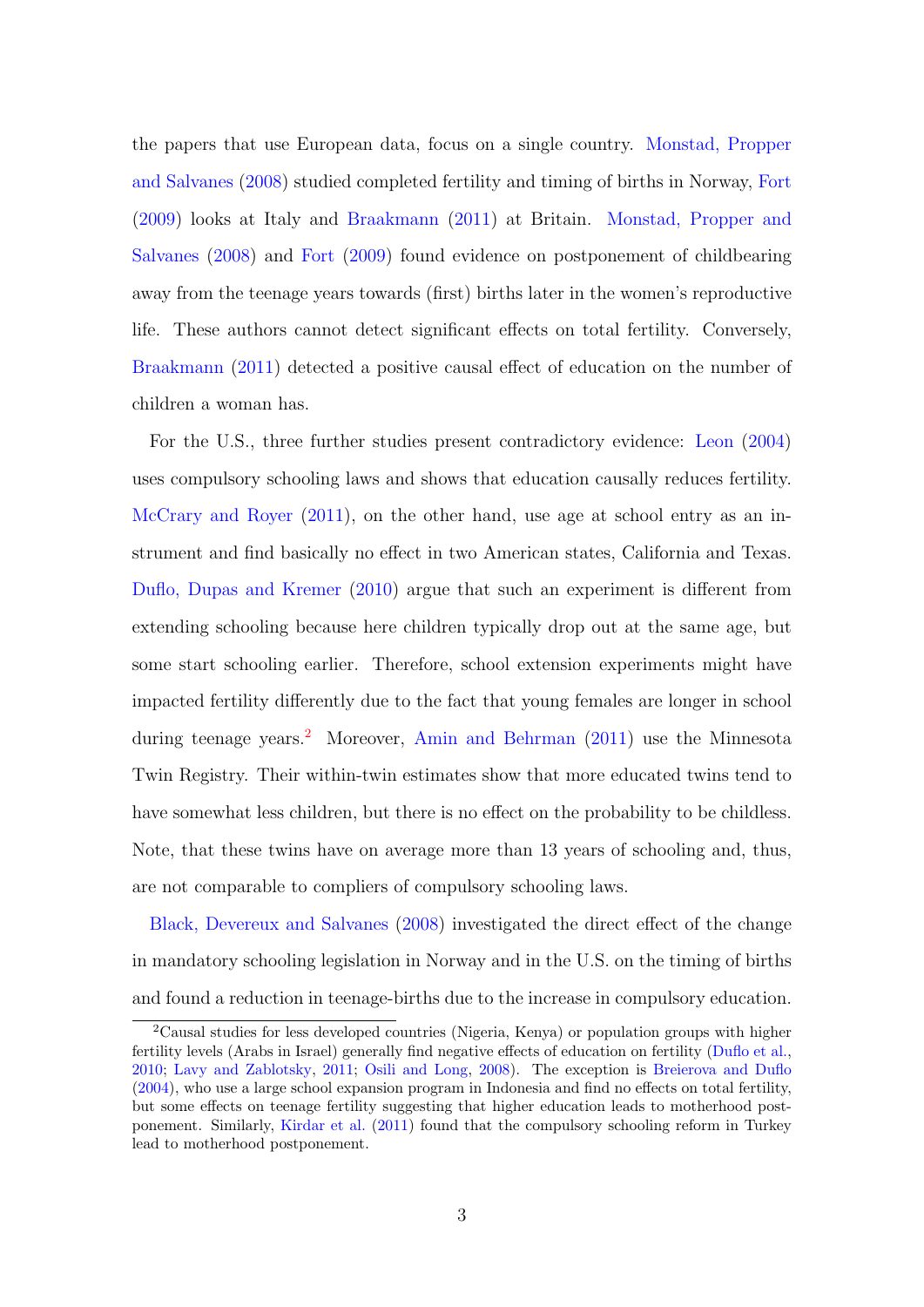the papers that use European data, focus on a single country. [Monstad, Propper](#page-40-2) [and Salvanes](#page-40-2) [\(2008\)](#page-40-2) studied completed fertility and timing of births in Norway, [Fort](#page-39-0) [\(2009\)](#page-39-0) looks at Italy and [Braakmann](#page-38-2) [\(2011\)](#page-38-2) at Britain. [Monstad, Propper and](#page-40-2) [Salvanes](#page-40-2) [\(2008\)](#page-40-2) and [Fort](#page-39-0) [\(2009\)](#page-39-0) found evidence on postponement of childbearing away from the teenage years towards (first) births later in the women's reproductive life. These authors cannot detect significant effects on total fertility. Conversely, [Braakmann](#page-38-2) [\(2011\)](#page-38-2) detected a positive causal effect of education on the number of children a woman has.

For the U.S., three further studies present contradictory evidence: [Leon](#page-40-3) [\(2004\)](#page-40-3) uses compulsory schooling laws and shows that education causally reduces fertility. [McCrary and Royer](#page-40-4)  $(2011)$ , on the other hand, use age at school entry as an instrument and find basically no effect in two American states, California and Texas. [Duflo, Dupas and Kremer](#page-39-1) [\(2010\)](#page-39-1) argue that such an experiment is different from extending schooling because here children typically drop out at the same age, but some start schooling earlier. Therefore, school extension experiments might have impacted fertility differently due to the fact that young females are longer in school during teenage years.<sup>[2](#page-4-0)</sup> Moreover, [Amin and Behrman](#page-37-5) [\(2011\)](#page-37-5) use the Minnesota Twin Registry. Their within-twin estimates show that more educated twins tend to have somewhat less children, but there is no effect on the probability to be childless. Note, that these twins have on average more than 13 years of schooling and, thus, are not comparable to compliers of compulsory schooling laws.

[Black, Devereux and Salvanes](#page-38-3) [\(2008\)](#page-38-3) investigated the direct effect of the change in mandatory schooling legislation in Norway and in the U.S. on the timing of births and found a reduction in teenage-births due to the increase in compulsory education.

<span id="page-4-0"></span><sup>2</sup>Causal studies for less developed countries (Nigeria, Kenya) or population groups with higher fertility levels (Arabs in Israel) generally find negative effects of education on fertility [\(Duflo et al.,](#page-39-1) [2010;](#page-39-1) [Lavy and Zablotsky,](#page-40-5) [2011;](#page-40-5) [Osili and Long,](#page-41-3) [2008\)](#page-41-3). The exception is [Breierova and Duflo](#page-38-4) [\(2004\)](#page-38-4), who use a large school expansion program in Indonesia and find no effects on total fertility, but some effects on teenage fertility suggesting that higher education leads to motherhood postponement. Similarly, [Kirdar et al.](#page-40-6) [\(2011\)](#page-40-6) found that the compulsory schooling reform in Turkey lead to motherhood postponement.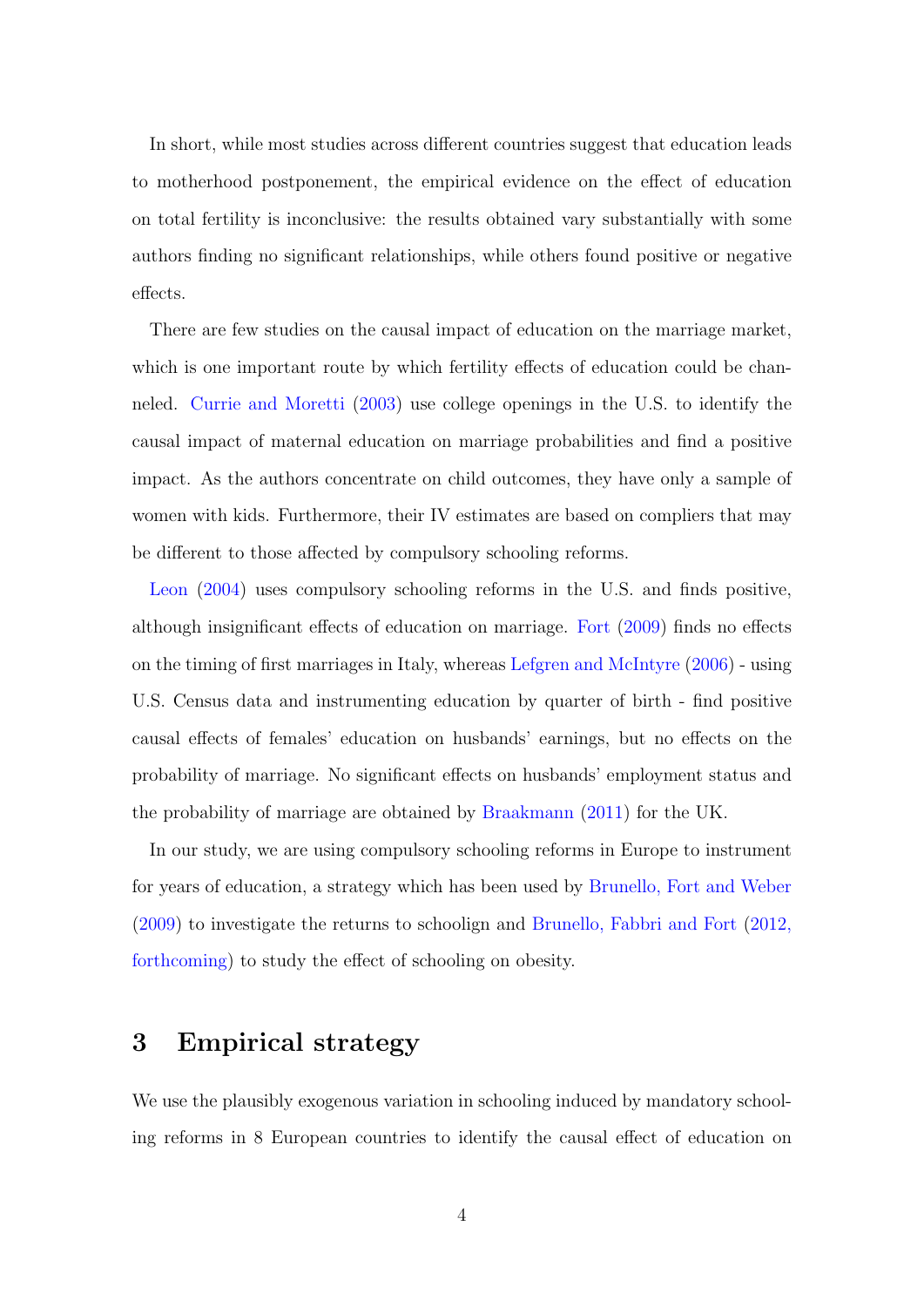In short, while most studies across different countries suggest that education leads to motherhood postponement, the empirical evidence on the effect of education on total fertility is inconclusive: the results obtained vary substantially with some authors finding no significant relationships, while others found positive or negative effects.

There are few studies on the causal impact of education on the marriage market, which is one important route by which fertility effects of education could be channeled. [Currie and Moretti](#page-38-5) [\(2003\)](#page-38-5) use college openings in the U.S. to identify the causal impact of maternal education on marriage probabilities and find a positive impact. As the authors concentrate on child outcomes, they have only a sample of women with kids. Furthermore, their IV estimates are based on compliers that may be different to those affected by compulsory schooling reforms.

[Leon](#page-40-3) [\(2004\)](#page-40-3) uses compulsory schooling reforms in the U.S. and finds positive, although insignificant effects of education on marriage. [Fort](#page-39-0) [\(2009\)](#page-39-0) finds no effects on the timing of first marriages in Italy, whereas [Lefgren and McIntyre](#page-40-7) [\(2006\)](#page-40-7) - using U.S. Census data and instrumenting education by quarter of birth - find positive causal effects of females' education on husbands' earnings, but no effects on the probability of marriage. No significant effects on husbands' employment status and the probability of marriage are obtained by [Braakmann](#page-38-2) [\(2011\)](#page-38-2) for the UK.

In our study, we are using compulsory schooling reforms in Europe to instrument for years of education, a strategy which has been used by [Brunello, Fort and Weber](#page-38-6) [\(2009\)](#page-38-6) to investigate the returns to schoolign and [Brunello, Fabbri and Fort](#page-38-7) [\(2012,](#page-38-7) [forthcoming\)](#page-38-7) to study the effect of schooling on obesity.

## 3 Empirical strategy

We use the plausibly exogenous variation in schooling induced by mandatory schooling reforms in 8 European countries to identify the causal effect of education on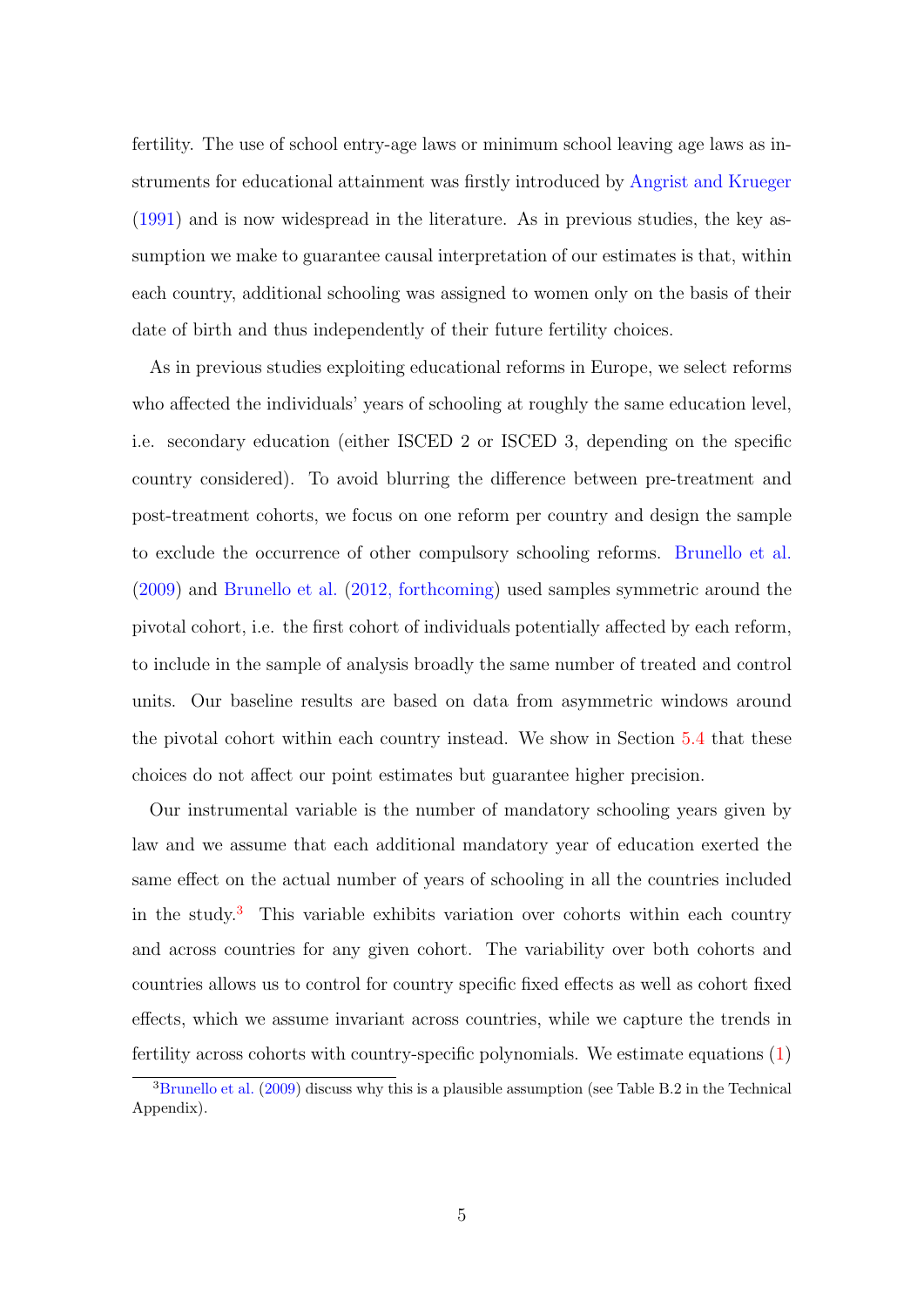fertility. The use of school entry-age laws or minimum school leaving age laws as instruments for educational attainment was firstly introduced by [Angrist and Krueger](#page-37-6) [\(1991\)](#page-37-6) and is now widespread in the literature. As in previous studies, the key assumption we make to guarantee causal interpretation of our estimates is that, within each country, additional schooling was assigned to women only on the basis of their date of birth and thus independently of their future fertility choices.

As in previous studies exploiting educational reforms in Europe, we select reforms who affected the individuals' years of schooling at roughly the same education level, i.e. secondary education (either ISCED 2 or ISCED 3, depending on the specific country considered). To avoid blurring the difference between pre-treatment and post-treatment cohorts, we focus on one reform per country and design the sample to exclude the occurrence of other compulsory schooling reforms. [Brunello et al.](#page-38-6) [\(2009\)](#page-38-6) and [Brunello et al.](#page-38-7) [\(2012, forthcoming\)](#page-38-7) used samples symmetric around the pivotal cohort, i.e. the first cohort of individuals potentially affected by each reform, to include in the sample of analysis broadly the same number of treated and control units. Our baseline results are based on data from asymmetric windows around the pivotal cohort within each country instead. We show in Section [5.4](#page-33-0) that these choices do not affect our point estimates but guarantee higher precision.

Our instrumental variable is the number of mandatory schooling years given by law and we assume that each additional mandatory year of education exerted the same effect on the actual number of years of schooling in all the countries included in the study.[3](#page-6-0) This variable exhibits variation over cohorts within each country and across countries for any given cohort. The variability over both cohorts and countries allows us to control for country specific fixed effects as well as cohort fixed effects, which we assume invariant across countries, while we capture the trends in fertility across cohorts with country-specific polynomials. We estimate equations [\(1\)](#page-7-0)

<span id="page-6-0"></span> $3B$ runello et al. [\(2009\)](#page-38-6) discuss why this is a plausible assumption (see Table B.2 in the Technical Appendix).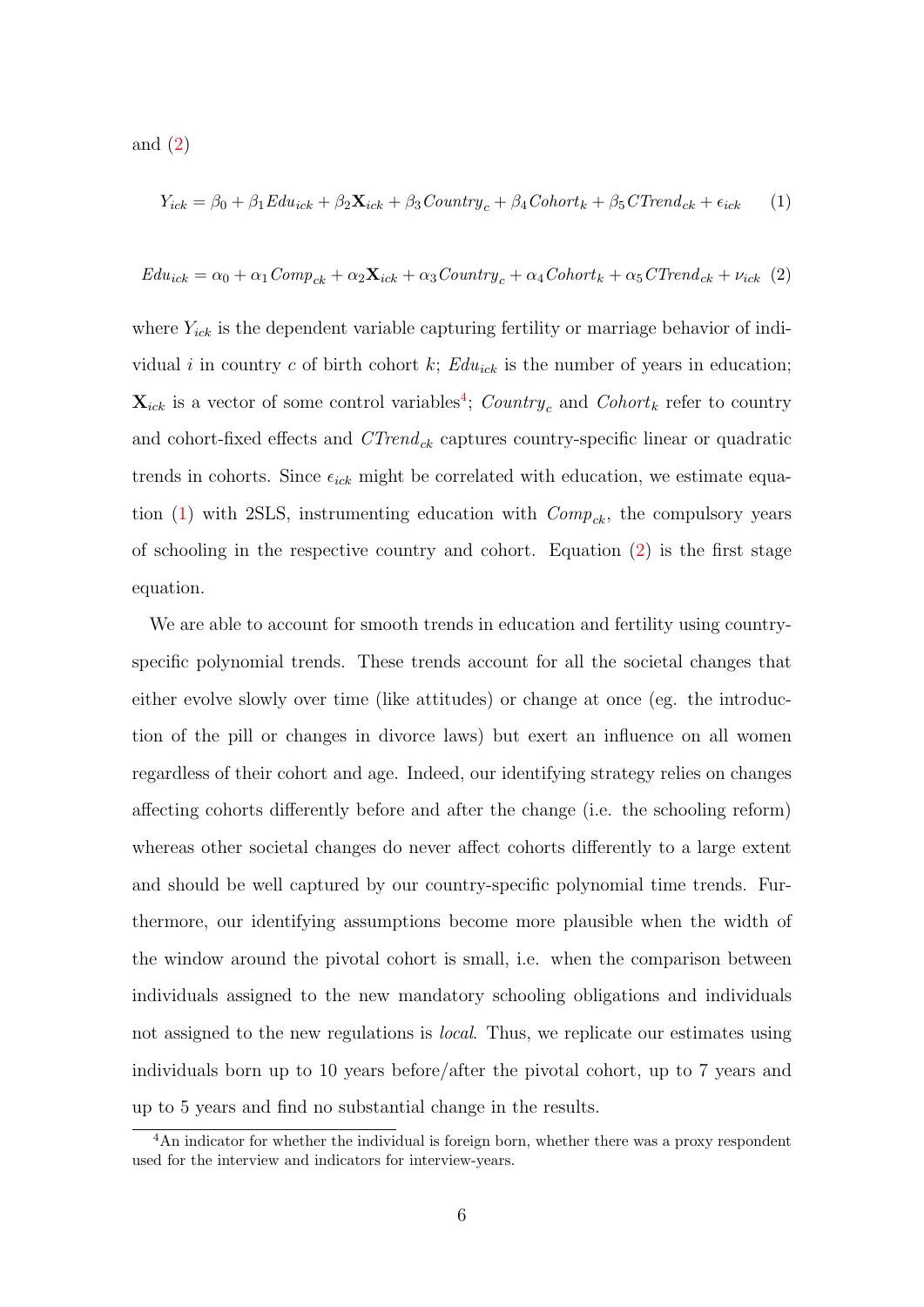and  $(2)$ 

<span id="page-7-0"></span>
$$
Y_{ick} = \beta_0 + \beta_1 E du_{ick} + \beta_2 \mathbf{X}_{ick} + \beta_3 Country_c + \beta_4 Cohort_k + \beta_5 C Trend_{ck} + \epsilon_{ick} \tag{1}
$$

<span id="page-7-1"></span>
$$
E du_{ick} = \alpha_0 + \alpha_1 Comp_{ck} + \alpha_2 \mathbf{X}_{ick} + \alpha_3 Country_c + \alpha_4 Cohort_k + \alpha_5 CTrend_{ck} + \nu_{ick} (2)
$$

where  $Y_{ick}$  is the dependent variable capturing fertility or marriage behavior of individual i in country c of birth cohort k;  $Edu_{ick}$  is the number of years in education;  $\mathbf{X}_{ick}$  is a vector of some control variables<sup>[4](#page-7-2)</sup>; Country<sub>c</sub> and Cohort<sub>k</sub> refer to country and cohort-fixed effects and  $CTrend_{ck}$  captures country-specific linear or quadratic trends in cohorts. Since  $\epsilon_{ick}$  might be correlated with education, we estimate equa-tion [\(1\)](#page-7-0) with 2SLS, instrumenting education with  $Comp_{ck}$ , the compulsory years of schooling in the respective country and cohort. Equation [\(2\)](#page-7-1) is the first stage equation.

We are able to account for smooth trends in education and fertility using countryspecific polynomial trends. These trends account for all the societal changes that either evolve slowly over time (like attitudes) or change at once (eg. the introduction of the pill or changes in divorce laws) but exert an influence on all women regardless of their cohort and age. Indeed, our identifying strategy relies on changes affecting cohorts differently before and after the change (i.e. the schooling reform) whereas other societal changes do never affect cohorts differently to a large extent and should be well captured by our country-specific polynomial time trends. Furthermore, our identifying assumptions become more plausible when the width of the window around the pivotal cohort is small, i.e. when the comparison between individuals assigned to the new mandatory schooling obligations and individuals not assigned to the new regulations is *local*. Thus, we replicate our estimates using individuals born up to 10 years before/after the pivotal cohort, up to 7 years and up to 5 years and find no substantial change in the results.

<span id="page-7-2"></span><sup>&</sup>lt;sup>4</sup>An indicator for whether the individual is foreign born, whether there was a proxy respondent used for the interview and indicators for interview-years.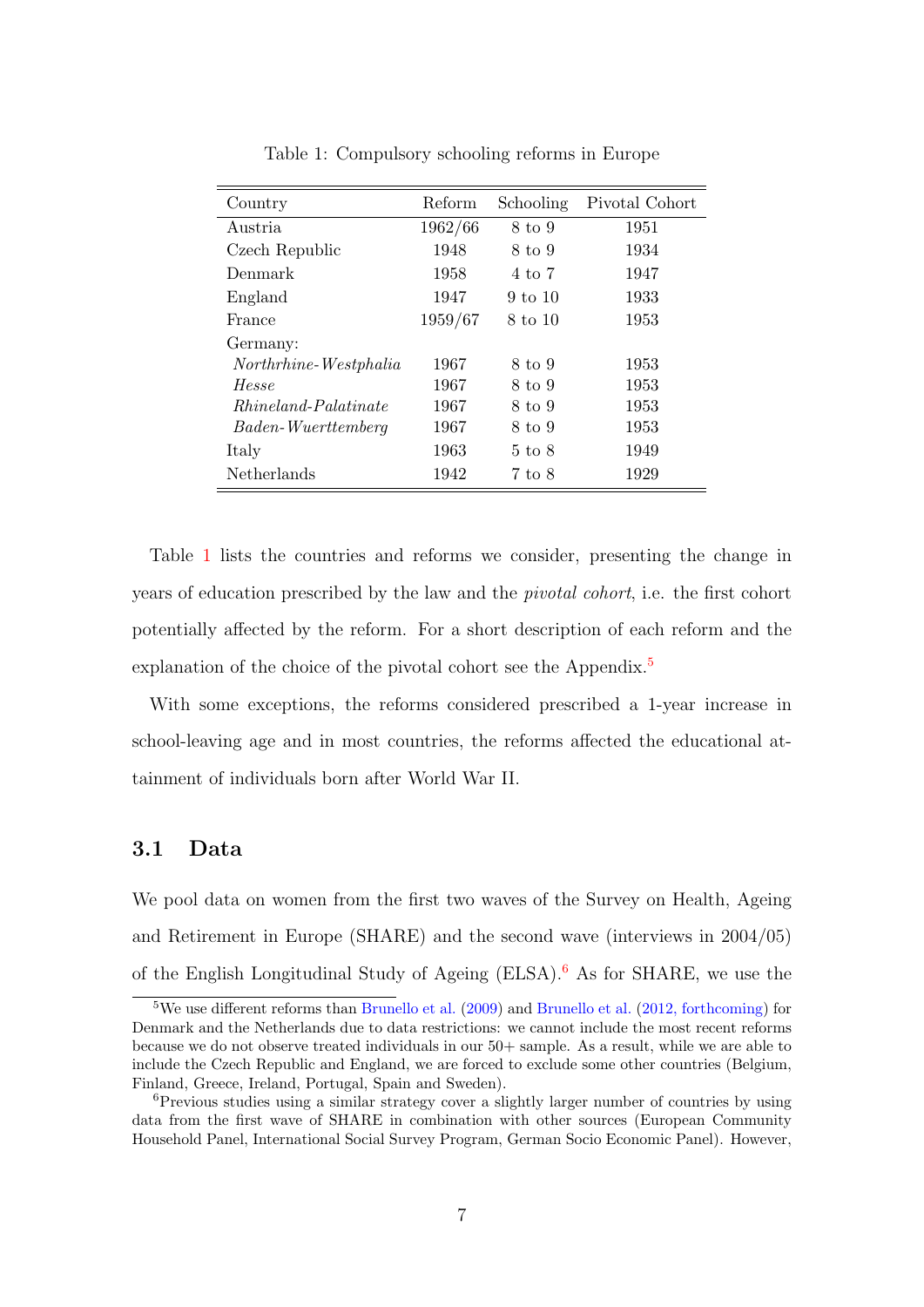| Country                     | Reform  | Schooling          | Pivotal Cohort |
|-----------------------------|---------|--------------------|----------------|
| Austria                     | 1962/66 | 8 to 9             | 1951           |
| Czech Republic              | 1948    | 8 to 9             | 1934           |
| Denmark                     | 1958    | 4 to 7             | 1947           |
| England                     | 1947    | $9 \text{ to } 10$ | 1933           |
| France                      | 1959/67 | 8 to 10            | 1953           |
| Germany:                    |         |                    |                |
| Northrhine-Westphalia       | 1967    | 8 to 9             | 1953           |
| Hesse                       | 1967    | 8 to 9             | 1953           |
| <i>Rhineland-Palatinate</i> | 1967    | 8 to 9             | 1953           |
| Baden-Wuerttemberg          | 1967    | 8 to 9             | 1953           |
| Italy                       | 1963    | $5 \text{ to } 8$  | 1949           |
| Netherlands                 | 1942    | 7 to 8             | 1929           |

<span id="page-8-0"></span>Table 1: Compulsory schooling reforms in Europe

Table [1](#page-8-0) lists the countries and reforms we consider, presenting the change in years of education prescribed by the law and the pivotal cohort, i.e. the first cohort potentially affected by the reform. For a short description of each reform and the explanation of the choice of the pivotal cohort see the Appendix.<sup>[5](#page-8-1)</sup>

With some exceptions, the reforms considered prescribed a 1-year increase in school-leaving age and in most countries, the reforms affected the educational attainment of individuals born after World War II.

#### 3.1 Data

We pool data on women from the first two waves of the Survey on Health, Ageing and Retirement in Europe (SHARE) and the second wave (interviews in 2004/05) of the English Longitudinal Study of Ageing  $(ELSA)$ .<sup>[6](#page-8-2)</sup> As for SHARE, we use the

<span id="page-8-1"></span><sup>&</sup>lt;sup>5</sup>We use different reforms than [Brunello et al.](#page-38-7)  $(2009)$  and Brunello et al.  $(2012,$  forthcoming) for Denmark and the Netherlands due to data restrictions: we cannot include the most recent reforms because we do not observe treated individuals in our 50+ sample. As a result, while we are able to include the Czech Republic and England, we are forced to exclude some other countries (Belgium, Finland, Greece, Ireland, Portugal, Spain and Sweden).

<span id="page-8-2"></span> ${}^{6}$ Previous studies using a similar strategy cover a slightly larger number of countries by using data from the first wave of SHARE in combination with other sources (European Community Household Panel, International Social Survey Program, German Socio Economic Panel). However,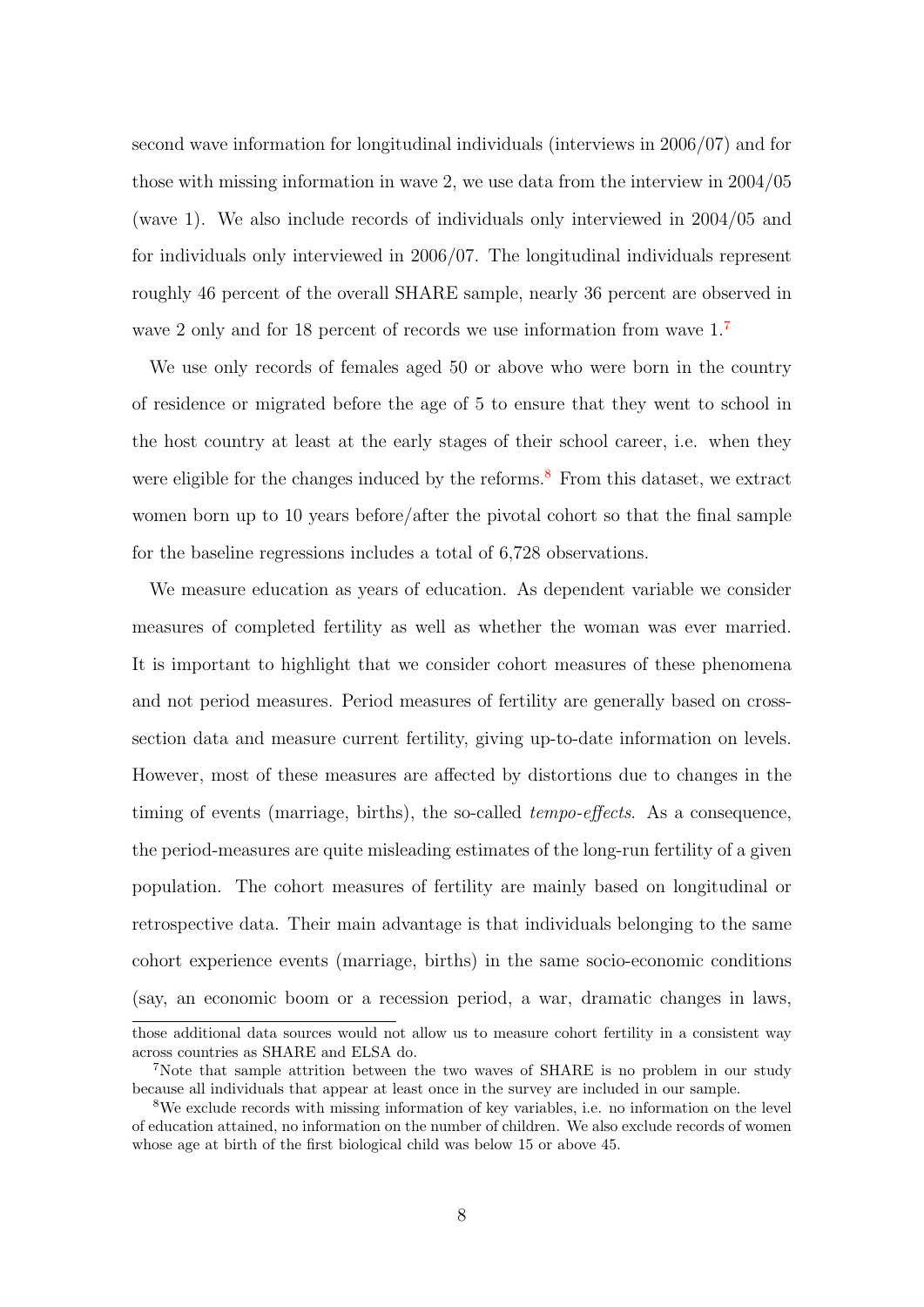second wave information for longitudinal individuals (interviews in 2006/07) and for those with missing information in wave 2, we use data from the interview in 2004/05 (wave 1). We also include records of individuals only interviewed in 2004/05 and for individuals only interviewed in 2006/07. The longitudinal individuals represent roughly 46 percent of the overall SHARE sample, nearly 36 percent are observed in wave 2 only and for 18 percent of records we use information from wave  $1<sup>7</sup>$  $1<sup>7</sup>$  $1<sup>7</sup>$ 

We use only records of females aged 50 or above who were born in the country of residence or migrated before the age of 5 to ensure that they went to school in the host country at least at the early stages of their school career, i.e. when they were eligible for the changes induced by the reforms.<sup>[8](#page-9-1)</sup> From this dataset, we extract women born up to 10 years before/after the pivotal cohort so that the final sample for the baseline regressions includes a total of 6,728 observations.

We measure education as years of education. As dependent variable we consider measures of completed fertility as well as whether the woman was ever married. It is important to highlight that we consider cohort measures of these phenomena and not period measures. Period measures of fertility are generally based on crosssection data and measure current fertility, giving up-to-date information on levels. However, most of these measures are affected by distortions due to changes in the timing of events (marriage, births), the so-called tempo-effects. As a consequence, the period-measures are quite misleading estimates of the long-run fertility of a given population. The cohort measures of fertility are mainly based on longitudinal or retrospective data. Their main advantage is that individuals belonging to the same cohort experience events (marriage, births) in the same socio-economic conditions (say, an economic boom or a recession period, a war, dramatic changes in laws,

those additional data sources would not allow us to measure cohort fertility in a consistent way across countries as SHARE and ELSA do.

<span id="page-9-0"></span><sup>&</sup>lt;sup>7</sup>Note that sample attrition between the two waves of SHARE is no problem in our study because all individuals that appear at least once in the survey are included in our sample.

<span id="page-9-1"></span><sup>8</sup>We exclude records with missing information of key variables, i.e. no information on the level of education attained, no information on the number of children. We also exclude records of women whose age at birth of the first biological child was below 15 or above 45.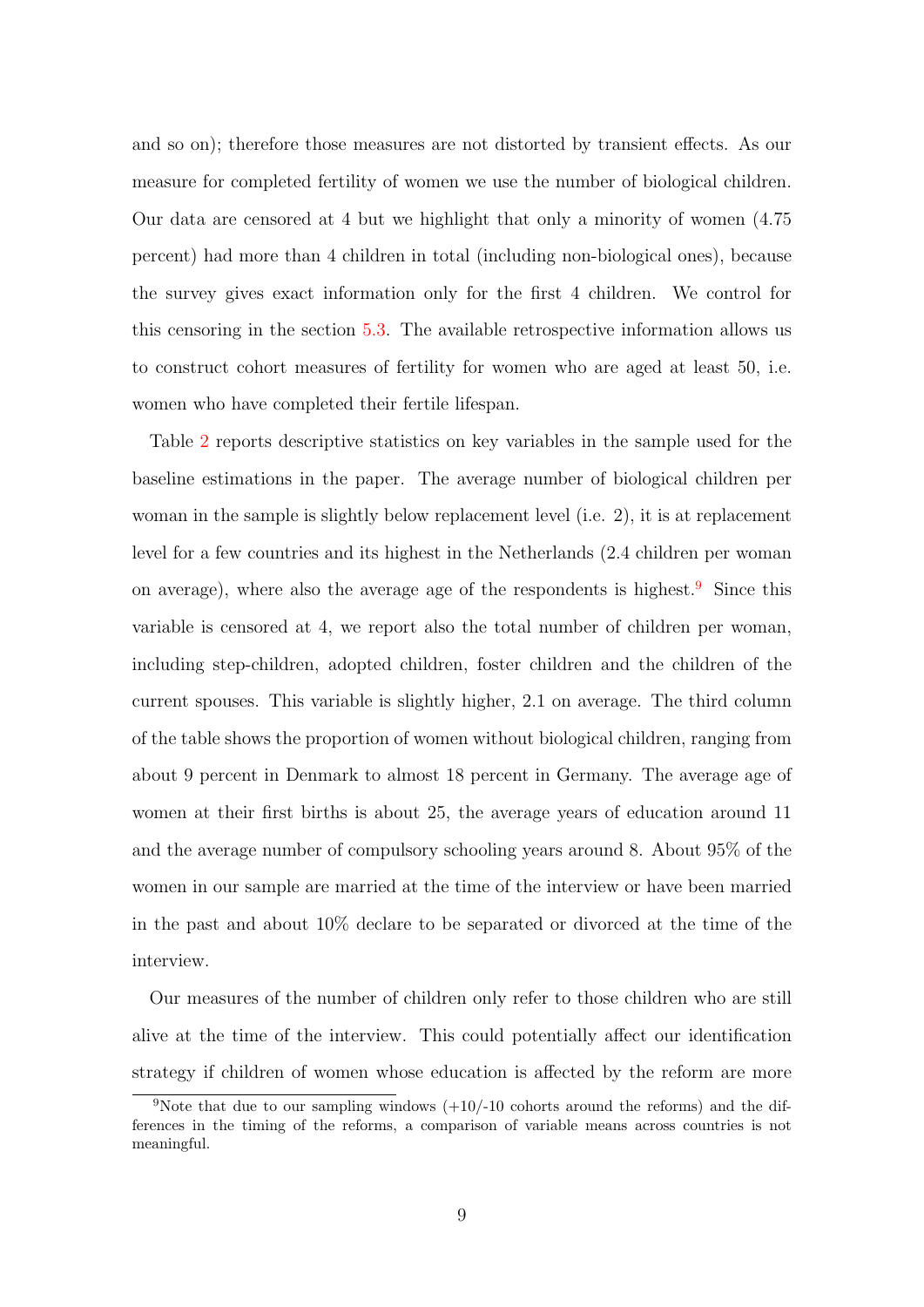and so on); therefore those measures are not distorted by transient effects. As our measure for completed fertility of women we use the number of biological children. Our data are censored at 4 but we highlight that only a minority of women (4.75 percent) had more than 4 children in total (including non-biological ones), because the survey gives exact information only for the first 4 children. We control for this censoring in the section [5.3.](#page-30-0) The available retrospective information allows us to construct cohort measures of fertility for women who are aged at least 50, i.e. women who have completed their fertile lifespan.

Table [2](#page-12-0) reports descriptive statistics on key variables in the sample used for the baseline estimations in the paper. The average number of biological children per woman in the sample is slightly below replacement level (i.e. 2), it is at replacement level for a few countries and its highest in the Netherlands (2.4 children per woman on average), where also the average age of the respondents is highest.<sup>[9](#page-10-0)</sup> Since this variable is censored at 4, we report also the total number of children per woman, including step-children, adopted children, foster children and the children of the current spouses. This variable is slightly higher, 2.1 on average. The third column of the table shows the proportion of women without biological children, ranging from about 9 percent in Denmark to almost 18 percent in Germany. The average age of women at their first births is about 25, the average years of education around 11 and the average number of compulsory schooling years around 8. About 95% of the women in our sample are married at the time of the interview or have been married in the past and about 10% declare to be separated or divorced at the time of the interview.

Our measures of the number of children only refer to those children who are still alive at the time of the interview. This could potentially affect our identification strategy if children of women whose education is affected by the reform are more

<span id="page-10-0"></span><sup>&</sup>lt;sup>9</sup>Note that due to our sampling windows  $(+10/-10)$  cohorts around the reforms) and the differences in the timing of the reforms, a comparison of variable means across countries is not meaningful.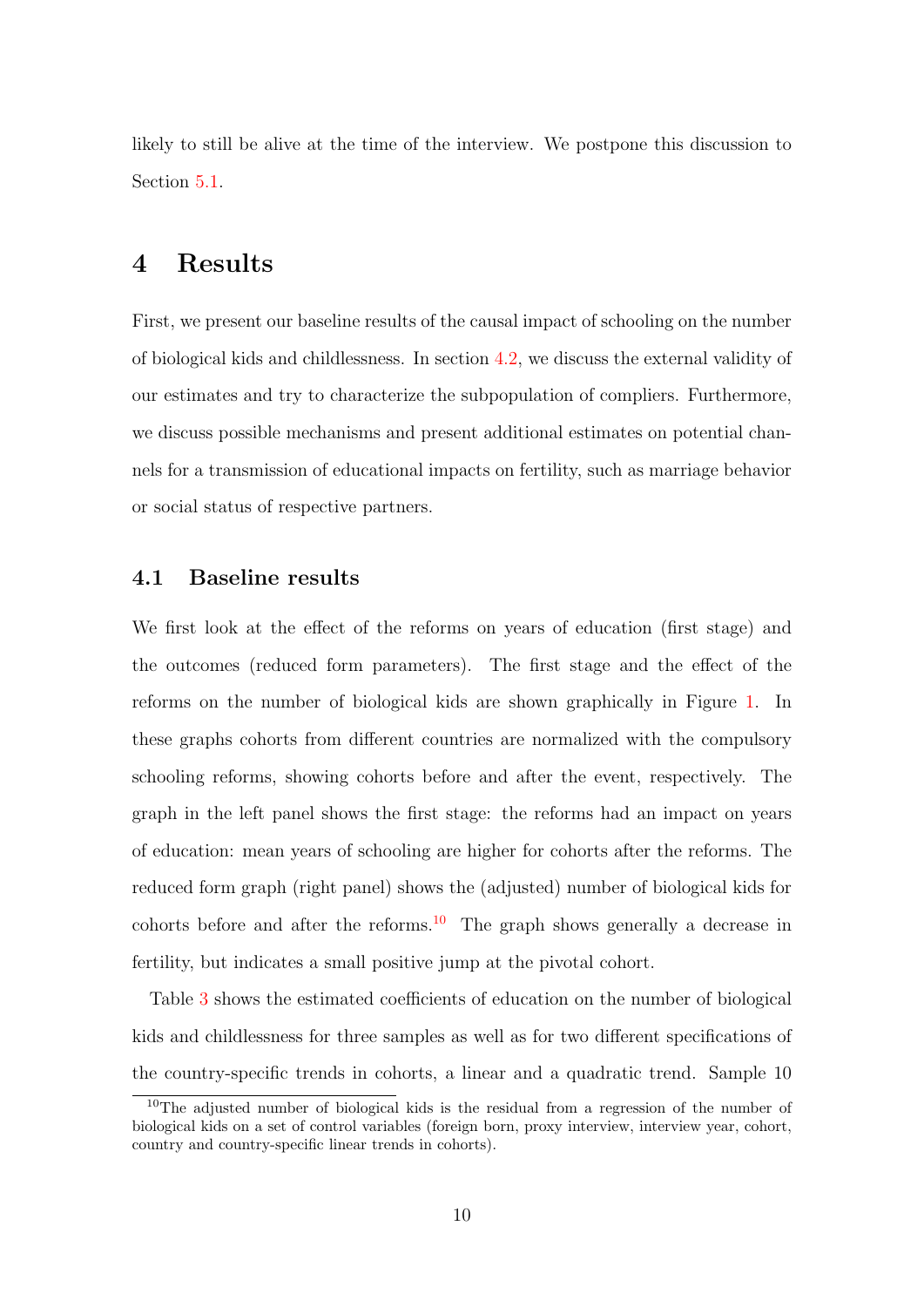likely to still be alive at the time of the interview. We postpone this discussion to Section [5.1.](#page-24-0)

## 4 Results

First, we present our baseline results of the causal impact of schooling on the number of biological kids and childlessness. In section [4.2,](#page-14-0) we discuss the external validity of our estimates and try to characterize the subpopulation of compliers. Furthermore, we discuss possible mechanisms and present additional estimates on potential channels for a transmission of educational impacts on fertility, such as marriage behavior or social status of respective partners.

#### 4.1 Baseline results

We first look at the effect of the reforms on years of education (first stage) and the outcomes (reduced form parameters). The first stage and the effect of the reforms on the number of biological kids are shown graphically in Figure [1.](#page-13-0) In these graphs cohorts from different countries are normalized with the compulsory schooling reforms, showing cohorts before and after the event, respectively. The graph in the left panel shows the first stage: the reforms had an impact on years of education: mean years of schooling are higher for cohorts after the reforms. The reduced form graph (right panel) shows the (adjusted) number of biological kids for cohorts before and after the reforms.<sup>[10](#page-11-0)</sup> The graph shows generally a decrease in fertility, but indicates a small positive jump at the pivotal cohort.

Table [3](#page-15-0) shows the estimated coefficients of education on the number of biological kids and childlessness for three samples as well as for two different specifications of the country-specific trends in cohorts, a linear and a quadratic trend. Sample 10

<span id="page-11-0"></span><sup>10</sup>The adjusted number of biological kids is the residual from a regression of the number of biological kids on a set of control variables (foreign born, proxy interview, interview year, cohort, country and country-specific linear trends in cohorts).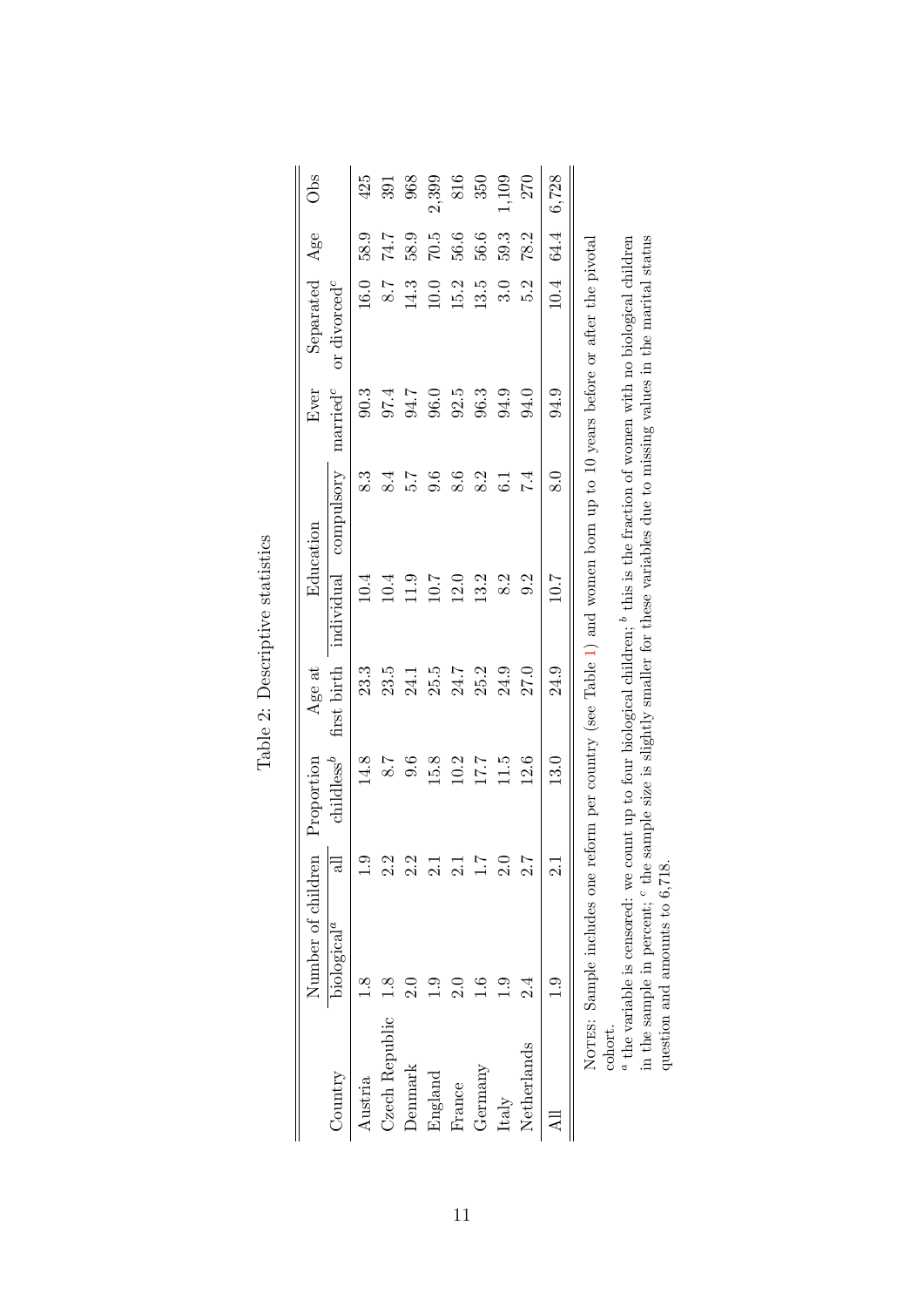<span id="page-12-0"></span>

|                | Number of children                                                                                                                                                                                                                                                                   |                  | Proportion    | Age at      |            | Education        | Ever                 | Separated                | Age  | Obs   |
|----------------|--------------------------------------------------------------------------------------------------------------------------------------------------------------------------------------------------------------------------------------------------------------------------------------|------------------|---------------|-------------|------------|------------------|----------------------|--------------------------|------|-------|
| Country        | biological <sup>a</sup>                                                                                                                                                                                                                                                              | $\equiv$         | $childless^b$ | first birth | individual | compulsory       | $\mathrm{married}^c$ | or divorced <sup>c</sup> |      |       |
| Austria        | 1.8                                                                                                                                                                                                                                                                                  | $\frac{1}{1}$    | 14.8          | 23.3        | 10.4       | $8.\overline{3}$ | 90.3                 | 16.0                     | 58.9 | 425   |
| Czech Republic |                                                                                                                                                                                                                                                                                      | 2.2              | 5.8           | 23.5        | 10.4       | 8.4              | 97.4                 | 8.7                      | 74.7 | 391   |
| Denmark        |                                                                                                                                                                                                                                                                                      | 2.2              | 9.6           | 24.1        | 11.9       | 5.7              | 94.7                 | 14.3                     | 58.9 | 968   |
| England        | نې<br>:                                                                                                                                                                                                                                                                              | $\frac{1}{2}$    | 15.8          | 25.5        | 10.7       | 9.6              | 96.0                 | $10.0$                   | 70.5 | 2,399 |
| France         |                                                                                                                                                                                                                                                                                      | $\frac{1}{2}$    | 10.2          | 24.7        | 12.0       | 8.6              | 92.5                 | 15.2                     | 56.6 | 816   |
| Germany        |                                                                                                                                                                                                                                                                                      | $\overline{1.1}$ | 17.7          | 25.2        | 13.2       | 8.2              | 96.3                 | 13.5                     | 56.6 | 350   |
| Italy          | <u>ာ</u>                                                                                                                                                                                                                                                                             | 2.0              | 11.5          | 24.9        | 8.2        | $\overline{6}$ . | 94.9                 | 3.0                      | 59.3 | 1109  |
| Netherlands    | 2.i                                                                                                                                                                                                                                                                                  | 2.7              | 12.6          | 27.0        | 9.2        | 7.4              | 94.0                 | 5.2                      | 78.2 | 270   |
|                |                                                                                                                                                                                                                                                                                      |                  | 13.0          | 24.9        | 10.7       | $\overline{8.0}$ | 94.9                 | 10.4                     | 64.4 | 6,728 |
| cohort.        | NOTES: Sample includes one reform per country (see Table 1) and women born up to 10 years before or after the pivotal                                                                                                                                                                |                  |               |             |            |                  |                      |                          |      |       |
|                | in the sample in percent; <sup>c</sup> the sample size is slightly smaller for these variables due to missing values in the marital status<br>$^a$ the variable is censored: we count up to four biological children; $^b$ this is the fraction of women with no biological children |                  |               |             |            |                  |                      |                          |      |       |
|                | question and amounts to 6,718.                                                                                                                                                                                                                                                       |                  |               |             |            |                  |                      |                          |      |       |

| $-10+10$<br>a<br>t<br>5 |
|-------------------------|
| ACCOMMENTED<br>ſ        |
| i<br>$\frac{c}{c}$<br>₹ |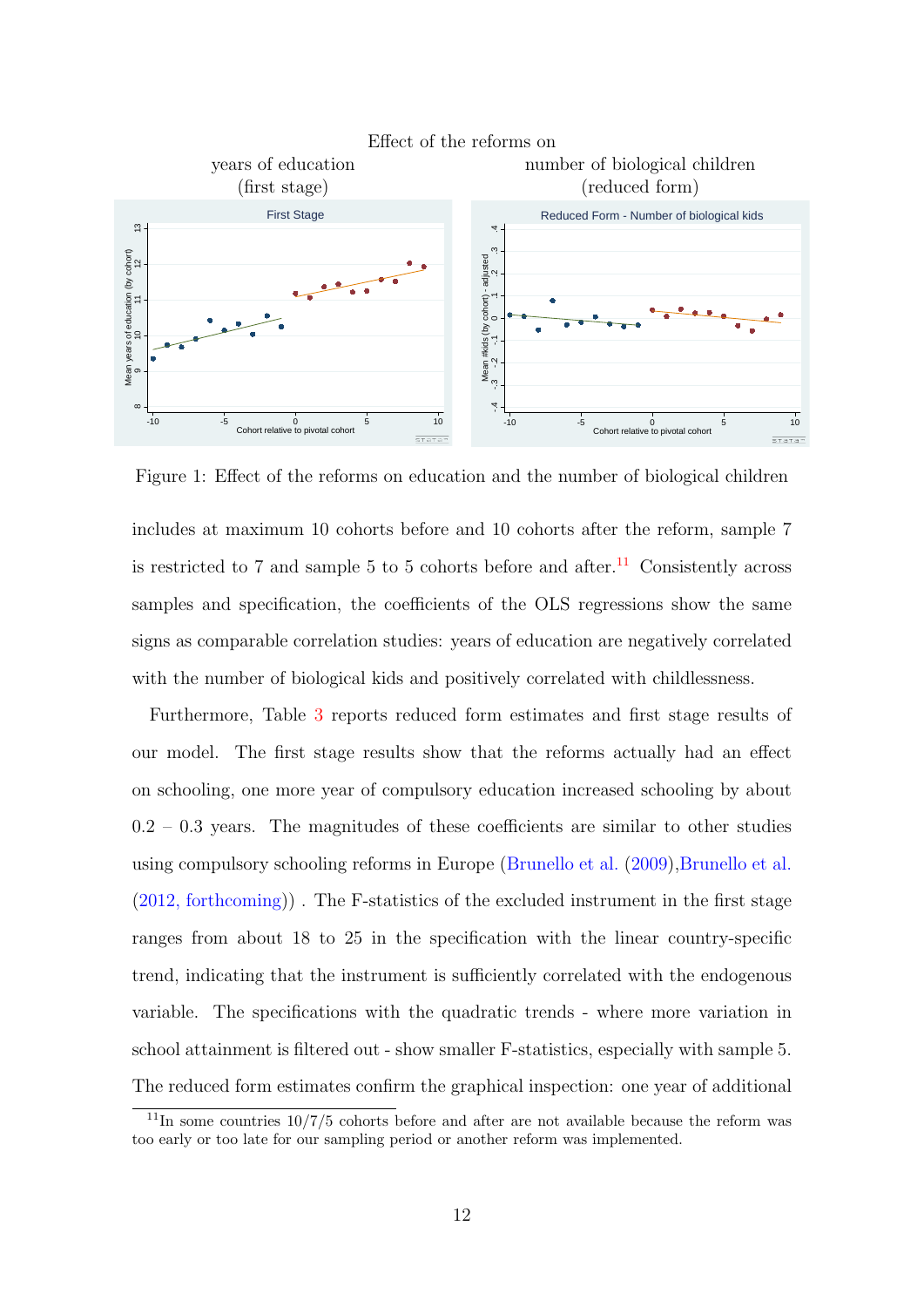

<span id="page-13-0"></span>Figure 1: Effect of the reforms on education and the number of biological children

includes at maximum 10 cohorts before and 10 cohorts after the reform, sample 7 is restricted to 7 and sample 5 to 5 cohorts before and after.<sup>[11](#page-13-1)</sup> Consistently across samples and specification, the coefficients of the OLS regressions show the same signs as comparable correlation studies: years of education are negatively correlated with the number of biological kids and positively correlated with childlessness.

Furthermore, Table [3](#page-15-0) reports reduced form estimates and first stage results of our model. The first stage results show that the reforms actually had an effect on schooling, one more year of compulsory education increased schooling by about  $0.2 - 0.3$  years. The magnitudes of these coefficients are similar to other studies using compulsory schooling reforms in Europe [\(Brunello et al.](#page-38-6) [\(2009\)](#page-38-6)[,Brunello et al.](#page-38-7) [\(2012, forthcoming\)](#page-38-7)) . The F-statistics of the excluded instrument in the first stage ranges from about 18 to 25 in the specification with the linear country-specific trend, indicating that the instrument is sufficiently correlated with the endogenous variable. The specifications with the quadratic trends - where more variation in school attainment is filtered out - show smaller F-statistics, especially with sample 5. The reduced form estimates confirm the graphical inspection: one year of additional

<span id="page-13-1"></span> $11$ In some countries  $10/7/5$  cohorts before and after are not available because the reform was too early or too late for our sampling period or another reform was implemented.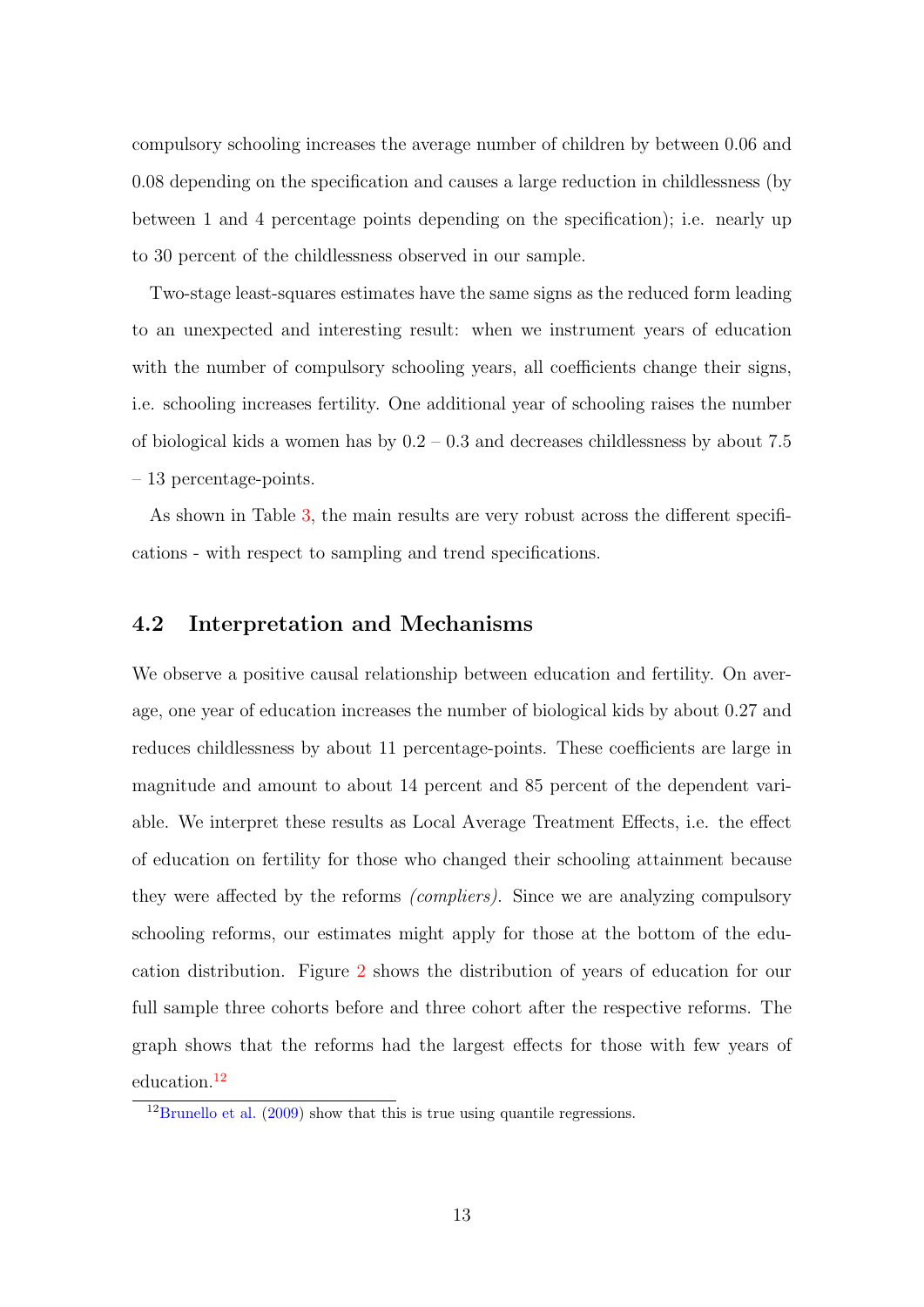compulsory schooling increases the average number of children by between 0.06 and 0.08 depending on the specification and causes a large reduction in childlessness (by between 1 and 4 percentage points depending on the specification); i.e. nearly up to 30 percent of the childlessness observed in our sample.

Two-stage least-squares estimates have the same signs as the reduced form leading to an unexpected and interesting result: when we instrument years of education with the number of compulsory schooling years, all coefficients change their signs, i.e. schooling increases fertility. One additional year of schooling raises the number of biological kids a women has by  $0.2 - 0.3$  and decreases childlessness by about 7.5 – 13 percentage-points.

As shown in Table [3,](#page-15-0) the main results are very robust across the different specifications - with respect to sampling and trend specifications.

#### <span id="page-14-0"></span>4.2 Interpretation and Mechanisms

We observe a positive causal relationship between education and fertility. On average, one year of education increases the number of biological kids by about 0.27 and reduces childlessness by about 11 percentage-points. These coefficients are large in magnitude and amount to about 14 percent and 85 percent of the dependent variable. We interpret these results as Local Average Treatment Effects, i.e. the effect of education on fertility for those who changed their schooling attainment because they were affected by the reforms (compliers). Since we are analyzing compulsory schooling reforms, our estimates might apply for those at the bottom of the education distribution. Figure [2](#page-15-1) shows the distribution of years of education for our full sample three cohorts before and three cohort after the respective reforms. The graph shows that the reforms had the largest effects for those with few years of education.[12](#page-14-1)

<span id="page-14-1"></span> $12$ [Brunello et al.](#page-38-6) [\(2009\)](#page-38-6) show that this is true using quantile regressions.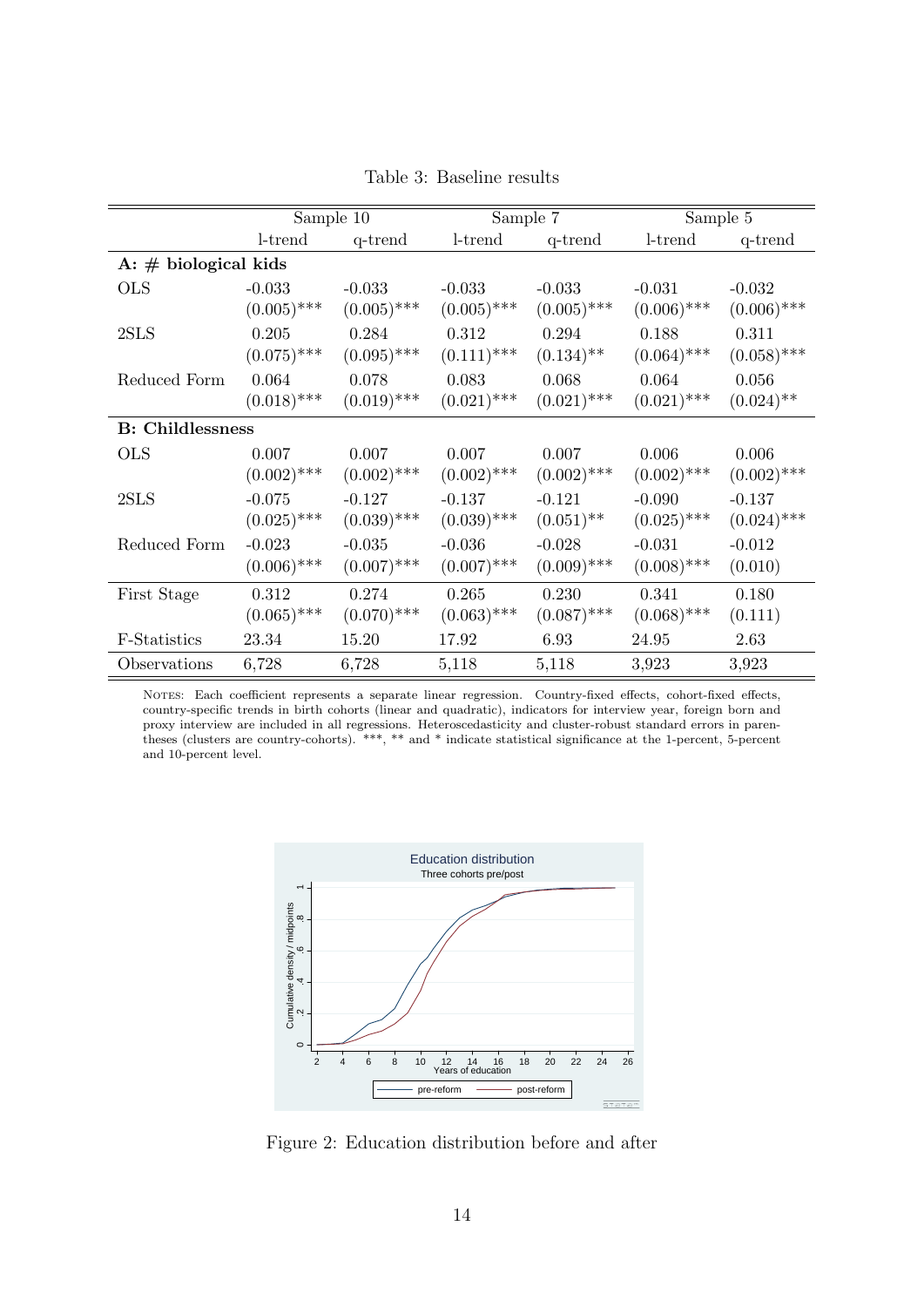|                         |               | Sample 10     |               | Sample 7                |               | Sample 5      |
|-------------------------|---------------|---------------|---------------|-------------------------|---------------|---------------|
|                         | $l$ -trend    | q-trend       | l-trend       | q-trend                 | l-trend       | q-trend       |
| A: $\#$ biological kids |               |               |               |                         |               |               |
| <b>OLS</b>              | $-0.033$      | $-0.033$      | $-0.033$      | $-0.033$                | $-0.031$      | $-0.032$      |
|                         | $(0.005)$ *** | $(0.005)$ *** | $(0.005)$ *** | $(0.005)$ ***           | $(0.006)$ *** | $(0.006)$ *** |
| 2SLS                    | 0.205         | 0.284         | 0.312         | 0.294                   | 0.188         | 0.311         |
|                         | $(0.075)$ *** | $(0.095)$ *** | $(0.111)$ *** | $(0.134)$ <sup>**</sup> | $(0.064)$ *** | $(0.058)$ *** |
| Reduced Form            | 0.064         | 0.078         | 0.083         | 0.068                   | 0.064         | 0.056         |
|                         | $(0.018)$ *** | $(0.019)$ *** | $(0.021)$ *** | $(0.021)$ ***           | $(0.021)$ *** | $(0.024)$ **  |
| <b>B:</b> Childlessness |               |               |               |                         |               |               |
| <b>OLS</b>              | 0.007         | 0.007         | 0.007         | 0.007                   | 0.006         | 0.006         |
|                         | $(0.002)$ *** | $(0.002)$ *** | $(0.002)$ *** | $(0.002)$ ***           | $(0.002)$ *** | $(0.002)$ *** |
| 2SLS                    | $-0.075$      | $-0.127$      | $-0.137$      | $-0.121$                | $-0.090$      | $-0.137$      |
|                         | $(0.025)$ *** | $(0.039)$ *** | $(0.039)$ *** | $(0.051)$ <sup>**</sup> | $(0.025)$ *** | $(0.024)$ *** |
| Reduced Form            | $-0.023$      | $-0.035$      | $-0.036$      | $-0.028$                | $-0.031$      | $-0.012$      |
|                         | $(0.006)$ *** | $(0.007)$ *** | $(0.007)$ *** | $(0.009)$ ***           | $(0.008)$ *** | (0.010)       |
| First Stage             | 0.312         | 0.274         | 0.265         | 0.230                   | 0.341         | 0.180         |
|                         | $(0.065)$ *** | $(0.070)$ *** | $(0.063)$ *** | $(0.087)$ ***           | $(0.068)$ *** | (0.111)       |
| F-Statistics            | 23.34         | 15.20         | 17.92         | 6.93                    | 24.95         | 2.63          |
| Observations            | 6,728         | 6,728         | 5,118         | 5,118                   | 3,923         | 3,923         |

<span id="page-15-0"></span>Table 3: Baseline results

Notes: Each coefficient represents a separate linear regression. Country-fixed effects, cohort-fixed effects, country-specific trends in birth cohorts (linear and quadratic), indicators for interview year, foreign born and proxy interview are included in all regressions. Heteroscedasticity and cluster-robust standard errors in parentheses (clusters are country-cohorts). \*\*\*, \*\* and \* indicate statistical significance at the 1-percent, 5-percent and 10-percent level.



<span id="page-15-1"></span>Figure 2: Education distribution before and after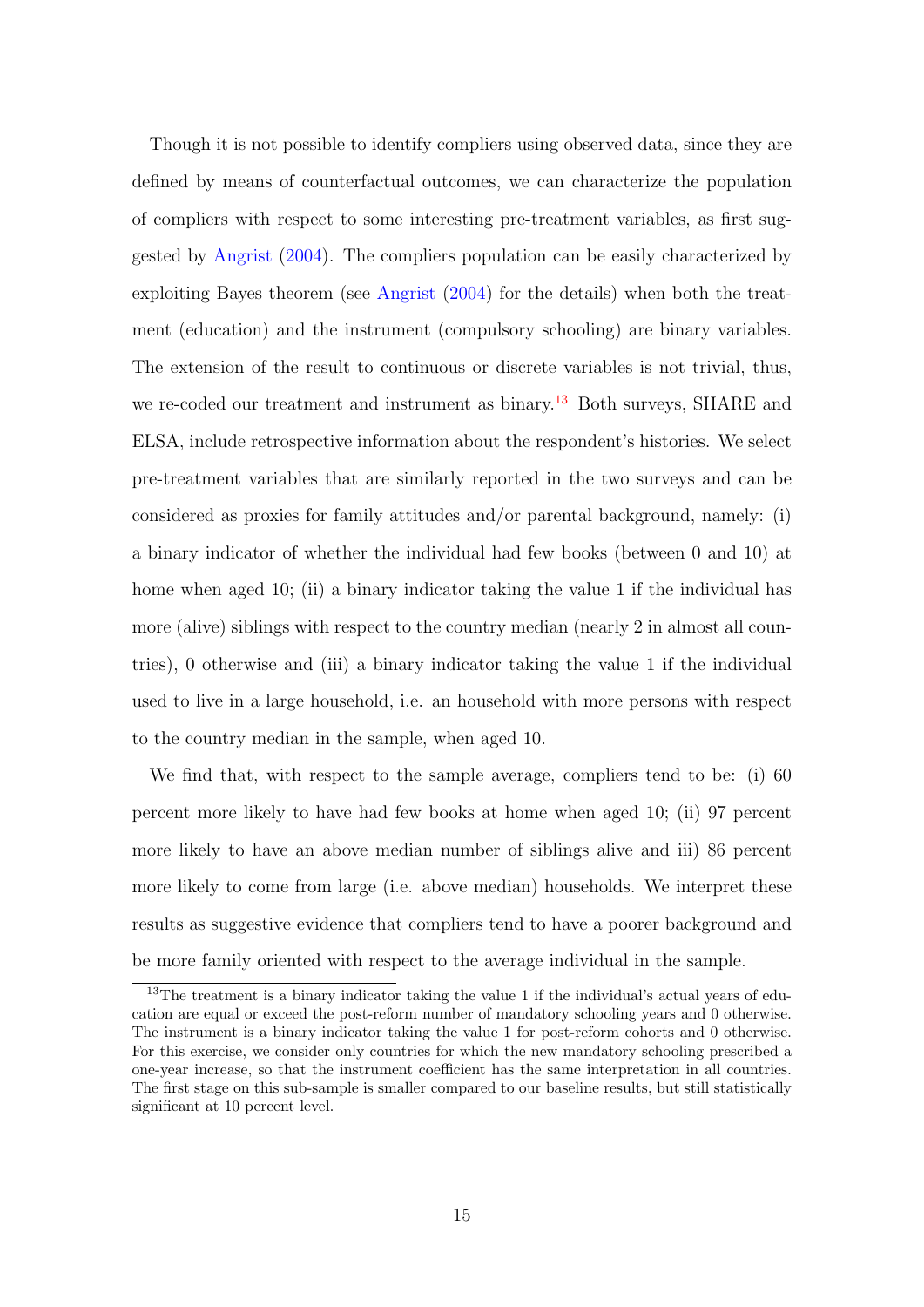Though it is not possible to identify compliers using observed data, since they are defined by means of counterfactual outcomes, we can characterize the population of compliers with respect to some interesting pre-treatment variables, as first suggested by [Angrist](#page-37-7) [\(2004\)](#page-37-7). The compliers population can be easily characterized by exploiting Bayes theorem (see [Angrist](#page-37-7) [\(2004\)](#page-37-7) for the details) when both the treatment (education) and the instrument (compulsory schooling) are binary variables. The extension of the result to continuous or discrete variables is not trivial, thus, we re-coded our treatment and instrument as binary.<sup>[13](#page-16-0)</sup> Both surveys, SHARE and ELSA, include retrospective information about the respondent's histories. We select pre-treatment variables that are similarly reported in the two surveys and can be considered as proxies for family attitudes and/or parental background, namely: (i) a binary indicator of whether the individual had few books (between 0 and 10) at home when aged 10; (ii) a binary indicator taking the value 1 if the individual has more (alive) siblings with respect to the country median (nearly 2 in almost all countries), 0 otherwise and (iii) a binary indicator taking the value 1 if the individual used to live in a large household, i.e. an household with more persons with respect to the country median in the sample, when aged 10.

We find that, with respect to the sample average, compliers tend to be: (i) 60 percent more likely to have had few books at home when aged 10; (ii) 97 percent more likely to have an above median number of siblings alive and iii) 86 percent more likely to come from large (i.e. above median) households. We interpret these results as suggestive evidence that compliers tend to have a poorer background and be more family oriented with respect to the average individual in the sample.

<span id="page-16-0"></span><sup>&</sup>lt;sup>13</sup>The treatment is a binary indicator taking the value 1 if the individual's actual years of education are equal or exceed the post-reform number of mandatory schooling years and 0 otherwise. The instrument is a binary indicator taking the value 1 for post-reform cohorts and 0 otherwise. For this exercise, we consider only countries for which the new mandatory schooling prescribed a one-year increase, so that the instrument coefficient has the same interpretation in all countries. The first stage on this sub-sample is smaller compared to our baseline results, but still statistically significant at 10 percent level.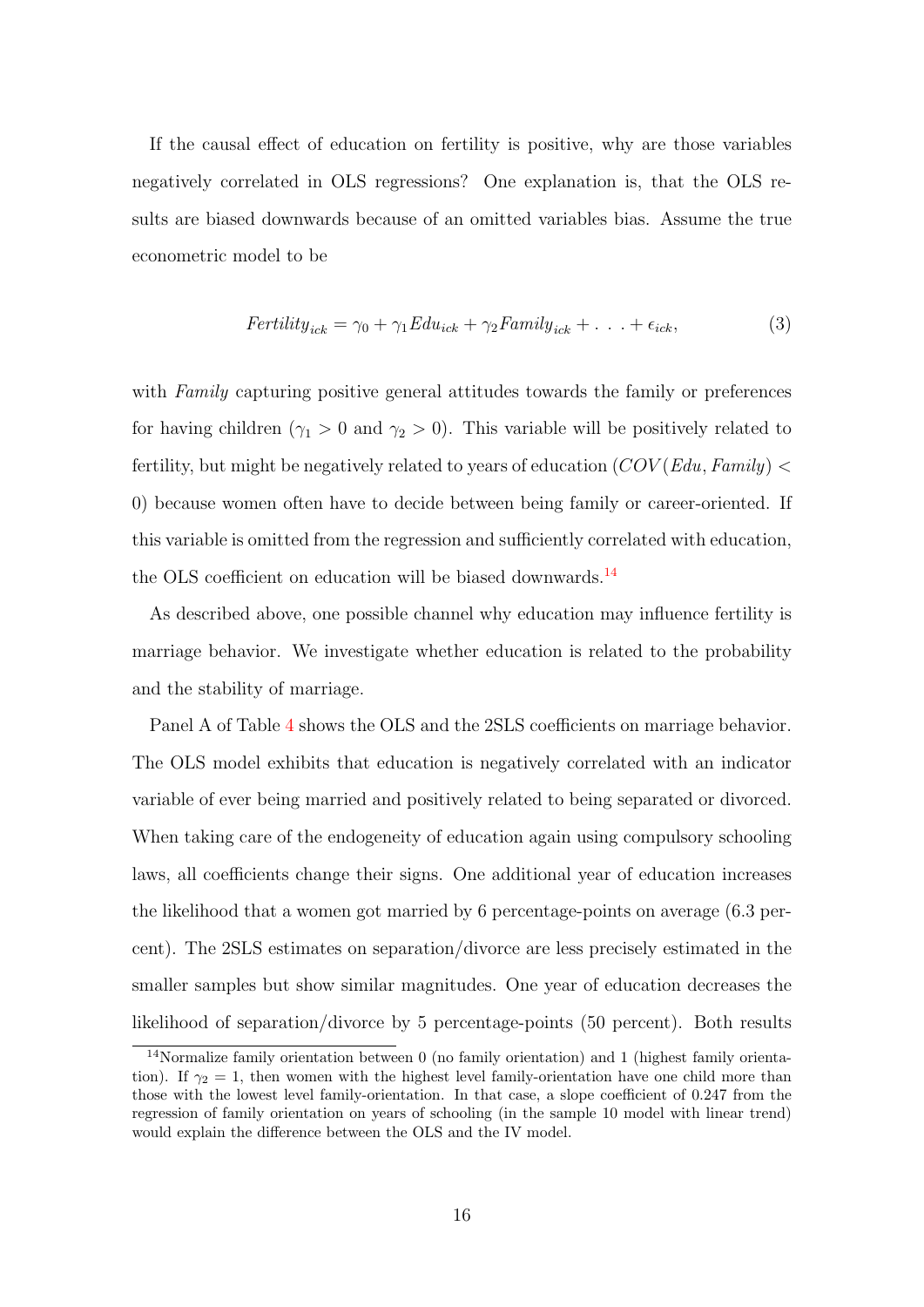If the causal effect of education on fertility is positive, why are those variables negatively correlated in OLS regressions? One explanation is, that the OLS results are biased downwards because of an omitted variables bias. Assume the true econometric model to be

$$
Fertility_{ick} = \gamma_0 + \gamma_1 Edu_{ick} + \gamma_2 Family_{ick} + \dots + \epsilon_{ick}, \tag{3}
$$

with Family capturing positive general attitudes towards the family or preferences for having children ( $\gamma_1 > 0$  and  $\gamma_2 > 0$ ). This variable will be positively related to fertility, but might be negatively related to years of education  $(COV(Edu, Family) <$ 0) because women often have to decide between being family or career-oriented. If this variable is omitted from the regression and sufficiently correlated with education, the OLS coefficient on education will be biased downwards.<sup>[14](#page-17-0)</sup>

As described above, one possible channel why education may influence fertility is marriage behavior. We investigate whether education is related to the probability and the stability of marriage.

Panel A of Table [4](#page-18-0) shows the OLS and the 2SLS coefficients on marriage behavior. The OLS model exhibits that education is negatively correlated with an indicator variable of ever being married and positively related to being separated or divorced. When taking care of the endogeneity of education again using compulsory schooling laws, all coefficients change their signs. One additional year of education increases the likelihood that a women got married by 6 percentage-points on average (6.3 percent). The 2SLS estimates on separation/divorce are less precisely estimated in the smaller samples but show similar magnitudes. One year of education decreases the likelihood of separation/divorce by 5 percentage-points (50 percent). Both results

<span id="page-17-0"></span><sup>14</sup>Normalize family orientation between 0 (no family orientation) and 1 (highest family orientation). If  $\gamma_2 = 1$ , then women with the highest level family-orientation have one child more than those with the lowest level family-orientation. In that case, a slope coefficient of 0.247 from the regression of family orientation on years of schooling (in the sample 10 model with linear trend) would explain the difference between the OLS and the IV model.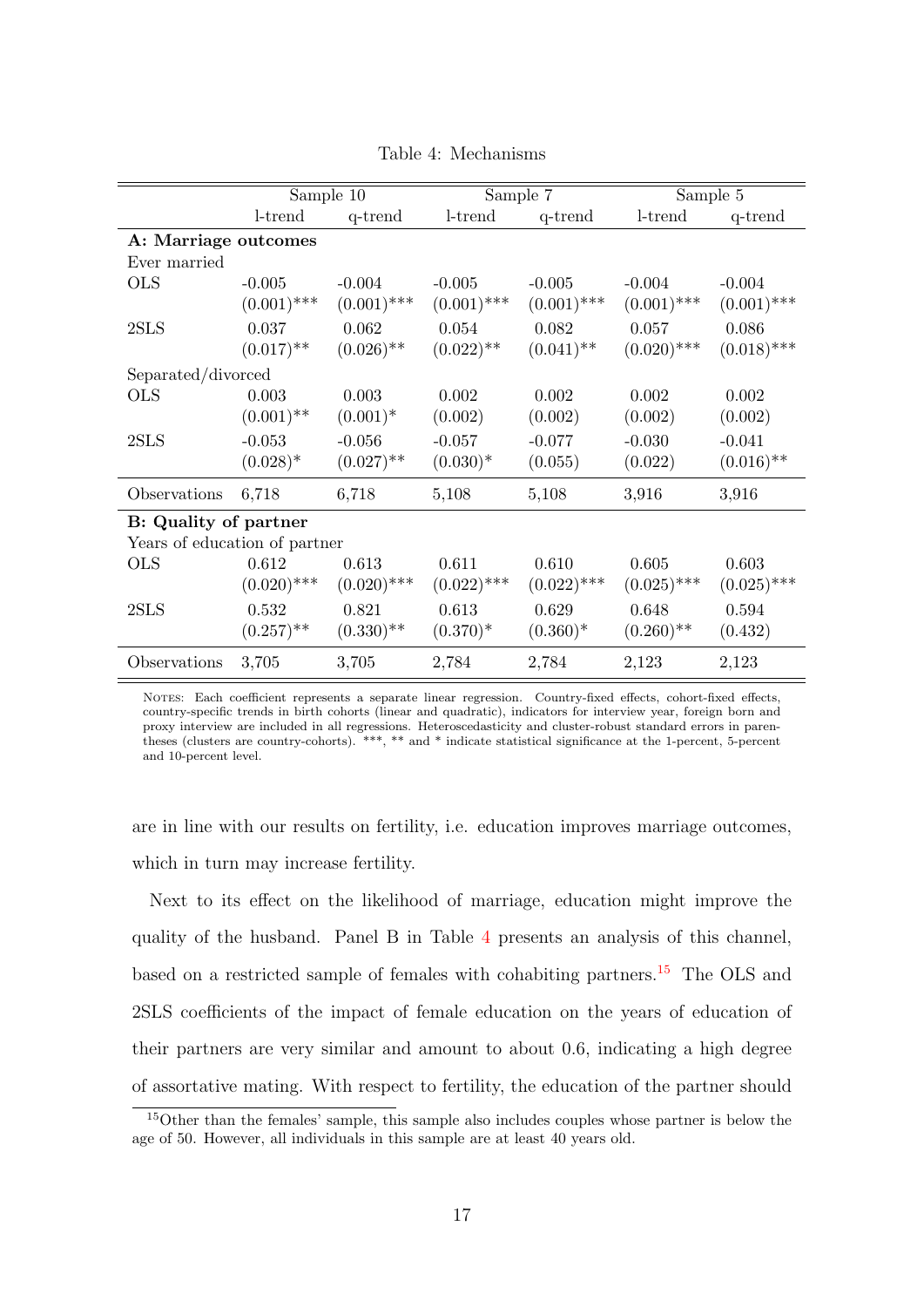|                               |               | Sample 10               |               | Sample 7                |               | Sample 5      |
|-------------------------------|---------------|-------------------------|---------------|-------------------------|---------------|---------------|
|                               | l-trend       | q-trend                 | l-trend       | q-trend                 | l-trend       | q-trend       |
| A: Marriage outcomes          |               |                         |               |                         |               |               |
| Ever married                  |               |                         |               |                         |               |               |
| <b>OLS</b>                    | $-0.005$      | $-0.004$                | $-0.005$      | $-0.005$                | $-0.004$      | $-0.004$      |
|                               | $(0.001)$ *** | $(0.001)$ ***           | $(0.001)$ *** | $(0.001)$ ***           | $(0.001)$ *** | $(0.001)$ *** |
| 2SLS                          | 0.037         | 0.062                   | 0.054         | 0.082                   | 0.057         | 0.086         |
|                               | $(0.017)$ **  | $(0.026)$ <sup>**</sup> | $(0.022)$ **  | $(0.041)$ <sup>**</sup> | $(0.020)$ *** | $(0.018)$ *** |
| Separated/divorced            |               |                         |               |                         |               |               |
| <b>OLS</b>                    | 0.003         | 0.003                   | 0.002         | 0.002                   | 0.002         | 0.002         |
|                               | $(0.001)$ **  | $(0.001)^*$             | (0.002)       | (0.002)                 | (0.002)       | (0.002)       |
| 2SLS                          | $-0.053$      | $-0.056$                | $-0.057$      | $-0.077$                | $-0.030$      | $-0.041$      |
|                               | $(0.028)^*$   | $(0.027)$ **            | $(0.030)*$    | (0.055)                 | (0.022)       | $(0.016)$ **  |
| Observations                  | 6,718         | 6,718                   | 5,108         | 5,108                   | 3,916         | 3,916         |
| <b>B:</b> Quality of partner  |               |                         |               |                         |               |               |
| Years of education of partner |               |                         |               |                         |               |               |
| <b>OLS</b>                    | 0.612         | 0.613                   | 0.611         | 0.610                   | 0.605         | 0.603         |
|                               | $(0.020)$ *** | $(0.020)$ ***           | $(0.022)$ *** | $(0.022)$ ***           | $(0.025)$ *** | $(0.025)$ *** |
| 2SLS                          | 0.532         | 0.821                   | 0.613         | 0.629                   | 0.648         | 0.594         |
|                               | $(0.257)$ **  | $(0.330)$ **            | $(0.370)^*$   | $(0.360)^*$             | $(0.260)$ **  | (0.432)       |
| Observations                  | 3,705         | 3,705                   | 2,784         | 2,784                   | 2,123         | 2,123         |

<span id="page-18-0"></span>Table 4: Mechanisms

NOTES: Each coefficient represents a separate linear regression. Country-fixed effects, cohort-fixed effects, country-specific trends in birth cohorts (linear and quadratic), indicators for interview year, foreign born and proxy interview are included in all regressions. Heteroscedasticity and cluster-robust standard errors in parentheses (clusters are country-cohorts). \*\*\*, \*\* and \* indicate statistical significance at the 1-percent, 5-percent and 10-percent level.

are in line with our results on fertility, i.e. education improves marriage outcomes, which in turn may increase fertility.

Next to its effect on the likelihood of marriage, education might improve the quality of the husband. Panel B in Table [4](#page-18-0) presents an analysis of this channel, based on a restricted sample of females with cohabiting partners.[15](#page-18-1) The OLS and 2SLS coefficients of the impact of female education on the years of education of their partners are very similar and amount to about 0.6, indicating a high degree of assortative mating. With respect to fertility, the education of the partner should

<span id="page-18-1"></span><sup>&</sup>lt;sup>15</sup>Other than the females' sample, this sample also includes couples whose partner is below the age of 50. However, all individuals in this sample are at least 40 years old.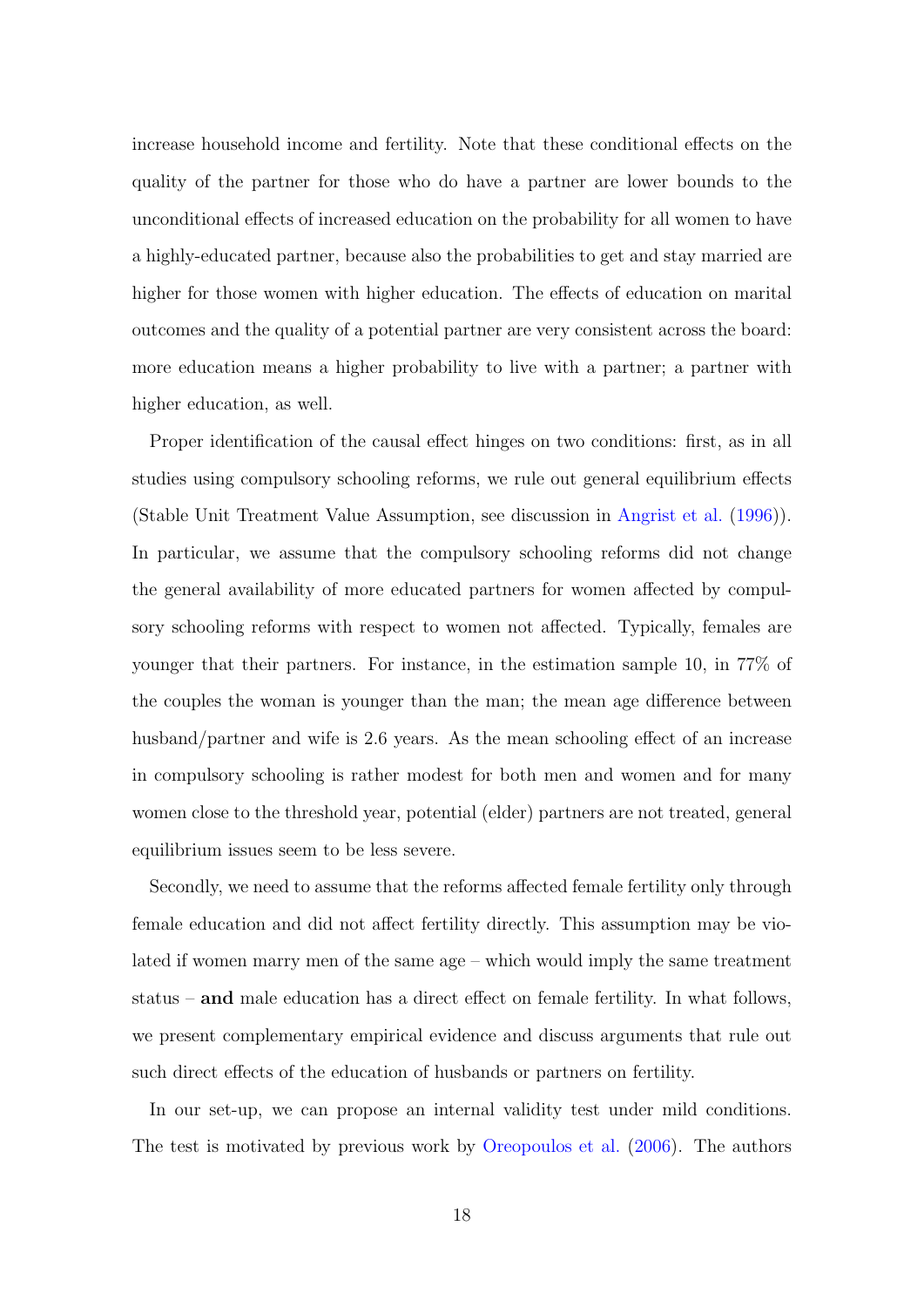increase household income and fertility. Note that these conditional effects on the quality of the partner for those who do have a partner are lower bounds to the unconditional effects of increased education on the probability for all women to have a highly-educated partner, because also the probabilities to get and stay married are higher for those women with higher education. The effects of education on marital outcomes and the quality of a potential partner are very consistent across the board: more education means a higher probability to live with a partner; a partner with higher education, as well.

Proper identification of the causal effect hinges on two conditions: first, as in all studies using compulsory schooling reforms, we rule out general equilibrium effects (Stable Unit Treatment Value Assumption, see discussion in [Angrist et al.](#page-37-8) [\(1996\)](#page-37-8)). In particular, we assume that the compulsory schooling reforms did not change the general availability of more educated partners for women affected by compulsory schooling reforms with respect to women not affected. Typically, females are younger that their partners. For instance, in the estimation sample 10, in 77% of the couples the woman is younger than the man; the mean age difference between husband/partner and wife is 2.6 years. As the mean schooling effect of an increase in compulsory schooling is rather modest for both men and women and for many women close to the threshold year, potential (elder) partners are not treated, general equilibrium issues seem to be less severe.

Secondly, we need to assume that the reforms affected female fertility only through female education and did not affect fertility directly. This assumption may be violated if women marry men of the same age – which would imply the same treatment status – and male education has a direct effect on female fertility. In what follows, we present complementary empirical evidence and discuss arguments that rule out such direct effects of the education of husbands or partners on fertility.

In our set-up, we can propose an internal validity test under mild conditions. The test is motivated by previous work by [Oreopoulos et al.](#page-41-4) [\(2006\)](#page-41-4). The authors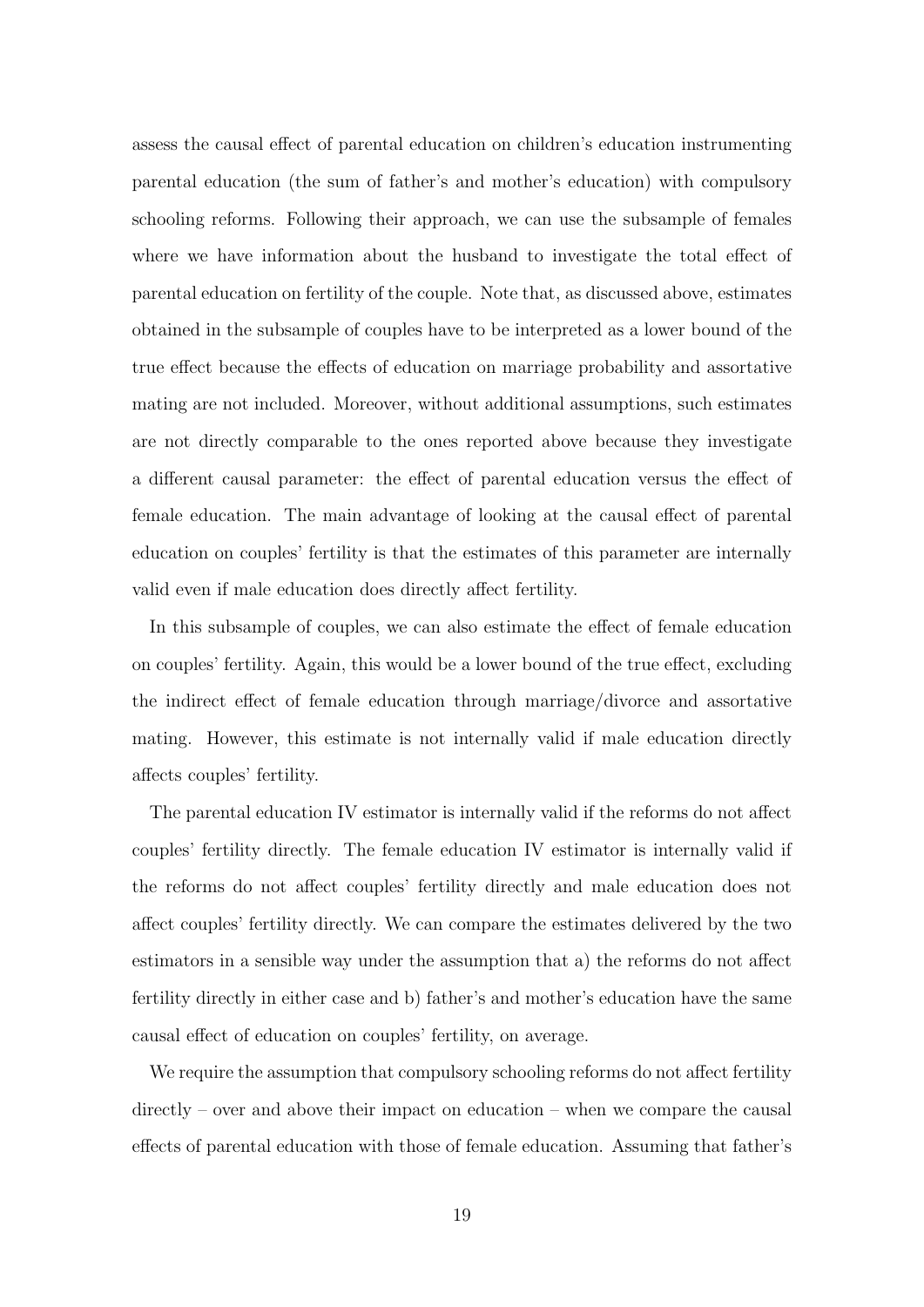assess the causal effect of parental education on children's education instrumenting parental education (the sum of father's and mother's education) with compulsory schooling reforms. Following their approach, we can use the subsample of females where we have information about the husband to investigate the total effect of parental education on fertility of the couple. Note that, as discussed above, estimates obtained in the subsample of couples have to be interpreted as a lower bound of the true effect because the effects of education on marriage probability and assortative mating are not included. Moreover, without additional assumptions, such estimates are not directly comparable to the ones reported above because they investigate a different causal parameter: the effect of parental education versus the effect of female education. The main advantage of looking at the causal effect of parental education on couples' fertility is that the estimates of this parameter are internally valid even if male education does directly affect fertility.

In this subsample of couples, we can also estimate the effect of female education on couples' fertility. Again, this would be a lower bound of the true effect, excluding the indirect effect of female education through marriage/divorce and assortative mating. However, this estimate is not internally valid if male education directly affects couples' fertility.

The parental education IV estimator is internally valid if the reforms do not affect couples' fertility directly. The female education IV estimator is internally valid if the reforms do not affect couples' fertility directly and male education does not affect couples' fertility directly. We can compare the estimates delivered by the two estimators in a sensible way under the assumption that a) the reforms do not affect fertility directly in either case and b) father's and mother's education have the same causal effect of education on couples' fertility, on average.

We require the assumption that compulsory schooling reforms do not affect fertility directly – over and above their impact on education – when we compare the causal effects of parental education with those of female education. Assuming that father's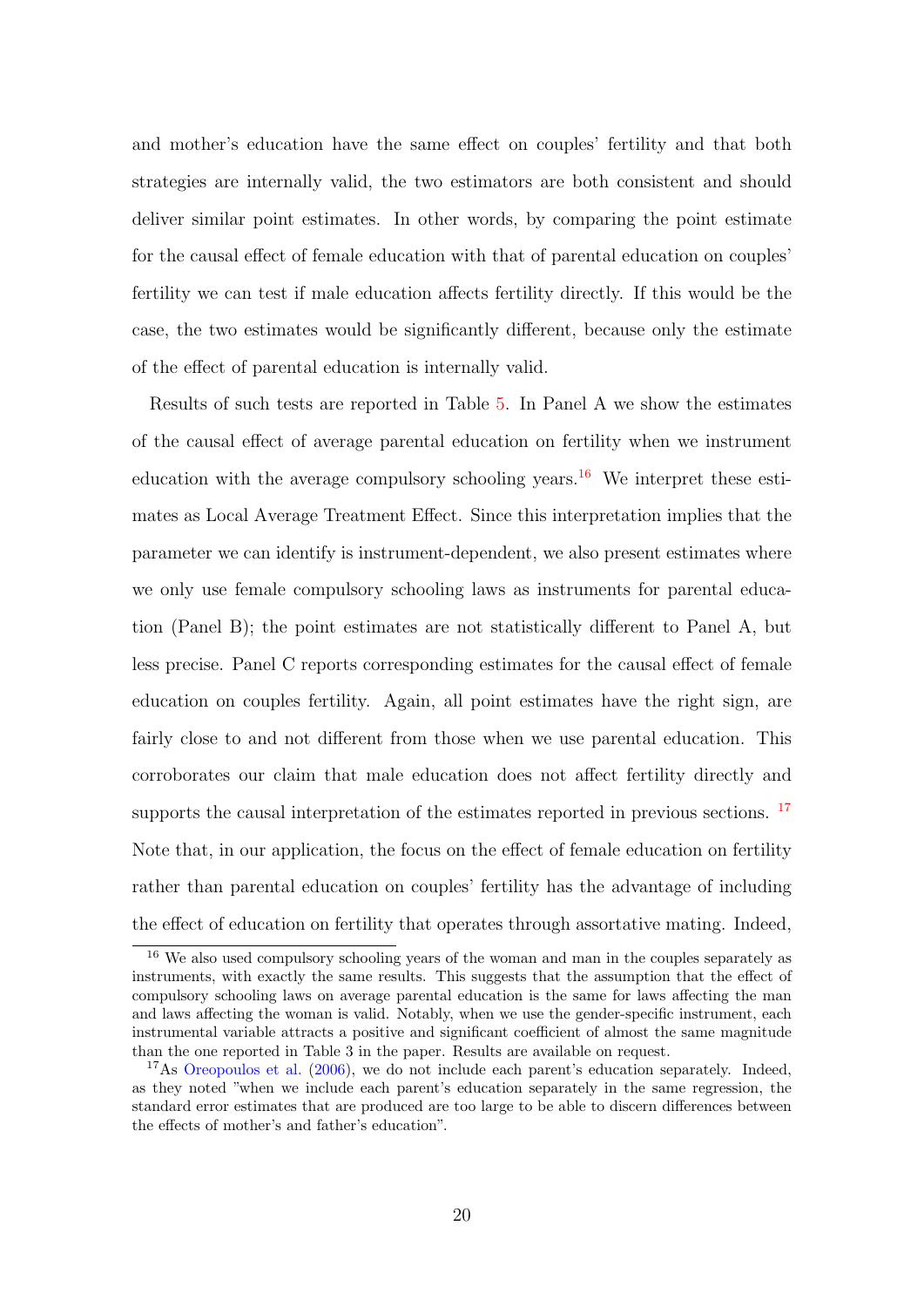and mother's education have the same effect on couples' fertility and that both strategies are internally valid, the two estimators are both consistent and should deliver similar point estimates. In other words, by comparing the point estimate for the causal effect of female education with that of parental education on couples' fertility we can test if male education affects fertility directly. If this would be the case, the two estimates would be significantly different, because only the estimate of the effect of parental education is internally valid.

Results of such tests are reported in Table [5.](#page-23-0) In Panel A we show the estimates of the causal effect of average parental education on fertility when we instrument education with the average compulsory schooling years.<sup>[16](#page-21-0)</sup> We interpret these estimates as Local Average Treatment Effect. Since this interpretation implies that the parameter we can identify is instrument-dependent, we also present estimates where we only use female compulsory schooling laws as instruments for parental education (Panel B); the point estimates are not statistically different to Panel A, but less precise. Panel C reports corresponding estimates for the causal effect of female education on couples fertility. Again, all point estimates have the right sign, are fairly close to and not different from those when we use parental education. This corroborates our claim that male education does not affect fertility directly and supports the causal interpretation of the estimates reported in previous sections. <sup>[17](#page-21-1)</sup> Note that, in our application, the focus on the effect of female education on fertility rather than parental education on couples' fertility has the advantage of including the effect of education on fertility that operates through assortative mating. Indeed,

<span id="page-21-0"></span><sup>16</sup> We also used compulsory schooling years of the woman and man in the couples separately as instruments, with exactly the same results. This suggests that the assumption that the effect of compulsory schooling laws on average parental education is the same for laws affecting the man and laws affecting the woman is valid. Notably, when we use the gender-specific instrument, each instrumental variable attracts a positive and significant coefficient of almost the same magnitude than the one reported in Table 3 in the paper. Results are available on request.

<span id="page-21-1"></span> $17$ As [Oreopoulos et al.](#page-41-4) [\(2006\)](#page-41-4), we do not include each parent's education separately. Indeed, as they noted "when we include each parent's education separately in the same regression, the standard error estimates that are produced are too large to be able to discern differences between the effects of mother's and father's education".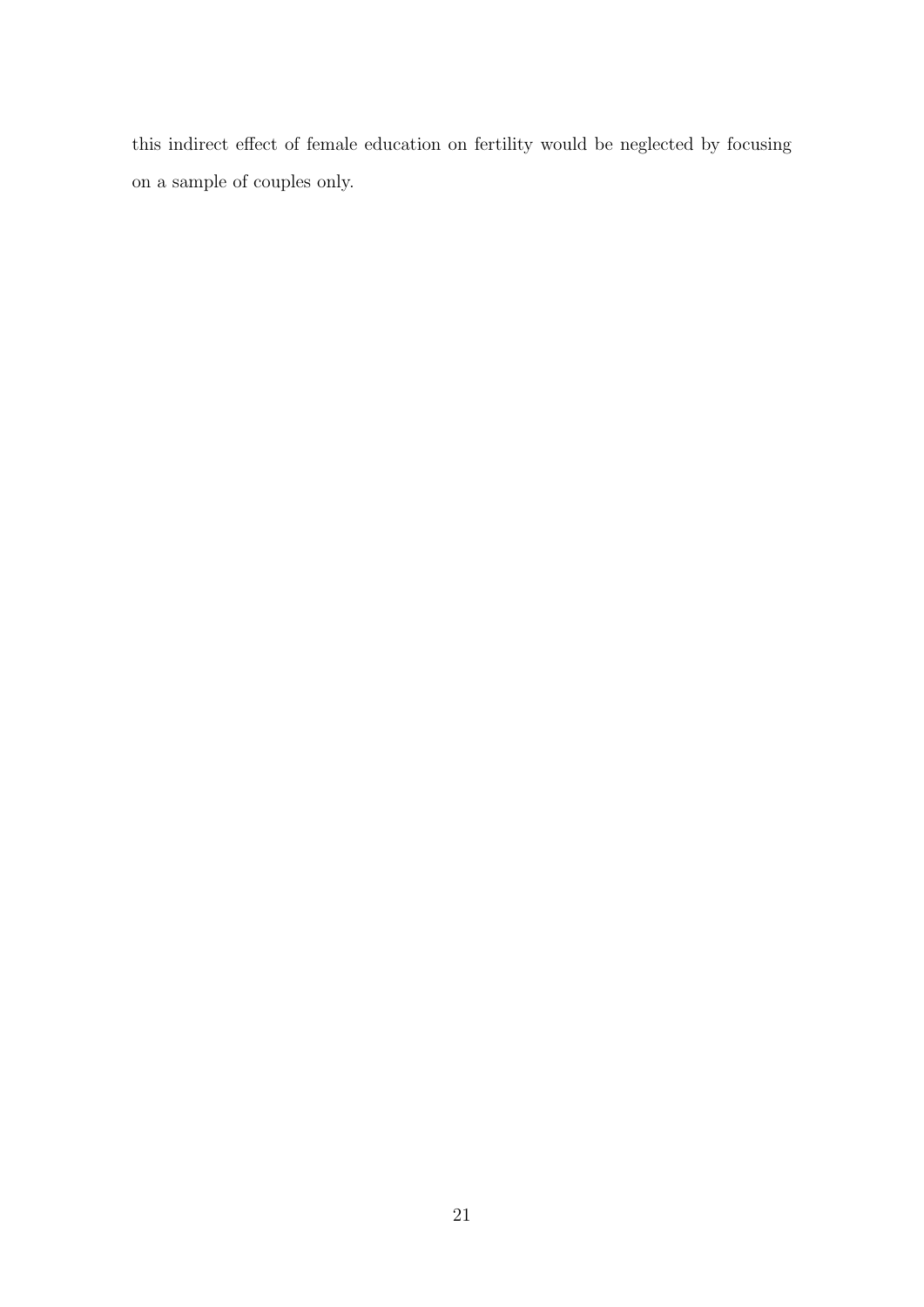this indirect effect of female education on fertility would be neglected by focusing on a sample of couples only.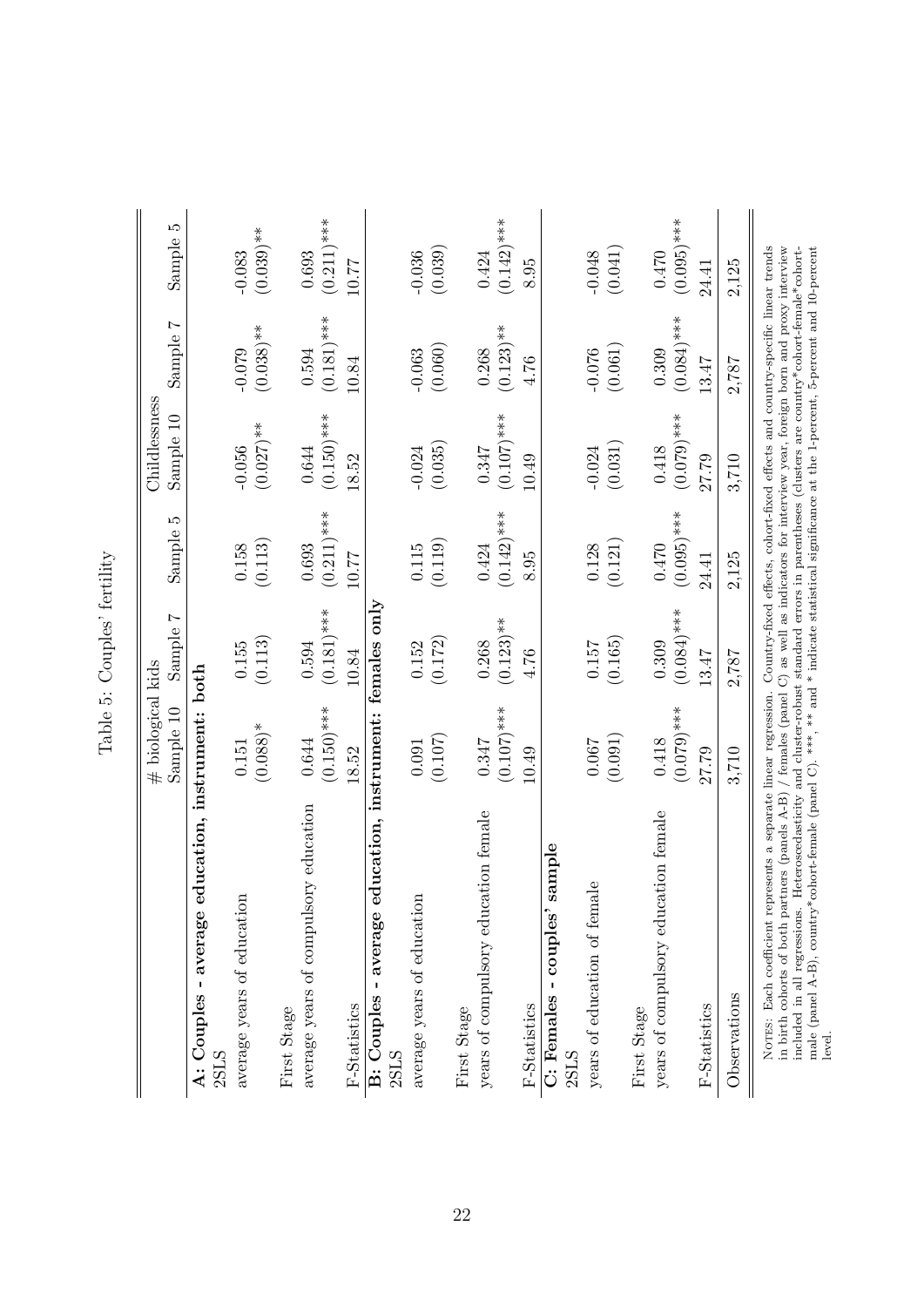<span id="page-23-0"></span>

|                                                                                                                                                                                                                                                                                                                                                                            | $#$ biological kids     |                          |                        | Childlessness                                                                  |                          |                          |
|----------------------------------------------------------------------------------------------------------------------------------------------------------------------------------------------------------------------------------------------------------------------------------------------------------------------------------------------------------------------------|-------------------------|--------------------------|------------------------|--------------------------------------------------------------------------------|--------------------------|--------------------------|
|                                                                                                                                                                                                                                                                                                                                                                            | Sample 10               | $\overline{ }$<br>Sample | IJ<br>Sample           | Sample 10                                                                      | $\overline{ }$<br>Sample | LQ.<br>Sample            |
| A: Couples - average education, instrument: both<br>2SLS                                                                                                                                                                                                                                                                                                                   |                         |                          |                        |                                                                                |                          |                          |
| average years of education                                                                                                                                                                                                                                                                                                                                                 | $(0.088)*$<br>$0.151\,$ | (0.113)<br>0.155         | (0.113)<br>0.158       | $(0.027)$ **<br>$-0.056$                                                       | $(0.038)$ **<br>$-0.079$ | $(0.039)$ **<br>$-0.083$ |
| First Stage                                                                                                                                                                                                                                                                                                                                                                |                         |                          |                        |                                                                                |                          |                          |
| average years of compulsory education                                                                                                                                                                                                                                                                                                                                      | $(0.150)$ ***<br>0.644  | $(0.181)$ ***<br>0.594   | $(0.211)$ ***<br>0.693 | $(0.150)$ ***<br>0.644                                                         | $(0.181)$ ***<br>0.594   | $(0.211)$ ***<br>0.693   |
| F-Statistics                                                                                                                                                                                                                                                                                                                                                               | 18.52                   | 10.84                    | 10.77                  | 18.52                                                                          | 10.84                    | 10.77                    |
| ducation, instrument: females only<br>B: Couples - average e                                                                                                                                                                                                                                                                                                               |                         |                          |                        |                                                                                |                          |                          |
| 2SLS                                                                                                                                                                                                                                                                                                                                                                       |                         |                          |                        |                                                                                |                          |                          |
| average years of education                                                                                                                                                                                                                                                                                                                                                 | (0.107)<br>0.091        | (0.172)<br>0.152         | (0.119)<br>$0.115\,$   | (0.035)<br>$-0.024$                                                            | (0.060)<br>$-0.063$      | (0.039)<br>$-0.036$      |
| First Stage                                                                                                                                                                                                                                                                                                                                                                |                         |                          |                        |                                                                                |                          |                          |
| years of compulsory education female                                                                                                                                                                                                                                                                                                                                       | 0.347                   | 0.268                    | 0.424                  | 0.347                                                                          | 0.268                    | 0.424                    |
|                                                                                                                                                                                                                                                                                                                                                                            | $(0.107)$ ***           | $(0.123)$ **             | $(0.142)$ ***          | $(0.107)$ ***                                                                  | $(0.123)$ **             | $(0.142)$ ***            |
| F-Statistics                                                                                                                                                                                                                                                                                                                                                               | 10.49                   | 4.76                     | 8.95                   | 10.49                                                                          | 4.76                     | 8.95                     |
| sample<br>couples'<br>C: Females -<br>2SLS                                                                                                                                                                                                                                                                                                                                 |                         |                          |                        |                                                                                |                          |                          |
| years of education of female                                                                                                                                                                                                                                                                                                                                               | 0.067                   | 0.157                    | 0.128                  | $-0.024$                                                                       | $-0.076$                 | $-0.048$                 |
|                                                                                                                                                                                                                                                                                                                                                                            | (0.091)                 | (0.165)                  | (0.121)                | (0.031)                                                                        | (0.061)                  | (0.041)                  |
| First Stage                                                                                                                                                                                                                                                                                                                                                                |                         |                          |                        |                                                                                |                          |                          |
| years of compulsory education female                                                                                                                                                                                                                                                                                                                                       | $(0.079)$ ***<br>0.418  | $(0.084)$ ***<br>0.309   | $(0.095)$ ***<br>0.470 | $(0.079)$ ***<br>0.418                                                         | $(0.084)$ ***<br>0.309   | $(0.095)$ ***<br>0.470   |
| F-Statistics                                                                                                                                                                                                                                                                                                                                                               | 27.79                   | 13.47                    | 24.41                  | 27.79                                                                          | 13.47                    | 24.41                    |
| Observations                                                                                                                                                                                                                                                                                                                                                               | 3,710                   | 2,787                    | 2,125                  | 3,710                                                                          | 2,787                    | 2,125                    |
| in birth cohorts of both partners (panels $A-B$ ) $/$ females (panel C) as well as indicators for interview year, foreign born and proxy interview<br>Heteroscedasticity and cluster-robust standard errors in parentheses (clusters are country*cohort-female*cohort-<br>NOTES: Each coefficient represents a separate linear regression.<br>included in all regressions. |                         |                          |                        | Country-fixed effects, cohort-fixed effects and country-specific linear trends |                          |                          |
| cohort-female (panel C). ***, ** and * indicate statistical significance at the 1-percent, 5-percent and 10-percent<br>male (panel $A-B$ ), country*<br>level.                                                                                                                                                                                                             |                         |                          |                        |                                                                                |                          |                          |

Table 5: Couples' fertility Table 5: Couples' fertility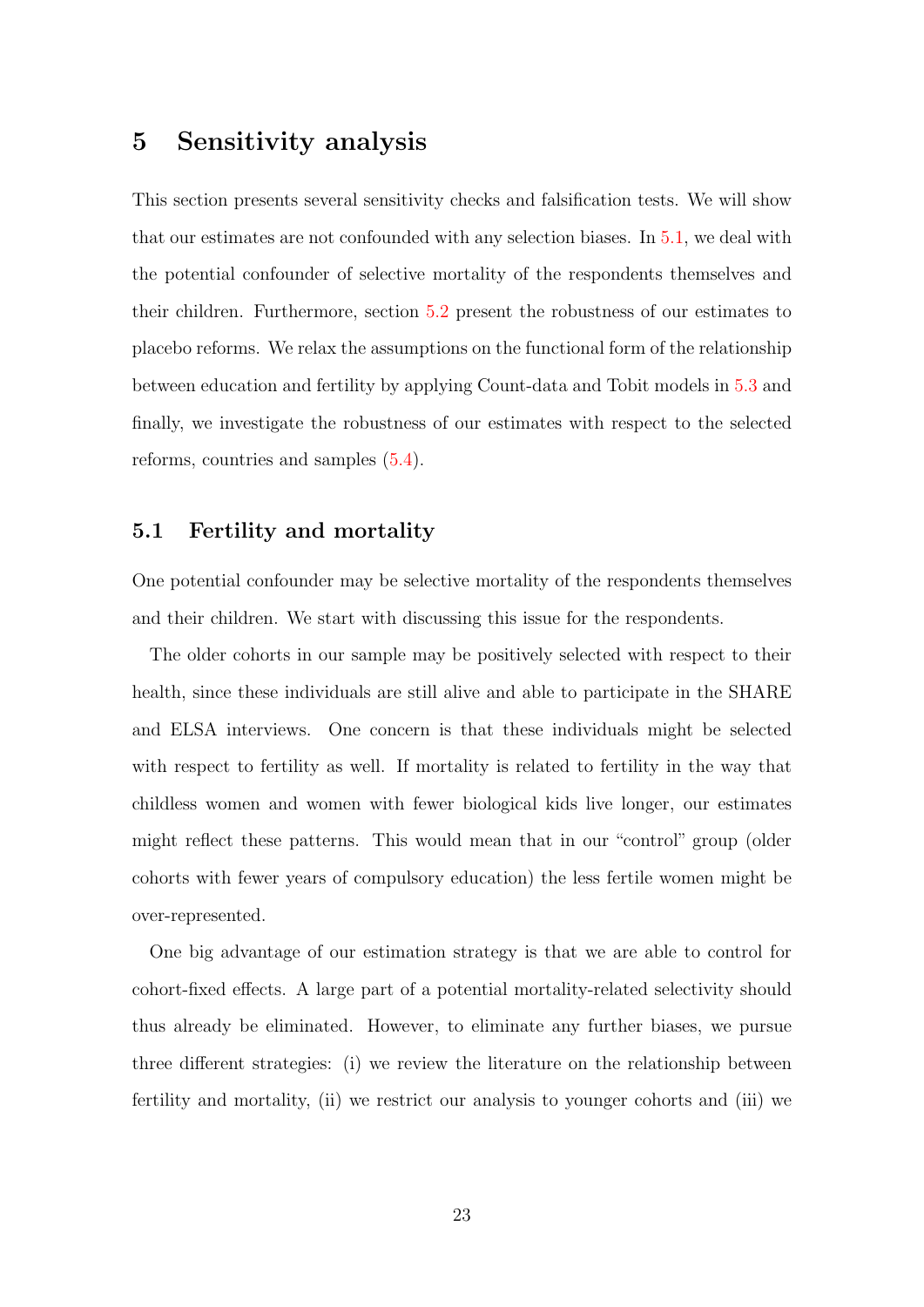## 5 Sensitivity analysis

This section presents several sensitivity checks and falsification tests. We will show that our estimates are not confounded with any selection biases. In [5.1,](#page-24-0) we deal with the potential confounder of selective mortality of the respondents themselves and their children. Furthermore, section [5.2](#page-28-0) present the robustness of our estimates to placebo reforms. We relax the assumptions on the functional form of the relationship between education and fertility by applying Count-data and Tobit models in [5.3](#page-30-0) and finally, we investigate the robustness of our estimates with respect to the selected reforms, countries and samples [\(5.4\)](#page-33-0).

#### <span id="page-24-0"></span>5.1 Fertility and mortality

One potential confounder may be selective mortality of the respondents themselves and their children. We start with discussing this issue for the respondents.

The older cohorts in our sample may be positively selected with respect to their health, since these individuals are still alive and able to participate in the SHARE and ELSA interviews. One concern is that these individuals might be selected with respect to fertility as well. If mortality is related to fertility in the way that childless women and women with fewer biological kids live longer, our estimates might reflect these patterns. This would mean that in our "control" group (older cohorts with fewer years of compulsory education) the less fertile women might be over-represented.

One big advantage of our estimation strategy is that we are able to control for cohort-fixed effects. A large part of a potential mortality-related selectivity should thus already be eliminated. However, to eliminate any further biases, we pursue three different strategies: (i) we review the literature on the relationship between fertility and mortality, (ii) we restrict our analysis to younger cohorts and (iii) we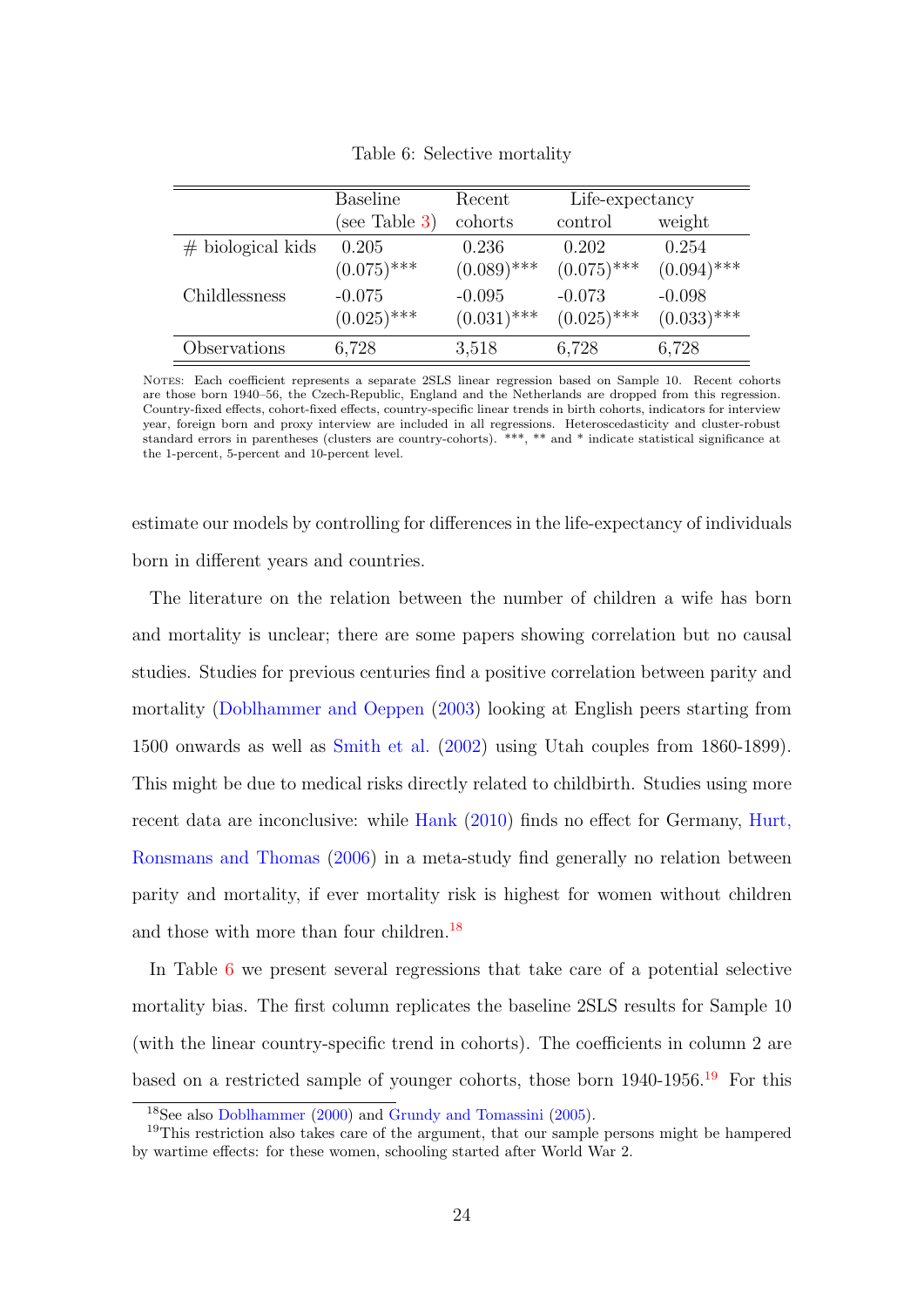|                     | <b>Baseline</b> | Recent        | Life-expectancy |               |
|---------------------|-----------------|---------------|-----------------|---------------|
|                     | (see Table 3)   | cohorts       | control         | weight        |
| $#$ biological kids | 0.205           | 0.236         | 0.202           | 0.254         |
|                     | $(0.075)$ ***   | $(0.089)$ *** | $(0.075)$ ***   | $(0.094)$ *** |
| Childlessness       | $-0.075$        | $-0.095$      | $-0.073$        | $-0.098$      |
|                     | $(0.025)$ ***   | $(0.031)$ *** | $(0.025)$ ***   | $(0.033)$ *** |
| Observations        | 6,728           | 3,518         | 6,728           | 6,728         |

<span id="page-25-1"></span>Table 6: Selective mortality

NOTES: Each coefficient represents a separate 2SLS linear regression based on Sample 10. Recent cohorts are those born 1940–56, the Czech-Republic, England and the Netherlands are dropped from this regression. Country-fixed effects, cohort-fixed effects, country-specific linear trends in birth cohorts, indicators for interview year, foreign born and proxy interview are included in all regressions. Heteroscedasticity and cluster-robust standard errors in parentheses (clusters are country-cohorts). \*\*\*, \*\* and \* indicate statistical significance at the 1-percent, 5-percent and 10-percent level.

estimate our models by controlling for differences in the life-expectancy of individuals born in different years and countries.

The literature on the relation between the number of children a wife has born and mortality is unclear; there are some papers showing correlation but no causal studies. Studies for previous centuries find a positive correlation between parity and mortality [\(Doblhammer and Oeppen](#page-39-2) [\(2003\)](#page-39-2) looking at English peers starting from 1500 onwards as well as [Smith et al.](#page-41-5) [\(2002\)](#page-41-5) using Utah couples from 1860-1899). This might be due to medical risks directly related to childbirth. Studies using more recent data are inconclusive: while [Hank](#page-39-3) [\(2010\)](#page-39-3) finds no effect for Germany, [Hurt,](#page-39-4) [Ronsmans and Thomas](#page-39-4) [\(2006\)](#page-39-4) in a meta-study find generally no relation between parity and mortality, if ever mortality risk is highest for women without children and those with more than four children.<sup>[18](#page-25-0)</sup>

In Table [6](#page-25-1) we present several regressions that take care of a potential selective mortality bias. The first column replicates the baseline 2SLS results for Sample 10 (with the linear country-specific trend in cohorts). The coefficients in column 2 are based on a restricted sample of younger cohorts, those born  $1940-1956$  $1940-1956$ .<sup>19</sup> For this

<span id="page-25-2"></span><span id="page-25-0"></span><sup>18</sup>See also [Doblhammer](#page-39-5) [\(2000\)](#page-39-5) and [Grundy and Tomassini](#page-39-6) [\(2005\)](#page-39-6).

<sup>&</sup>lt;sup>19</sup>This restriction also takes care of the argument, that our sample persons might be hampered by wartime effects: for these women, schooling started after World War 2.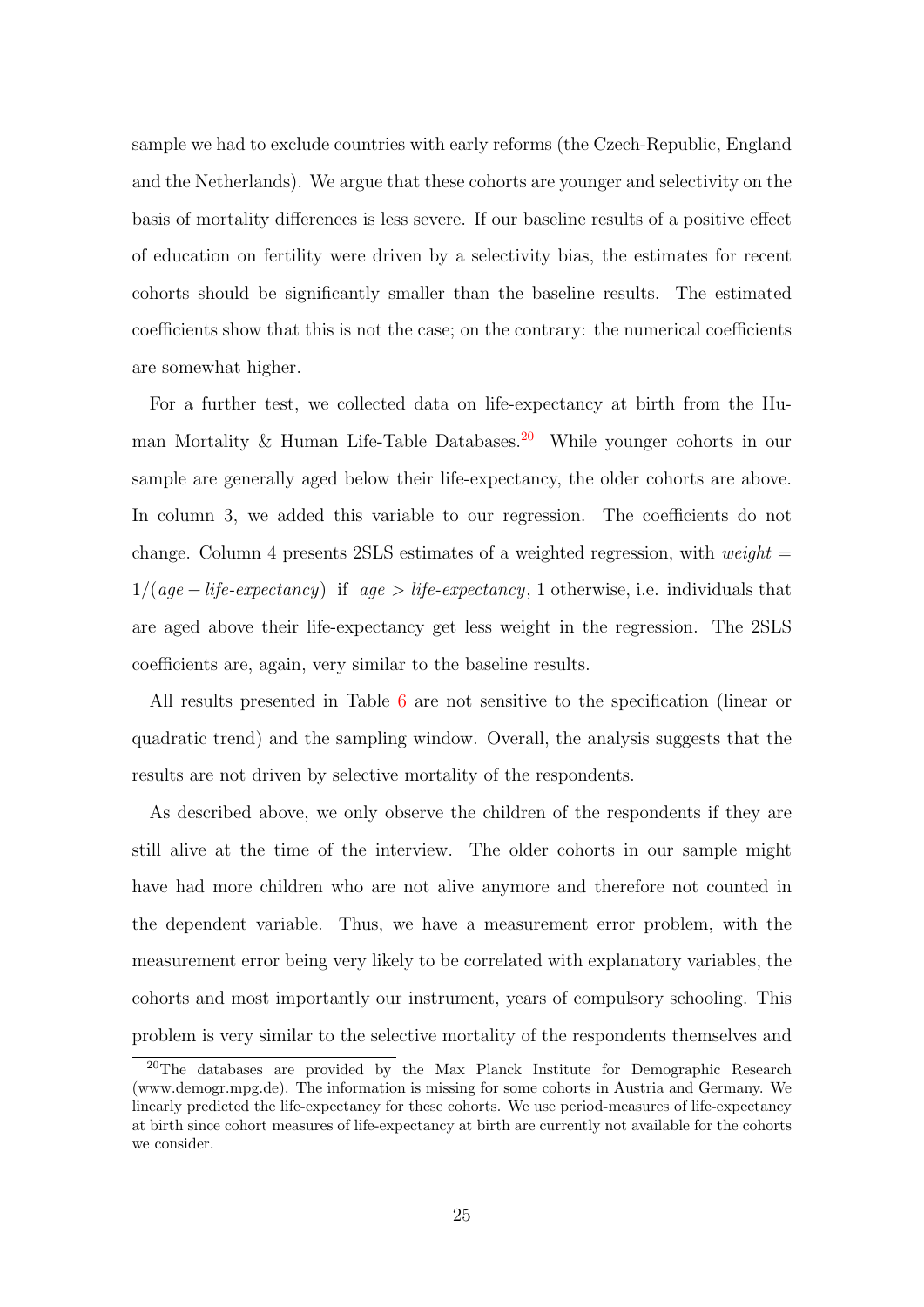sample we had to exclude countries with early reforms (the Czech-Republic, England and the Netherlands). We argue that these cohorts are younger and selectivity on the basis of mortality differences is less severe. If our baseline results of a positive effect of education on fertility were driven by a selectivity bias, the estimates for recent cohorts should be significantly smaller than the baseline results. The estimated coefficients show that this is not the case; on the contrary: the numerical coefficients are somewhat higher.

For a further test, we collected data on life-expectancy at birth from the Hu-man Mortality & Human Life-Table Databases.<sup>[20](#page-26-0)</sup> While younger cohorts in our sample are generally aged below their life-expectancy, the older cohorts are above. In column 3, we added this variable to our regression. The coefficients do not change. Column 4 presents 2SLS estimates of a weighted regression, with *weight*  $=$  $1/(age - life-expectancy)$  if  $age > life-expectancy, 1 otherwise, i.e. individuals that$ are aged above their life-expectancy get less weight in the regression. The 2SLS coefficients are, again, very similar to the baseline results.

All results presented in Table [6](#page-25-1) are not sensitive to the specification (linear or quadratic trend) and the sampling window. Overall, the analysis suggests that the results are not driven by selective mortality of the respondents.

As described above, we only observe the children of the respondents if they are still alive at the time of the interview. The older cohorts in our sample might have had more children who are not alive anymore and therefore not counted in the dependent variable. Thus, we have a measurement error problem, with the measurement error being very likely to be correlated with explanatory variables, the cohorts and most importantly our instrument, years of compulsory schooling. This problem is very similar to the selective mortality of the respondents themselves and

<span id="page-26-0"></span><sup>&</sup>lt;sup>20</sup>The databases are provided by the Max Planck Institute for Demographic Research (www.demogr.mpg.de). The information is missing for some cohorts in Austria and Germany. We linearly predicted the life-expectancy for these cohorts. We use period-measures of life-expectancy at birth since cohort measures of life-expectancy at birth are currently not available for the cohorts we consider.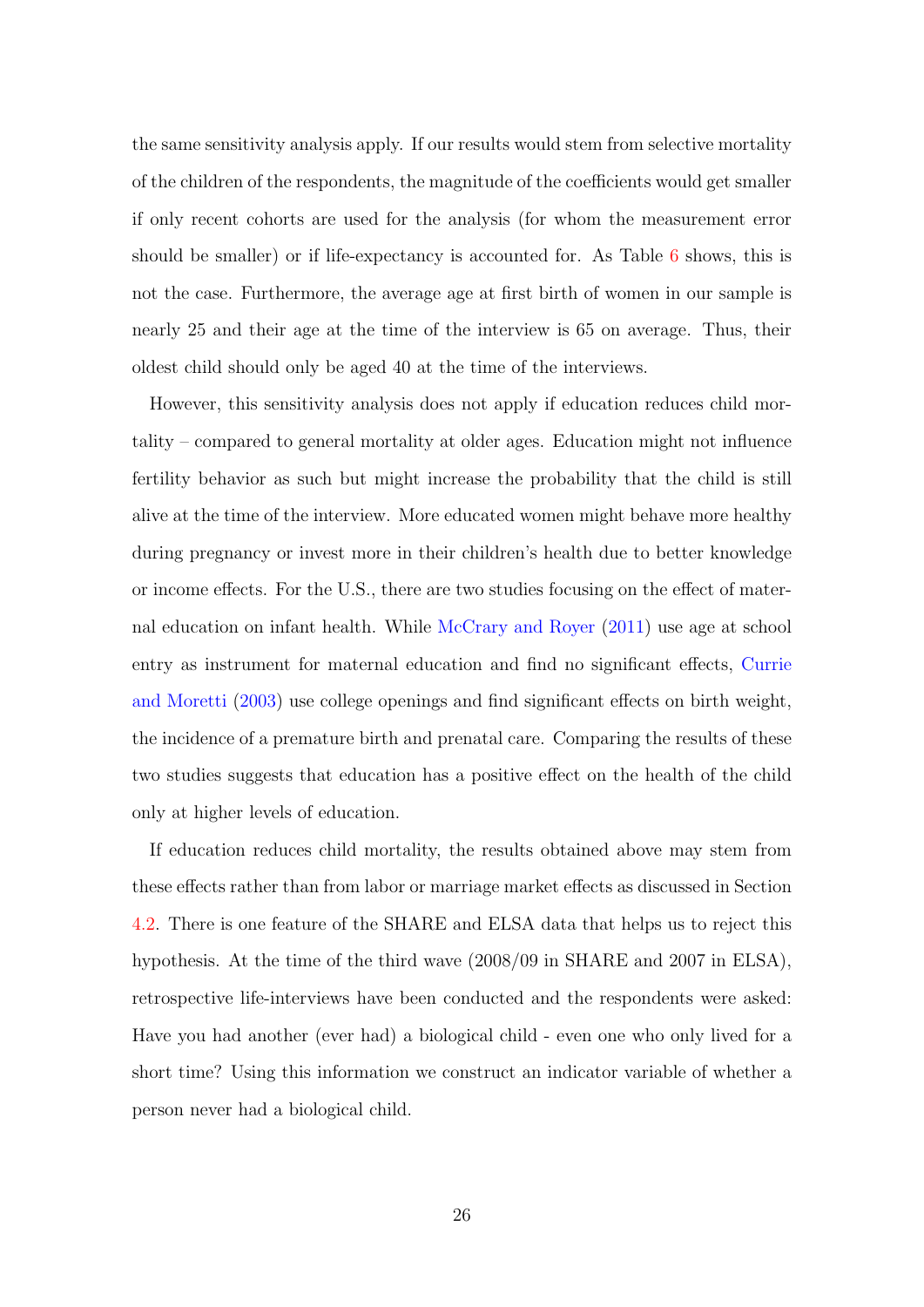the same sensitivity analysis apply. If our results would stem from selective mortality of the children of the respondents, the magnitude of the coefficients would get smaller if only recent cohorts are used for the analysis (for whom the measurement error should be smaller) or if life-expectancy is accounted for. As Table [6](#page-25-1) shows, this is not the case. Furthermore, the average age at first birth of women in our sample is nearly 25 and their age at the time of the interview is 65 on average. Thus, their oldest child should only be aged 40 at the time of the interviews.

However, this sensitivity analysis does not apply if education reduces child mortality – compared to general mortality at older ages. Education might not influence fertility behavior as such but might increase the probability that the child is still alive at the time of the interview. More educated women might behave more healthy during pregnancy or invest more in their children's health due to better knowledge or income effects. For the U.S., there are two studies focusing on the effect of maternal education on infant health. While [McCrary and Royer](#page-40-4) [\(2011\)](#page-40-4) use age at school entry as instrument for maternal education and find no significant effects, [Currie](#page-38-5) [and Moretti](#page-38-5) [\(2003\)](#page-38-5) use college openings and find significant effects on birth weight, the incidence of a premature birth and prenatal care. Comparing the results of these two studies suggests that education has a positive effect on the health of the child only at higher levels of education.

If education reduces child mortality, the results obtained above may stem from these effects rather than from labor or marriage market effects as discussed in Section [4.2.](#page-14-0) There is one feature of the SHARE and ELSA data that helps us to reject this hypothesis. At the time of the third wave (2008/09 in SHARE and 2007 in ELSA), retrospective life-interviews have been conducted and the respondents were asked: Have you had another (ever had) a biological child - even one who only lived for a short time? Using this information we construct an indicator variable of whether a person never had a biological child.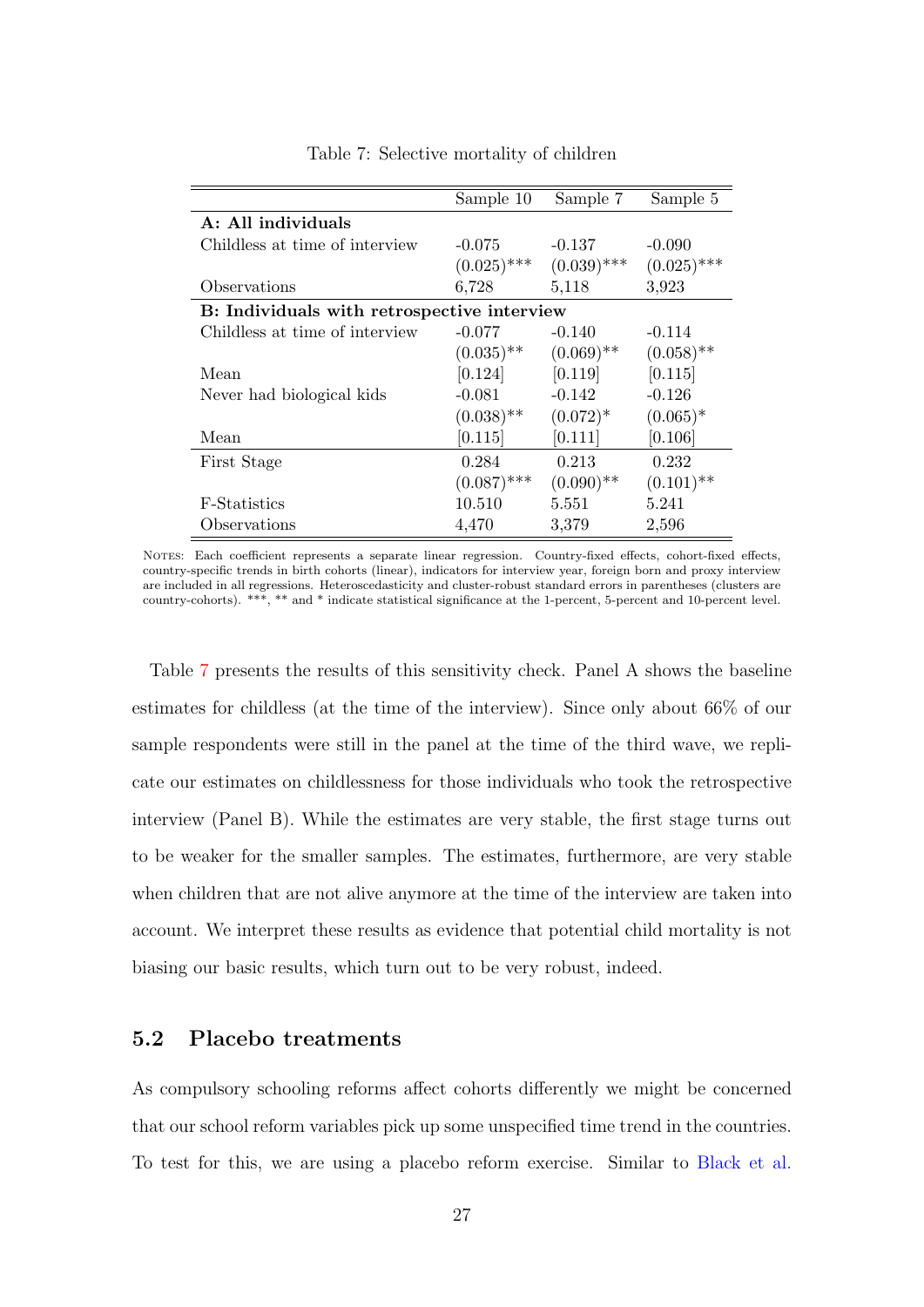|                                             | Sample 10     | Sample 7      | Sample 5      |
|---------------------------------------------|---------------|---------------|---------------|
| A: All individuals                          |               |               |               |
| Childless at time of interview              | $-0.075$      | $-0.137$      | $-0.090$      |
|                                             | $(0.025)$ *** | $(0.039)$ *** | $(0.025)$ *** |
| Observations                                | 6,728         | 5,118         | 3,923         |
| B: Individuals with retrospective interview |               |               |               |
| Childless at time of interview              | $-0.077$      | $-0.140$      | $-0.114$      |
|                                             | $(0.035)$ **  | $(0.069)$ **  | $(0.058)$ **  |
| Mean                                        | [0.124]       | [0.119]       | [0.115]       |
| Never had biological kids                   | $-0.081$      | $-0.142$      | $-0.126$      |
|                                             | $(0.038)$ **  | $(0.072)^*$   | $(0.065)^*$   |
| Mean                                        | [0.115]       | [0.111]       | [0.106]       |
| First Stage                                 | 0.284         | 0.213         | 0.232         |
|                                             | $(0.087)$ *** | $(0.090)$ **  | $(0.101)$ **  |
| F-Statistics                                | 10.510        | 5.551         | 5.241         |
| Observations                                | 4,470         | 3,379         | 2,596         |

#### <span id="page-28-1"></span>Table 7: Selective mortality of children

Notes: Each coefficient represents a separate linear regression. Country-fixed effects, cohort-fixed effects, country-specific trends in birth cohorts (linear), indicators for interview year, foreign born and proxy interview are included in all regressions. Heteroscedasticity and cluster-robust standard errors in parentheses (clusters are country-cohorts). \*\*\*, \*\* and \* indicate statistical significance at the 1-percent, 5-percent and 10-percent level.

Table [7](#page-28-1) presents the results of this sensitivity check. Panel A shows the baseline estimates for childless (at the time of the interview). Since only about 66% of our sample respondents were still in the panel at the time of the third wave, we replicate our estimates on childlessness for those individuals who took the retrospective interview (Panel B). While the estimates are very stable, the first stage turns out to be weaker for the smaller samples. The estimates, furthermore, are very stable when children that are not alive anymore at the time of the interview are taken into account. We interpret these results as evidence that potential child mortality is not biasing our basic results, which turn out to be very robust, indeed.

#### <span id="page-28-0"></span>5.2 Placebo treatments

As compulsory schooling reforms affect cohorts differently we might be concerned that our school reform variables pick up some unspecified time trend in the countries. To test for this, we are using a placebo reform exercise. Similar to [Black et al.](#page-38-3)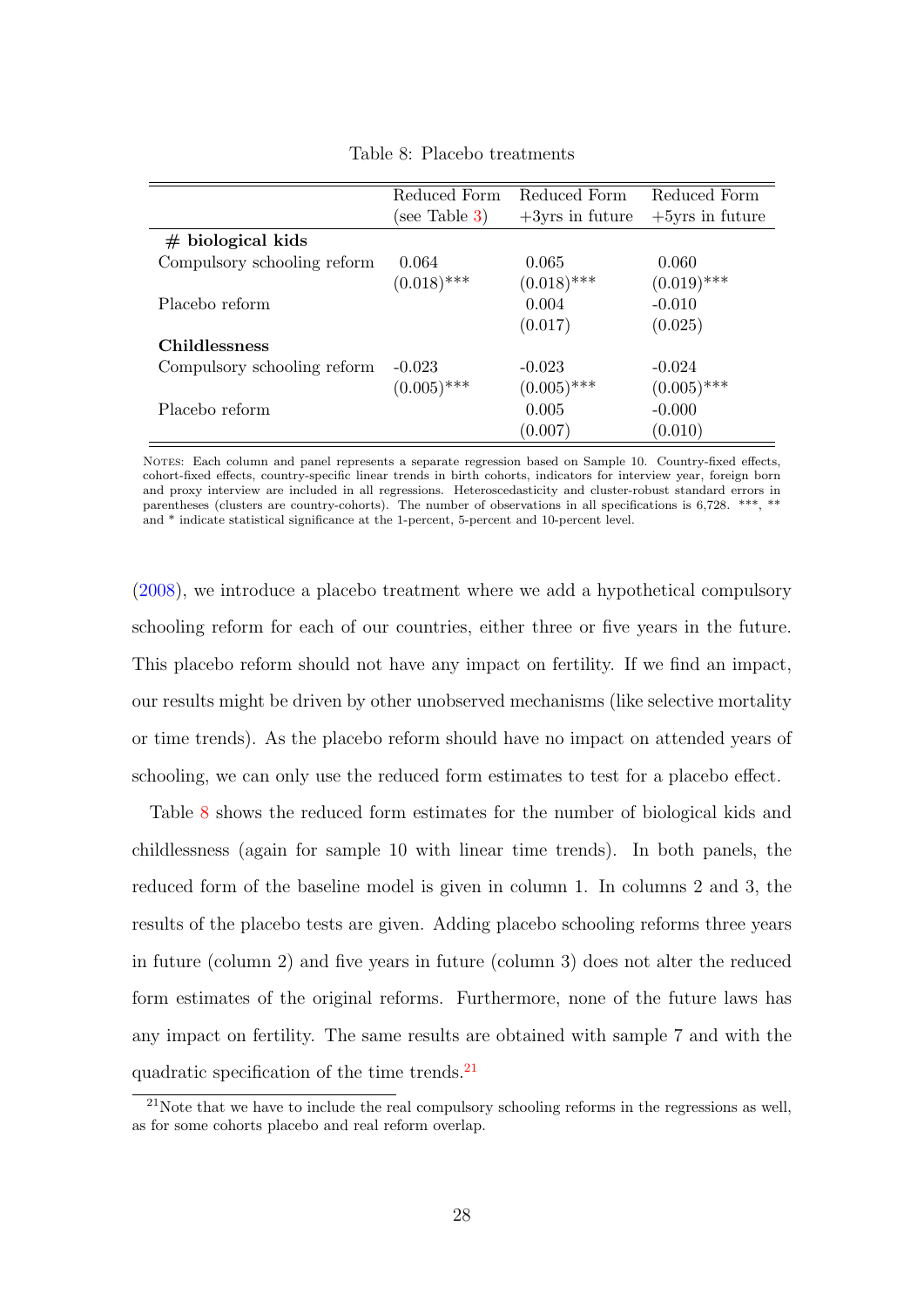|                             | Reduced Form  | Reduced Form       | Reduced Form       |
|-----------------------------|---------------|--------------------|--------------------|
|                             | (see Table 3) | $+3$ yrs in future | $+5$ yrs in future |
| $#$ biological kids         |               |                    |                    |
| Compulsory schooling reform | 0.064         | 0.065              | 0.060              |
|                             | $(0.018)$ *** | $(0.018)$ ***      | $(0.019)$ ***      |
| Placebo reform              |               | 0.004              | $-0.010$           |
|                             |               | (0.017)            | (0.025)            |
| <b>Childlessness</b>        |               |                    |                    |
| Compulsory schooling reform | $-0.023$      | $-0.023$           | $-0.024$           |
|                             | $(0.005)$ *** | $(0.005)$ ***      | $(0.005)$ ***      |
| Placebo reform              |               | 0.005              | $-0.000$           |
|                             |               | (0.007)            | (0.010)            |

<span id="page-29-0"></span>Table 8: Placebo treatments

Notes: Each column and panel represents a separate regression based on Sample 10. Country-fixed effects, cohort-fixed effects, country-specific linear trends in birth cohorts, indicators for interview year, foreign born and proxy interview are included in all regressions. Heteroscedasticity and cluster-robust standard errors in parentheses (clusters are country-cohorts). The number of observations in all specifications is 6,728. \*\*\*, \*\* and \* indicate statistical significance at the 1-percent, 5-percent and 10-percent level.

[\(2008\)](#page-38-3), we introduce a placebo treatment where we add a hypothetical compulsory schooling reform for each of our countries, either three or five years in the future. This placebo reform should not have any impact on fertility. If we find an impact, our results might be driven by other unobserved mechanisms (like selective mortality or time trends). As the placebo reform should have no impact on attended years of schooling, we can only use the reduced form estimates to test for a placebo effect.

Table [8](#page-29-0) shows the reduced form estimates for the number of biological kids and childlessness (again for sample 10 with linear time trends). In both panels, the reduced form of the baseline model is given in column 1. In columns 2 and 3, the results of the placebo tests are given. Adding placebo schooling reforms three years in future (column 2) and five years in future (column 3) does not alter the reduced form estimates of the original reforms. Furthermore, none of the future laws has any impact on fertility. The same results are obtained with sample 7 and with the quadratic specification of the time trends.<sup>[21](#page-29-1)</sup>

<span id="page-29-1"></span> $^{21}$ Note that we have to include the real compulsory schooling reforms in the regressions as well. as for some cohorts placebo and real reform overlap.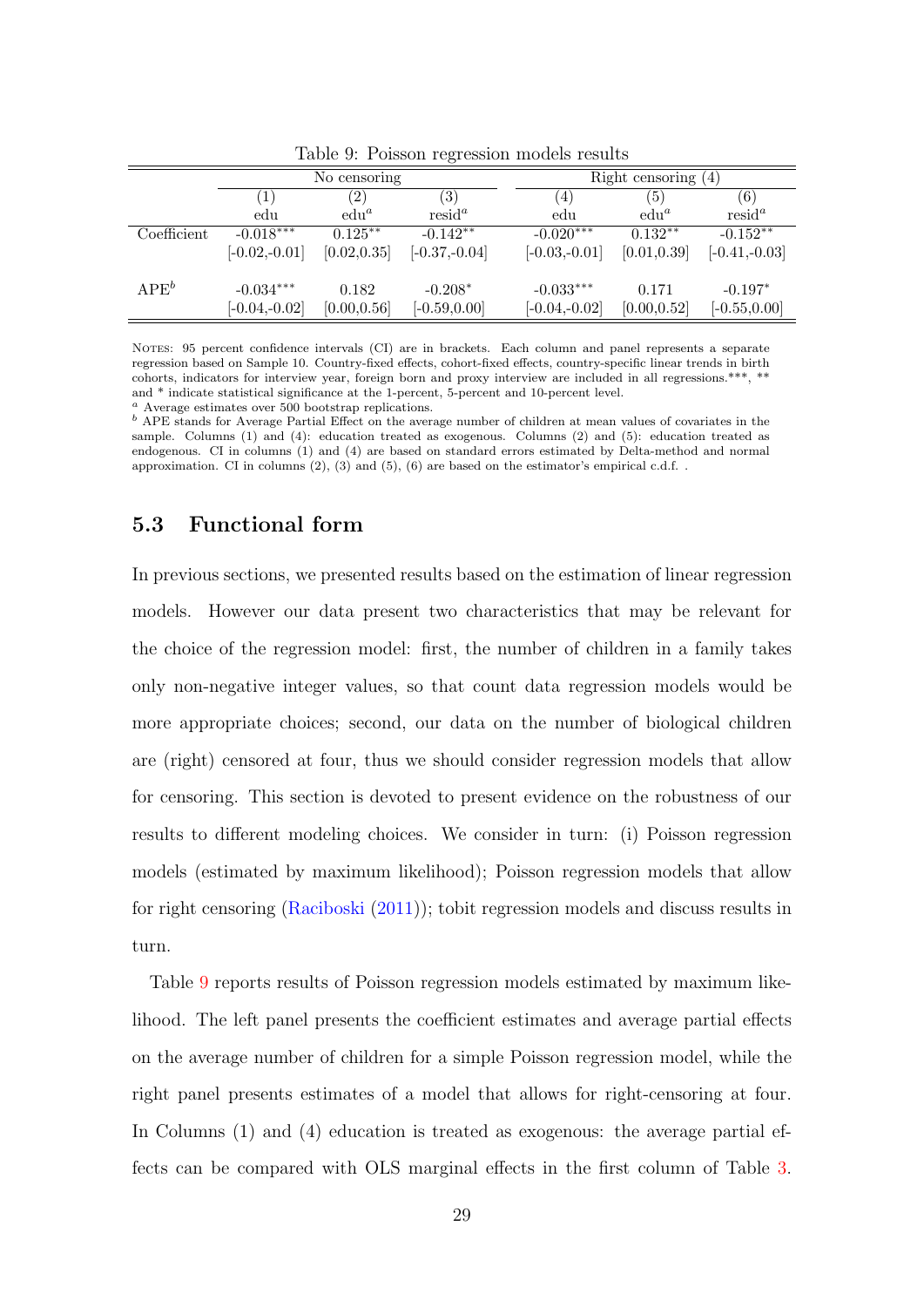|             |                 | No censoring      |                   |                 | Right censoring $(4)$ |                   |
|-------------|-----------------|-------------------|-------------------|-----------------|-----------------------|-------------------|
|             |                 | $\left( 2\right)$ | $\left( 3\right)$ | (4)             | (5)                   | $\left( 6\right)$ |
|             | edu             | $edu^a$           | $resid^a$         | edu             | $edu^a$               | $resid^a$         |
| Coefficient | $-0.018***$     | $0.125**$         | $-0.142**$        | $-0.020***$     | $0.132**$             | $-0.152**$        |
|             | $[-0.02,-0.01]$ | [0.02, 0.35]      | $[-0.37,-0.04]$   | $[-0.03,-0.01]$ | [0.01, 0.39]          | $[-0.41,-0.03]$   |
| $APE^b$     | $-0.034***$     | 0.182             | $-0.208*$         | $-0.033***$     | 0.171                 | $-0.197*$         |
|             | $[-0.04,-0.02]$ | [0.00, 0.56]      | $[-0.59, 0.00]$   | $[-0.04,-0.02]$ | [0.00, 0.52]          | $[-0.55, 0.00]$   |

<span id="page-30-1"></span>Table 9: Poisson regression models results

NOTES: 95 percent confidence intervals (CI) are in brackets. Each column and panel represents a separate regression based on Sample 10. Country-fixed effects, cohort-fixed effects, country-specific linear trends in birth cohorts, indicators for interview year, foreign born and proxy interview are included in all regressions.\*\*\*, \*\* and \* indicate statistical significance at the 1-percent, 5-percent and 10-percent level.

<sup>a</sup> Average estimates over 500 bootstrap replications.

b APE stands for Average Partial Effect on the average number of children at mean values of covariates in the sample. Columns (1) and (4): education treated as exogenous. Columns (2) and (5): education treated as endogenous. CI in columns (1) and (4) are based on standard errors estimated by Delta-method and normal approximation. CI in columns  $(2)$ ,  $(3)$  and  $(5)$ ,  $(6)$  are based on the estimator's empirical c.d.f..

### <span id="page-30-0"></span>5.3 Functional form

In previous sections, we presented results based on the estimation of linear regression models. However our data present two characteristics that may be relevant for the choice of the regression model: first, the number of children in a family takes only non-negative integer values, so that count data regression models would be more appropriate choices; second, our data on the number of biological children are (right) censored at four, thus we should consider regression models that allow for censoring. This section is devoted to present evidence on the robustness of our results to different modeling choices. We consider in turn: (i) Poisson regression models (estimated by maximum likelihood); Poisson regression models that allow for right censoring [\(Raciboski](#page-41-6) [\(2011\)](#page-41-6)); tobit regression models and discuss results in turn.

Table [9](#page-30-1) reports results of Poisson regression models estimated by maximum likelihood. The left panel presents the coefficient estimates and average partial effects on the average number of children for a simple Poisson regression model, while the right panel presents estimates of a model that allows for right-censoring at four. In Columns (1) and (4) education is treated as exogenous: the average partial effects can be compared with OLS marginal effects in the first column of Table [3.](#page-15-0)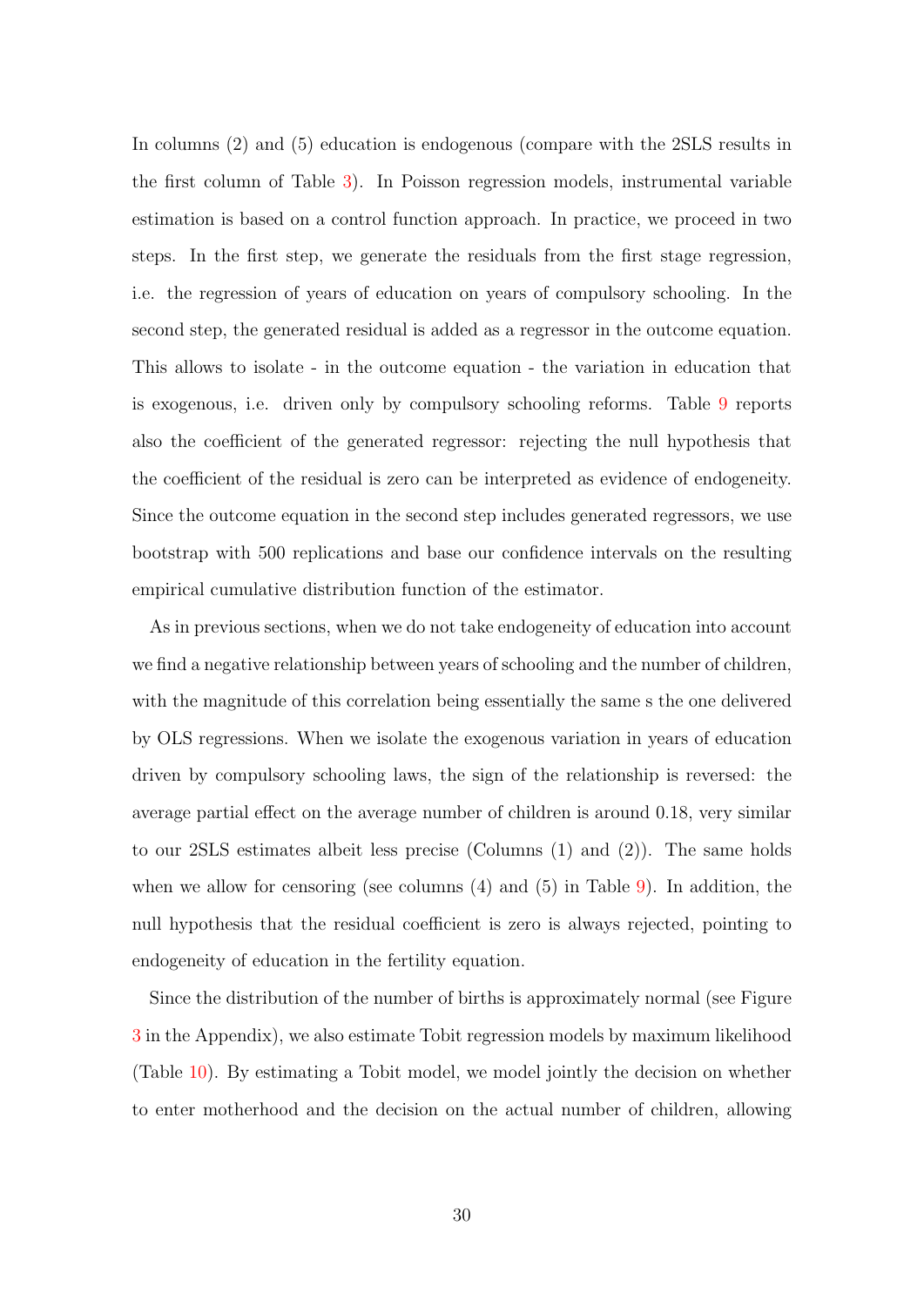In columns (2) and (5) education is endogenous (compare with the 2SLS results in the first column of Table [3\)](#page-15-0). In Poisson regression models, instrumental variable estimation is based on a control function approach. In practice, we proceed in two steps. In the first step, we generate the residuals from the first stage regression, i.e. the regression of years of education on years of compulsory schooling. In the second step, the generated residual is added as a regressor in the outcome equation. This allows to isolate - in the outcome equation - the variation in education that is exogenous, i.e. driven only by compulsory schooling reforms. Table [9](#page-30-1) reports also the coefficient of the generated regressor: rejecting the null hypothesis that the coefficient of the residual is zero can be interpreted as evidence of endogeneity. Since the outcome equation in the second step includes generated regressors, we use bootstrap with 500 replications and base our confidence intervals on the resulting empirical cumulative distribution function of the estimator.

As in previous sections, when we do not take endogeneity of education into account we find a negative relationship between years of schooling and the number of children, with the magnitude of this correlation being essentially the same s the one delivered by OLS regressions. When we isolate the exogenous variation in years of education driven by compulsory schooling laws, the sign of the relationship is reversed: the average partial effect on the average number of children is around 0.18, very similar to our 2SLS estimates albeit less precise (Columns (1) and (2)). The same holds when we allow for censoring (see columns  $(4)$  and  $(5)$  in Table [9\)](#page-30-1). In addition, the null hypothesis that the residual coefficient is zero is always rejected, pointing to endogeneity of education in the fertility equation.

Since the distribution of the number of births is approximately normal (see Figure [3](#page-42-0) in the Appendix), we also estimate Tobit regression models by maximum likelihood (Table [10\)](#page-32-0). By estimating a Tobit model, we model jointly the decision on whether to enter motherhood and the decision on the actual number of children, allowing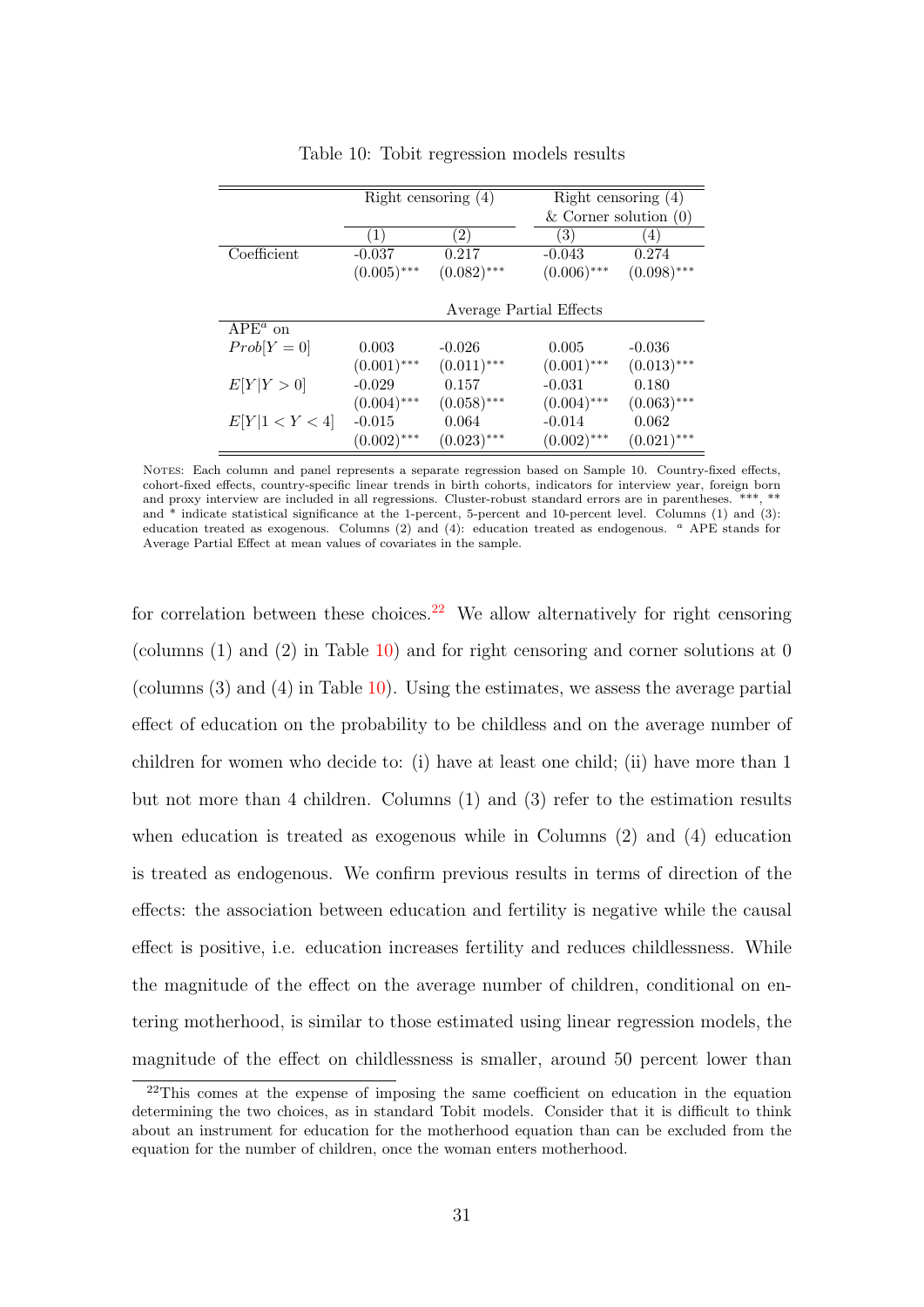|                | Right censoring $(4)$ |                         | Right censoring $(4)$     |               |
|----------------|-----------------------|-------------------------|---------------------------|---------------|
|                |                       |                         | $&$ Corner solution $(0)$ |               |
|                | $\left(1\right)$      | 2)                      | 3)                        | 4)            |
| Coefficient    | $-0.037$              | 0.217                   | $-0.043$                  | 0.274         |
|                | $(0.005)$ ***         | $(0.082)$ ***           | $(0.006)$ ***             | $(0.098)$ *** |
|                |                       |                         |                           |               |
|                |                       | Average Partial Effects |                           |               |
| $APEa$ on      |                       |                         |                           |               |
| $Prob[Y=0]$    | 0.003                 | $-0.026$                | 0.005                     | $-0.036$      |
|                | $(0.001)$ ***         | $(0.011)$ ***           | $(0.001)$ ***             | $(0.013)$ *** |
| E[Y Y>0]       | $-0.029$              | 0.157                   | $-0.031$                  | 0.180         |
|                | $(0.004)$ ***         | $(0.058)$ ***           | $(0.004)$ ***             | $(0.063)$ *** |
| E[Y 1 < Y < 4] | $-0.015$              | 0.064                   | $-0.014$                  | 0.062         |
|                | $(0.002)$ ***         | $(0.023)$ ***           | $(0.002)$ ***             | $(0.021)$ *** |

<span id="page-32-0"></span>Table 10: Tobit regression models results

NOTES: Each column and panel represents a separate regression based on Sample 10. Country-fixed effects, cohort-fixed effects, country-specific linear trends in birth cohorts, indicators for interview year, foreign born and proxy interview are included in all regressions. Cluster-robust standard errors are in parentheses. \*\*\*, \*\* and \* indicate statistical significance at the 1-percent, 5-percent and 10-percent level. Columns (1) and (3): education treated as exogenous. Columns (2) and (4): education treated as endogenous. <sup>a</sup> APE stands for Average Partial Effect at mean values of covariates in the sample.

for correlation between these choices.<sup>[22](#page-32-1)</sup> We allow alternatively for right censoring (columns  $(1)$  and  $(2)$  in Table  $(1)$ ) and for right censoring and corner solutions at 0 (columns (3) and (4) in Table [10\)](#page-32-0). Using the estimates, we assess the average partial effect of education on the probability to be childless and on the average number of children for women who decide to: (i) have at least one child; (ii) have more than 1 but not more than 4 children. Columns (1) and (3) refer to the estimation results when education is treated as exogenous while in Columns (2) and (4) education is treated as endogenous. We confirm previous results in terms of direction of the effects: the association between education and fertility is negative while the causal effect is positive, i.e. education increases fertility and reduces childlessness. While the magnitude of the effect on the average number of children, conditional on entering motherhood, is similar to those estimated using linear regression models, the magnitude of the effect on childlessness is smaller, around 50 percent lower than

<span id="page-32-1"></span><sup>&</sup>lt;sup>22</sup>This comes at the expense of imposing the same coefficient on education in the equation determining the two choices, as in standard Tobit models. Consider that it is difficult to think about an instrument for education for the motherhood equation than can be excluded from the equation for the number of children, once the woman enters motherhood.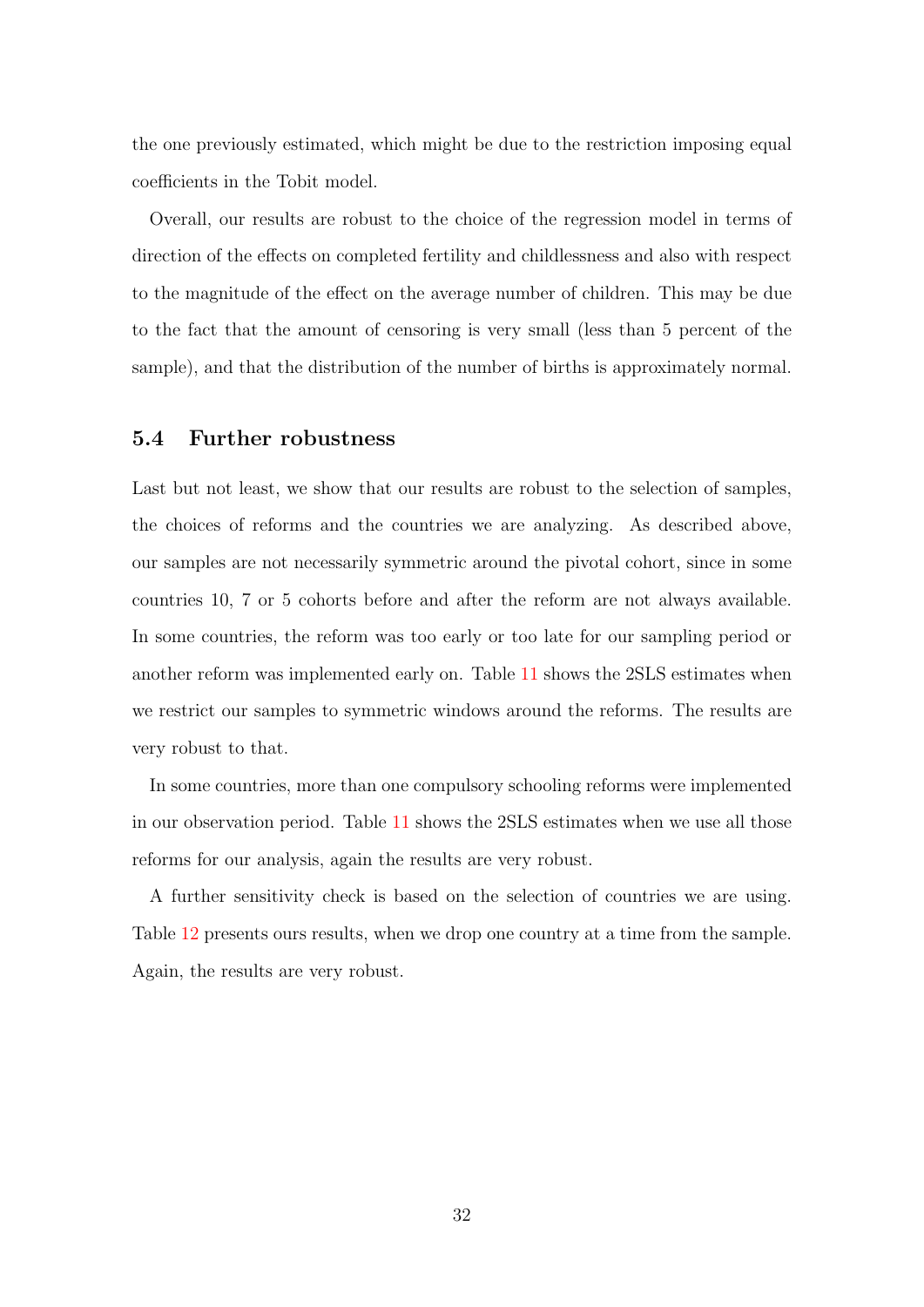the one previously estimated, which might be due to the restriction imposing equal coefficients in the Tobit model.

Overall, our results are robust to the choice of the regression model in terms of direction of the effects on completed fertility and childlessness and also with respect to the magnitude of the effect on the average number of children. This may be due to the fact that the amount of censoring is very small (less than 5 percent of the sample), and that the distribution of the number of births is approximately normal.

#### <span id="page-33-0"></span>5.4 Further robustness

Last but not least, we show that our results are robust to the selection of samples, the choices of reforms and the countries we are analyzing. As described above, our samples are not necessarily symmetric around the pivotal cohort, since in some countries 10, 7 or 5 cohorts before and after the reform are not always available. In some countries, the reform was too early or too late for our sampling period or another reform was implemented early on. Table [11](#page-34-0) shows the 2SLS estimates when we restrict our samples to symmetric windows around the reforms. The results are very robust to that.

In some countries, more than one compulsory schooling reforms were implemented in our observation period. Table [11](#page-34-0) shows the 2SLS estimates when we use all those reforms for our analysis, again the results are very robust.

A further sensitivity check is based on the selection of countries we are using. Table [12](#page-34-1) presents ours results, when we drop one country at a time from the sample. Again, the results are very robust.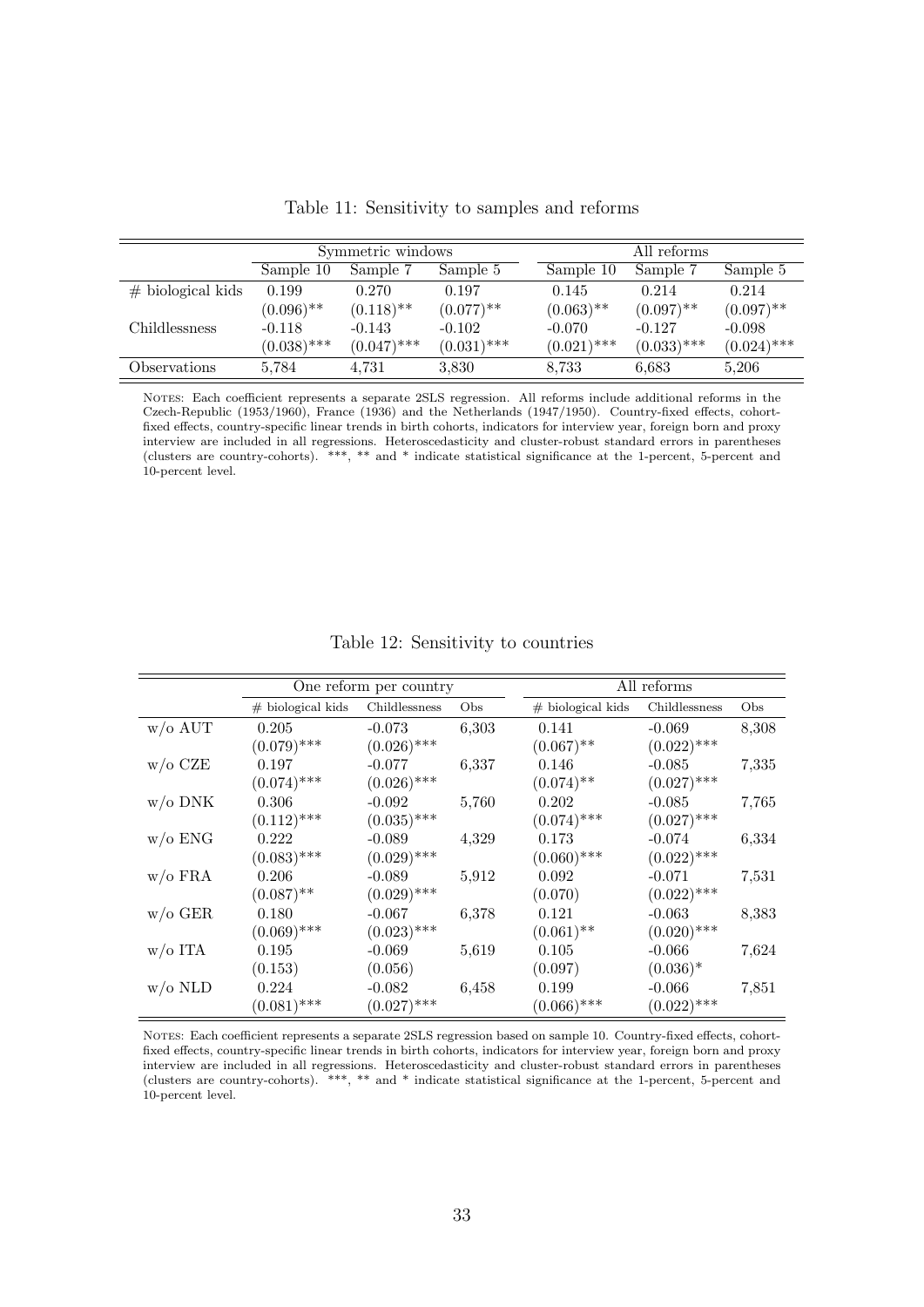|                     |               | Symmetric windows       |                         |               | All reforms   |               |
|---------------------|---------------|-------------------------|-------------------------|---------------|---------------|---------------|
|                     | Sample 10     | Sample 7                | Sample 5                | Sample 10     | Sample 7      | Sample 5      |
| $#$ biological kids | 0.199         | 0.270                   | 0.197                   | 0.145         | 0.214         | 0.214         |
|                     | $(0.096)$ **  | $(0.118)$ <sup>**</sup> | $(0.077)$ <sup>**</sup> | $(0.063)$ **  | $(0.097)$ **  | $(0.097)$ **  |
| Childlessness       | $-0.118$      | $-0.143$                | $-0.102$                | $-0.070$      | $-0.127$      | $-0.098$      |
|                     | $(0.038)$ *** | $(0.047)$ ***           | $(0.031)$ ***           | $(0.021)$ *** | $(0.033)$ *** | $(0.024)$ *** |
| Observations        | 5.784         | 4,731                   | 3,830                   | 8.733         | 6.683         | 5,206         |

<span id="page-34-0"></span>Table 11: Sensitivity to samples and reforms

Notes: Each coefficient represents a separate 2SLS regression. All reforms include additional reforms in the Czech-Republic (1953/1960), France (1936) and the Netherlands (1947/1950). Country-fixed effects, cohortfixed effects, country-specific linear trends in birth cohorts, indicators for interview year, foreign born and proxy interview are included in all regressions. Heteroscedasticity and cluster-robust standard errors in parentheses (clusters are country-cohorts). \*\*\*, \*\* and \* indicate statistical significance at the 1-percent, 5-percent and 10-percent level.

<span id="page-34-1"></span>

|  |  | Table 12: Sensitivity to countries |  |  |
|--|--|------------------------------------|--|--|
|--|--|------------------------------------|--|--|

|                    |                     | One reform per country |       | All reforms         |               |       |  |
|--------------------|---------------------|------------------------|-------|---------------------|---------------|-------|--|
|                    | $#$ biological kids | Childlessness          | Obs   | $#$ biological kids | Childlessness | Obs   |  |
| $w/o$ AUT          | 0.205               | $-0.073$               | 6,303 | 0.141               | $-0.069$      | 8,308 |  |
|                    | $(0.079)$ ***       | $(0.026)$ ***          |       | $(0.067)$ **        | $(0.022)$ *** |       |  |
| $w/\mathrm{o}$ CZE | 0.197               | $-0.077$               | 6,337 | 0.146               | $-0.085$      | 7,335 |  |
|                    | $(0.074)$ ***       | $(0.026)$ ***          |       | $(0.074)$ **        | $(0.027)$ *** |       |  |
| $w$ /0 DNK         | 0.306               | $-0.092$               | 5,760 | 0.202               | $-0.085$      | 7,765 |  |
|                    | $(0.112)$ ***       | $(0.035)$ ***          |       | $(0.074)$ ***       | $(0.027)$ *** |       |  |
| $w/o$ ENG          | 0.222               | $-0.089$               | 4,329 | 0.173               | $-0.074$      | 6,334 |  |
|                    | $(0.083)$ ***       | $(0.029)$ ***          |       | $(0.060)$ ***       | $(0.022)$ *** |       |  |
| $w$ /o FRA         | 0.206               | $-0.089$               | 5,912 | 0.092               | $-0.071$      | 7,531 |  |
|                    | $(0.087)$ **        | $(0.029)$ ***          |       | (0.070)             | $(0.022)$ *** |       |  |
| $w/o$ GER          | 0.180               | $-0.067$               | 6,378 | 0.121               | $-0.063$      | 8,383 |  |
|                    | $(0.069)$ ***       | $(0.023)$ ***          |       | $(0.061)$ **        | $(0.020)$ *** |       |  |
| $w/\mathrm{o}$ ITA | 0.195               | $-0.069$               | 5,619 | 0.105               | $-0.066$      | 7,624 |  |
|                    | (0.153)             | (0.056)                |       | (0.097)             | $(0.036)^*$   |       |  |
| w/o NLD            | 0.224               | $-0.082$               | 6,458 | 0.199               | $-0.066$      | 7,851 |  |
|                    | $(0.081)$ ***       | $(0.027)$ ***          |       | $(0.066)$ ***       | $(0.022)$ *** |       |  |

Notes: Each coefficient represents a separate 2SLS regression based on sample 10. Country-fixed effects, cohortfixed effects, country-specific linear trends in birth cohorts, indicators for interview year, foreign born and proxy interview are included in all regressions. Heteroscedasticity and cluster-robust standard errors in parentheses (clusters are country-cohorts). \*\*\*, \*\* and \* indicate statistical significance at the 1-percent, 5-percent and 10-percent level.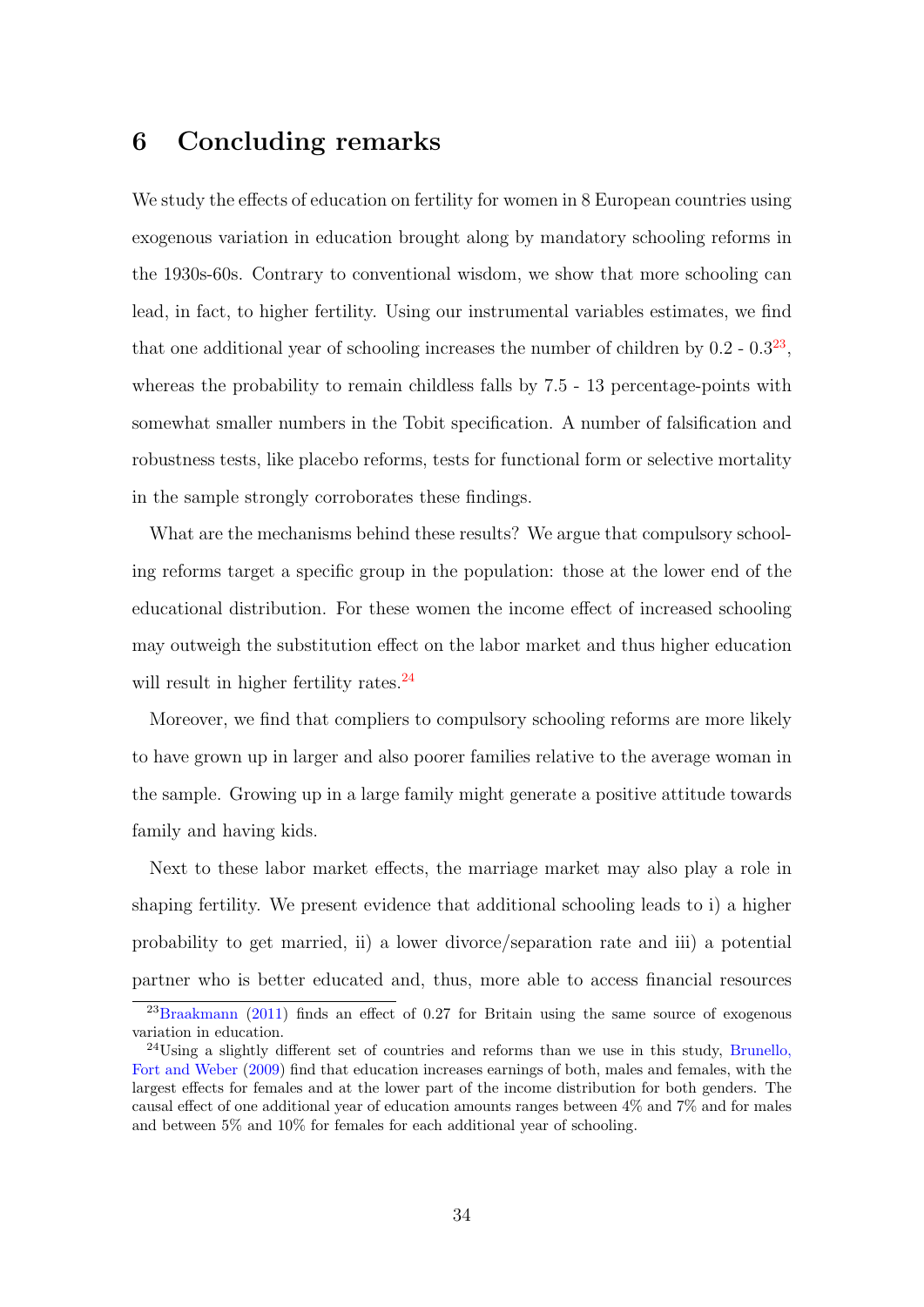## 6 Concluding remarks

We study the effects of education on fertility for women in 8 European countries using exogenous variation in education brought along by mandatory schooling reforms in the 1930s-60s. Contrary to conventional wisdom, we show that more schooling can lead, in fact, to higher fertility. Using our instrumental variables estimates, we find that one additional year of schooling increases the number of children by  $0.2 - 0.3^{23}$  $0.2 - 0.3^{23}$  $0.2 - 0.3^{23}$ , whereas the probability to remain childless falls by 7.5 - 13 percentage-points with somewhat smaller numbers in the Tobit specification. A number of falsification and robustness tests, like placebo reforms, tests for functional form or selective mortality in the sample strongly corroborates these findings.

What are the mechanisms behind these results? We argue that compulsory schooling reforms target a specific group in the population: those at the lower end of the educational distribution. For these women the income effect of increased schooling may outweigh the substitution effect on the labor market and thus higher education will result in higher fertility rates.<sup>[24](#page-35-1)</sup>

Moreover, we find that compliers to compulsory schooling reforms are more likely to have grown up in larger and also poorer families relative to the average woman in the sample. Growing up in a large family might generate a positive attitude towards family and having kids.

Next to these labor market effects, the marriage market may also play a role in shaping fertility. We present evidence that additional schooling leads to i) a higher probability to get married, ii) a lower divorce/separation rate and iii) a potential partner who is better educated and, thus, more able to access financial resources

<span id="page-35-0"></span> $^{23}$ [Braakmann](#page-38-2) [\(2011\)](#page-38-2) finds an effect of 0.27 for Britain using the same source of exogenous variation in education.

<span id="page-35-1"></span> $^{24}$ Using a slightly different set of countries and reforms than we use in this study, [Brunello,](#page-38-6) [Fort and Weber](#page-38-6) [\(2009\)](#page-38-6) find that education increases earnings of both, males and females, with the largest effects for females and at the lower part of the income distribution for both genders. The causal effect of one additional year of education amounts ranges between 4% and 7% and for males and between 5% and 10% for females for each additional year of schooling.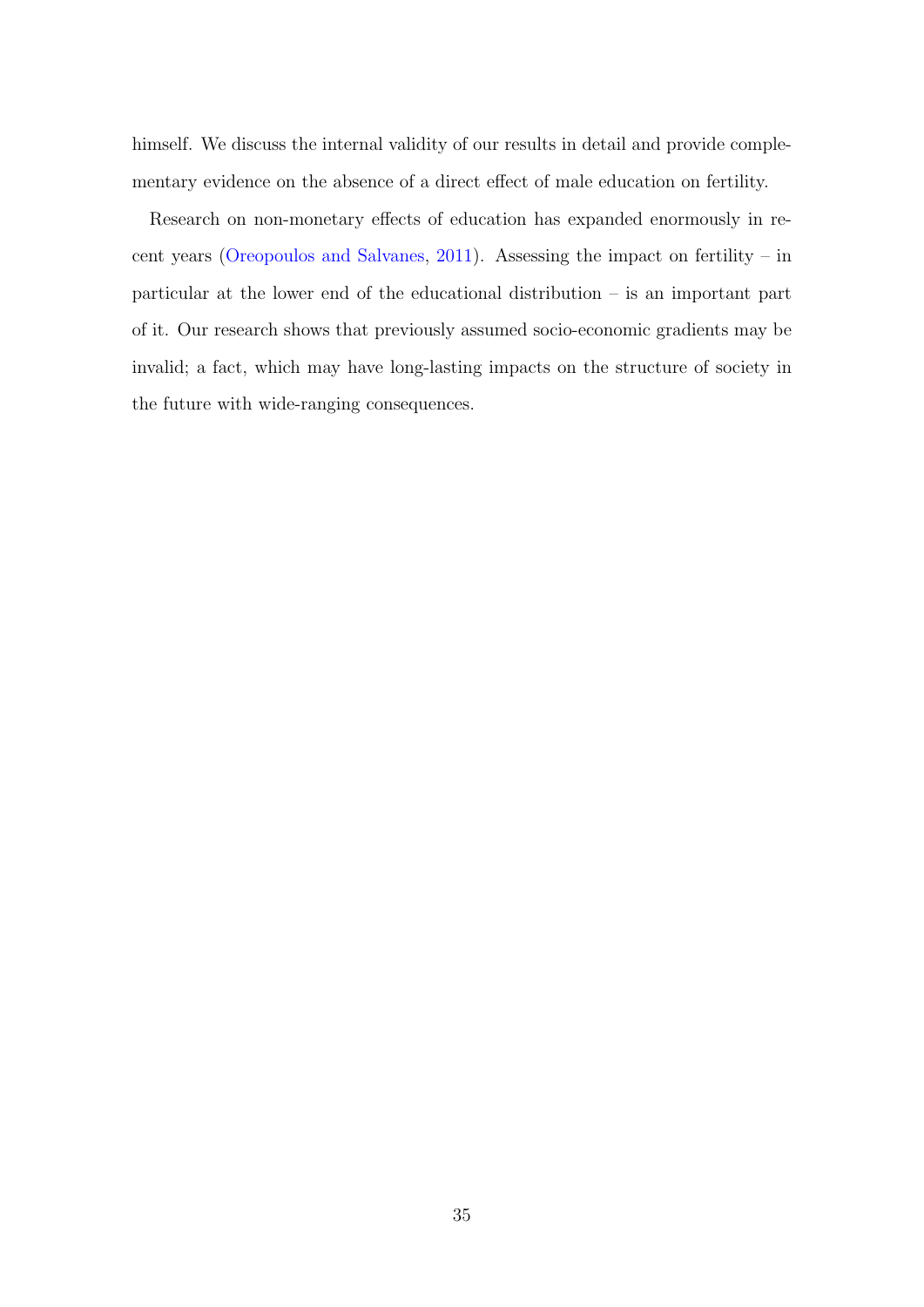himself. We discuss the internal validity of our results in detail and provide complementary evidence on the absence of a direct effect of male education on fertility.

Research on non-monetary effects of education has expanded enormously in recent years [\(Oreopoulos and Salvanes,](#page-40-1) [2011\)](#page-40-1). Assessing the impact on fertility – in particular at the lower end of the educational distribution – is an important part of it. Our research shows that previously assumed socio-economic gradients may be invalid; a fact, which may have long-lasting impacts on the structure of society in the future with wide-ranging consequences.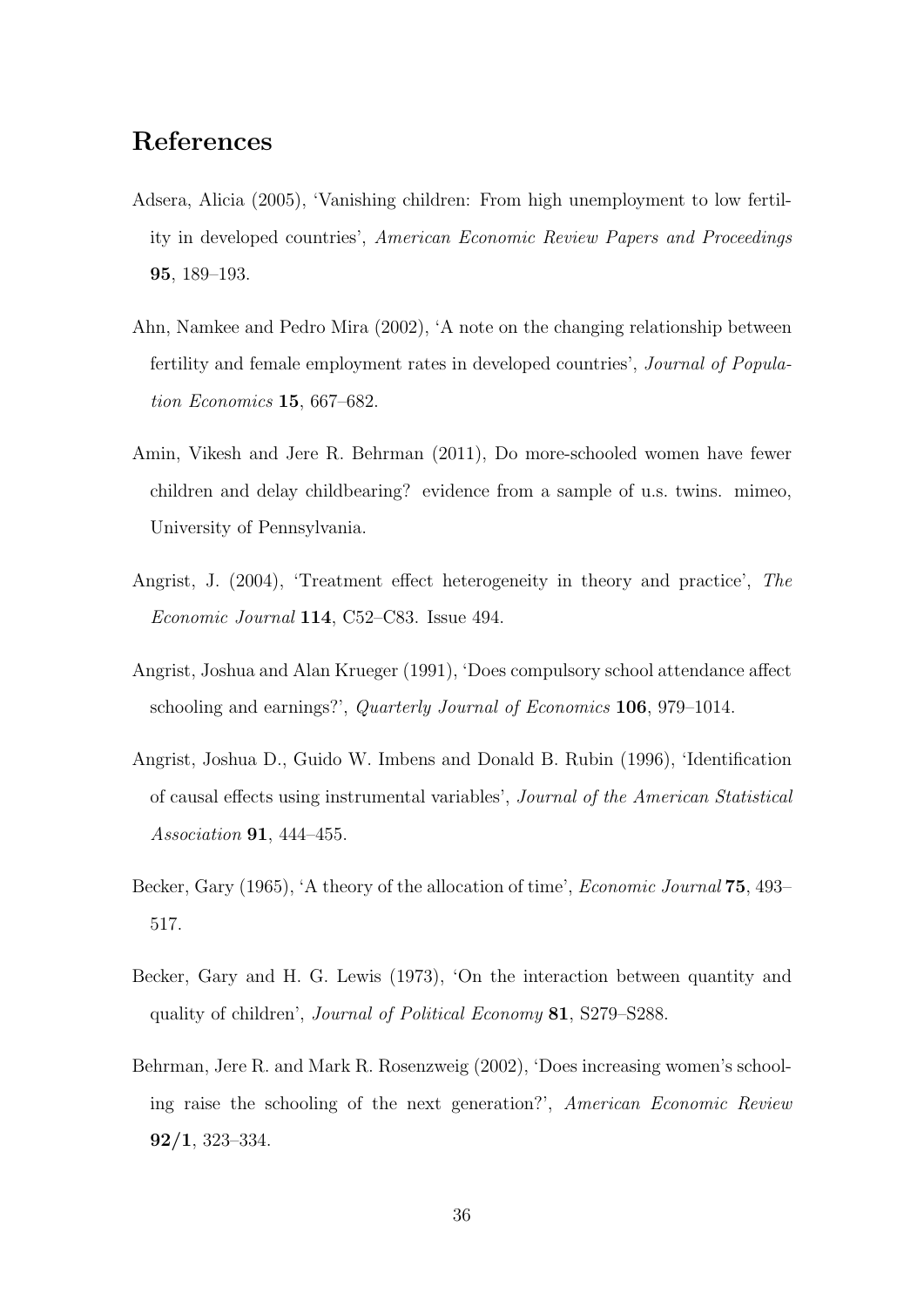## References

- <span id="page-37-3"></span>Adsera, Alicia (2005), 'Vanishing children: From high unemployment to low fertility in developed countries', American Economic Review Papers and Proceedings 95, 189–193.
- <span id="page-37-4"></span>Ahn, Namkee and Pedro Mira (2002), 'A note on the changing relationship between fertility and female employment rates in developed countries', Journal of Population Economics 15, 667–682.
- <span id="page-37-5"></span>Amin, Vikesh and Jere R. Behrman (2011), Do more-schooled women have fewer children and delay childbearing? evidence from a sample of u.s. twins. mimeo, University of Pennsylvania.
- <span id="page-37-7"></span>Angrist, J. (2004), 'Treatment effect heterogeneity in theory and practice', The Economic Journal 114, C52–C83. Issue 494.
- <span id="page-37-6"></span>Angrist, Joshua and Alan Krueger (1991), 'Does compulsory school attendance affect schooling and earnings?', Quarterly Journal of Economics 106, 979–1014.
- <span id="page-37-8"></span>Angrist, Joshua D., Guido W. Imbens and Donald B. Rubin (1996), 'Identification of causal effects using instrumental variables', Journal of the American Statistical *Association* **91**, 444–455.
- <span id="page-37-0"></span>Becker, Gary (1965), 'A theory of the allocation of time', *Economic Journal* 75, 493– 517.
- <span id="page-37-1"></span>Becker, Gary and H. G. Lewis (1973), 'On the interaction between quantity and quality of children', Journal of Political Economy 81, S279–S288.
- <span id="page-37-2"></span>Behrman, Jere R. and Mark R. Rosenzweig (2002), 'Does increasing women's schooling raise the schooling of the next generation?', American Economic Review 92/1, 323–334.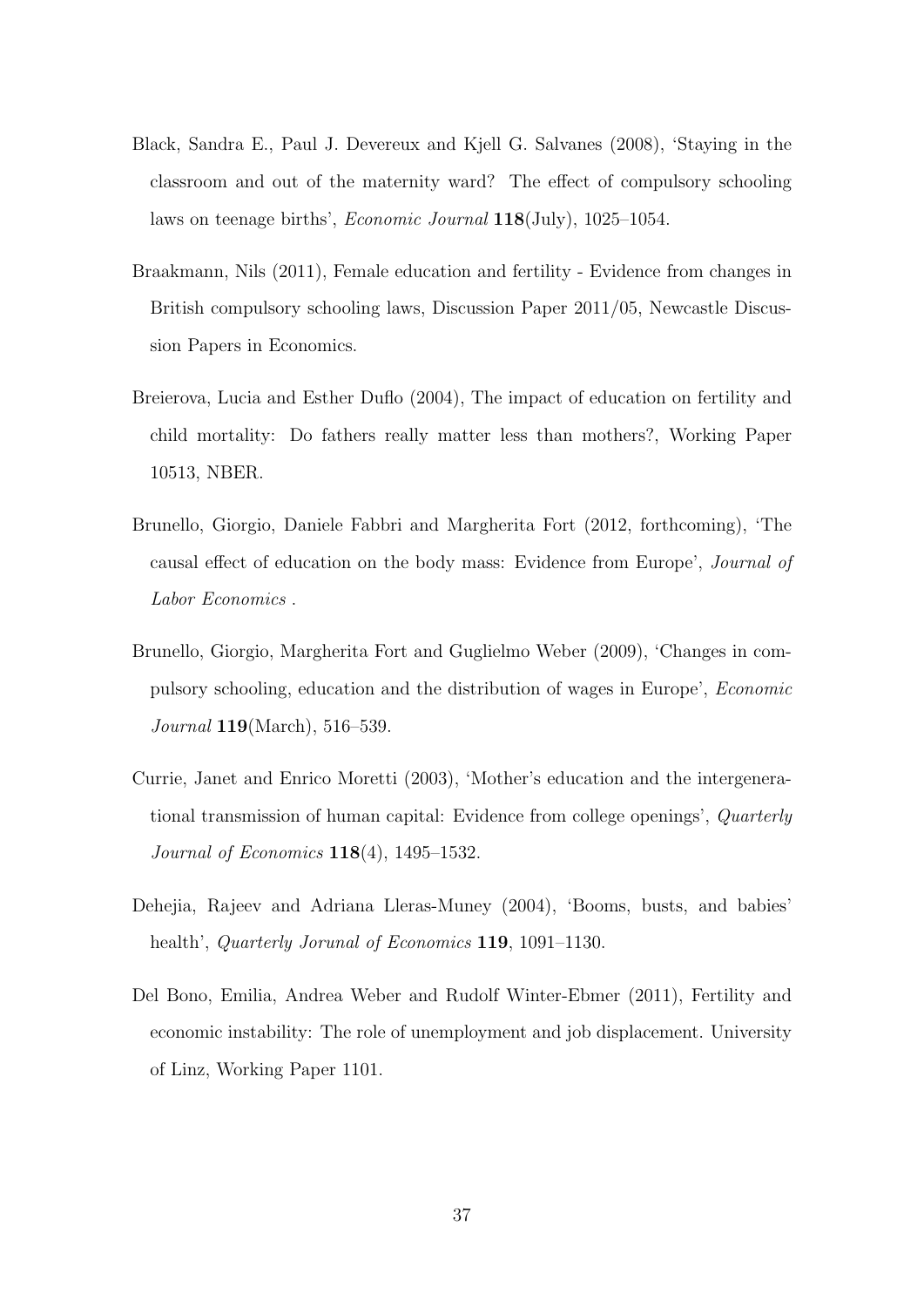- <span id="page-38-3"></span>Black, Sandra E., Paul J. Devereux and Kjell G. Salvanes (2008), 'Staying in the classroom and out of the maternity ward? The effect of compulsory schooling laws on teenage births', Economic Journal 118(July), 1025–1054.
- <span id="page-38-2"></span>Braakmann, Nils (2011), Female education and fertility - Evidence from changes in British compulsory schooling laws, Discussion Paper 2011/05, Newcastle Discussion Papers in Economics.
- <span id="page-38-4"></span>Breierova, Lucia and Esther Duflo (2004), The impact of education on fertility and child mortality: Do fathers really matter less than mothers?, Working Paper 10513, NBER.
- <span id="page-38-7"></span>Brunello, Giorgio, Daniele Fabbri and Margherita Fort (2012, forthcoming), 'The causal effect of education on the body mass: Evidence from Europe', Journal of Labor Economics .
- <span id="page-38-6"></span>Brunello, Giorgio, Margherita Fort and Guglielmo Weber (2009), 'Changes in compulsory schooling, education and the distribution of wages in Europe', Economic Journal **119**(March), 516–539.
- <span id="page-38-5"></span>Currie, Janet and Enrico Moretti (2003), 'Mother's education and the intergenerational transmission of human capital: Evidence from college openings', Quarterly Journal of Economics 118(4), 1495–1532.
- <span id="page-38-0"></span>Dehejia, Rajeev and Adriana Lleras-Muney (2004), 'Booms, busts, and babies' health', *Quarterly Jorunal of Economics* **119**, 1091–1130.
- <span id="page-38-1"></span>Del Bono, Emilia, Andrea Weber and Rudolf Winter-Ebmer (2011), Fertility and economic instability: The role of unemployment and job displacement. University of Linz, Working Paper 1101.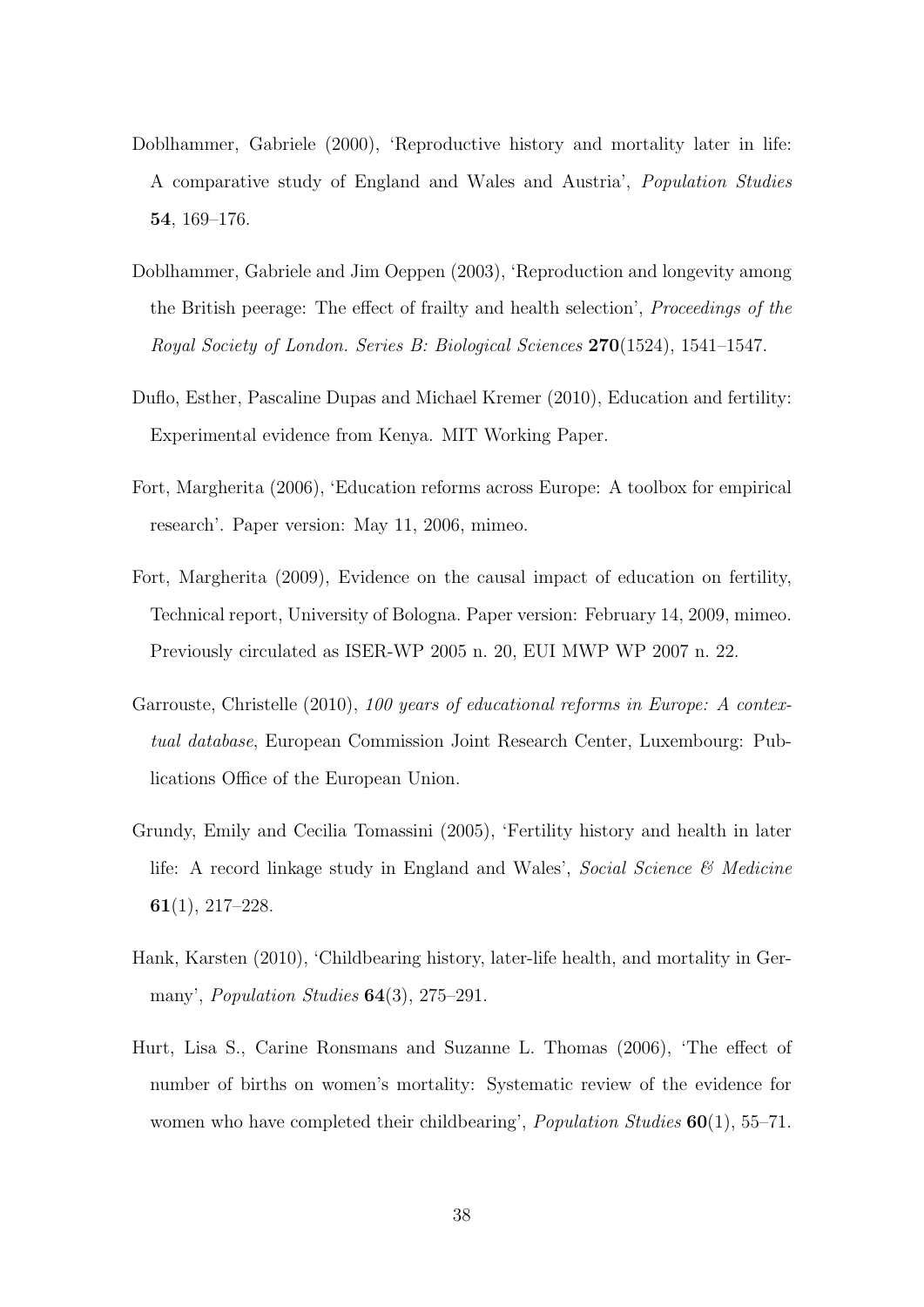- <span id="page-39-5"></span>Doblhammer, Gabriele (2000), 'Reproductive history and mortality later in life: A comparative study of England and Wales and Austria', Population Studies 54, 169–176.
- <span id="page-39-2"></span>Doblhammer, Gabriele and Jim Oeppen (2003), 'Reproduction and longevity among the British peerage: The effect of frailty and health selection', Proceedings of the Royal Society of London. Series B: Biological Sciences 270(1524), 1541–1547.
- <span id="page-39-1"></span>Duflo, Esther, Pascaline Dupas and Michael Kremer (2010), Education and fertility: Experimental evidence from Kenya. MIT Working Paper.
- <span id="page-39-7"></span>Fort, Margherita (2006), 'Education reforms across Europe: A toolbox for empirical research'. Paper version: May 11, 2006, mimeo.
- <span id="page-39-0"></span>Fort, Margherita (2009), Evidence on the causal impact of education on fertility, Technical report, University of Bologna. Paper version: February 14, 2009, mimeo. Previously circulated as ISER-WP 2005 n. 20, EUI MWP WP 2007 n. 22.
- <span id="page-39-8"></span>Garrouste, Christelle (2010), 100 years of educational reforms in Europe: A contextual database, European Commission Joint Research Center, Luxembourg: Publications Office of the European Union.
- <span id="page-39-6"></span>Grundy, Emily and Cecilia Tomassini (2005), 'Fertility history and health in later life: A record linkage study in England and Wales', *Social Science*  $\mathcal{C}$  *Medicine* 61(1), 217–228.
- <span id="page-39-3"></span>Hank, Karsten (2010), 'Childbearing history, later-life health, and mortality in Germany', *Population Studies* **64**(3), 275–291.
- <span id="page-39-4"></span>Hurt, Lisa S., Carine Ronsmans and Suzanne L. Thomas (2006), 'The effect of number of births on women's mortality: Systematic review of the evidence for women who have completed their childbearing', *Population Studies*  $60(1)$ , 55–71.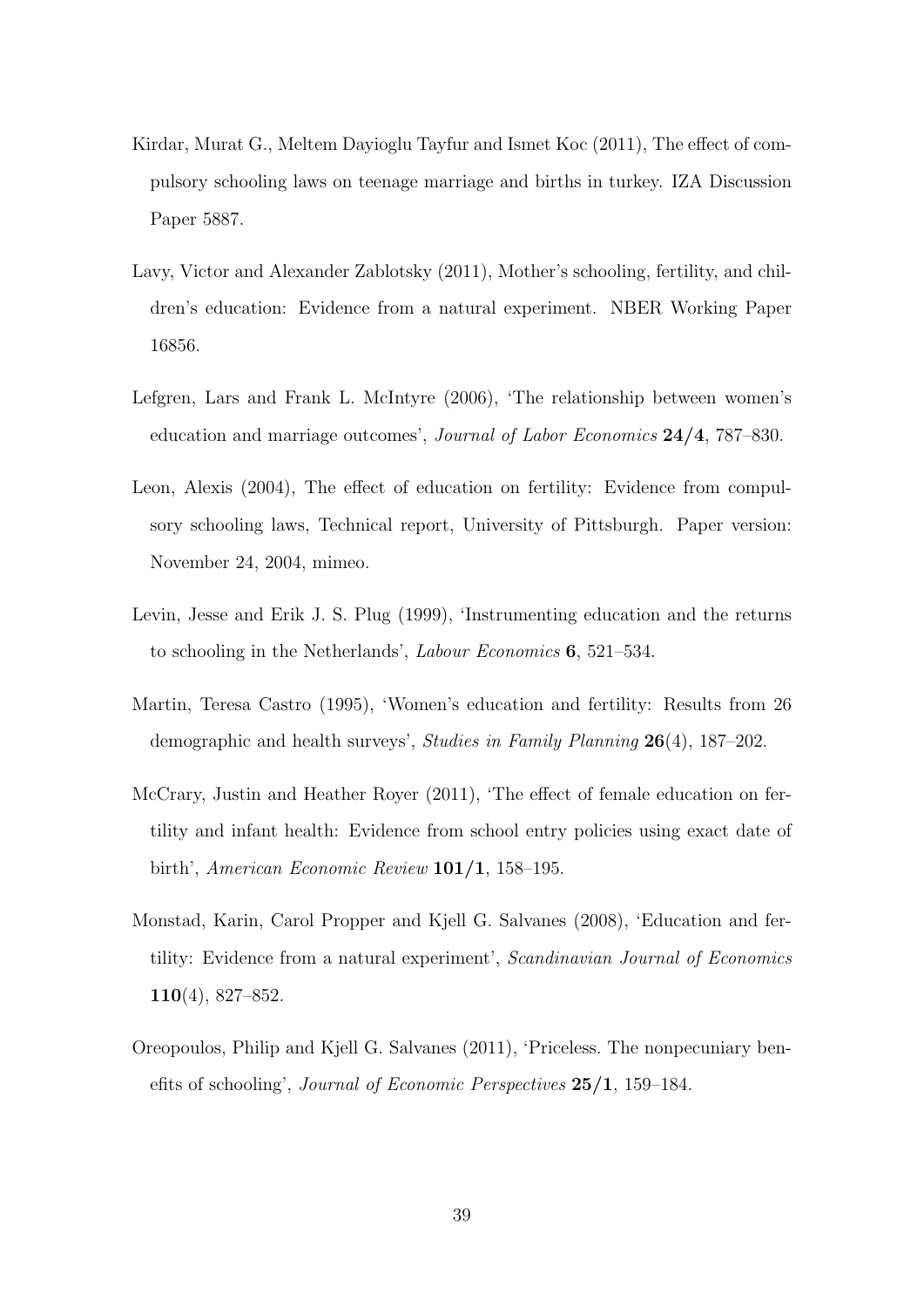- <span id="page-40-6"></span>Kirdar, Murat G., Meltem Dayioglu Tayfur and Ismet Koc (2011), The effect of compulsory schooling laws on teenage marriage and births in turkey. IZA Discussion Paper 5887.
- <span id="page-40-5"></span>Lavy, Victor and Alexander Zablotsky (2011), Mother's schooling, fertility, and children's education: Evidence from a natural experiment. NBER Working Paper 16856.
- <span id="page-40-7"></span>Lefgren, Lars and Frank L. McIntyre (2006), 'The relationship between women's education and marriage outcomes', Journal of Labor Economics 24/4, 787–830.
- <span id="page-40-3"></span>Leon, Alexis (2004), The effect of education on fertility: Evidence from compulsory schooling laws, Technical report, University of Pittsburgh. Paper version: November 24, 2004, mimeo.
- <span id="page-40-8"></span>Levin, Jesse and Erik J. S. Plug (1999), 'Instrumenting education and the returns to schooling in the Netherlands', Labour Economics 6, 521–534.
- <span id="page-40-0"></span>Martin, Teresa Castro (1995), 'Women's education and fertility: Results from 26 demographic and health surveys', Studies in Family Planning 26(4), 187–202.
- <span id="page-40-4"></span>McCrary, Justin and Heather Royer (2011), 'The effect of female education on fertility and infant health: Evidence from school entry policies using exact date of birth', American Economic Review 101/1, 158–195.
- <span id="page-40-2"></span>Monstad, Karin, Carol Propper and Kjell G. Salvanes (2008), 'Education and fertility: Evidence from a natural experiment', Scandinavian Journal of Economics 110(4), 827–852.
- <span id="page-40-1"></span>Oreopoulos, Philip and Kjell G. Salvanes (2011), 'Priceless. The nonpecuniary benefits of schooling', Journal of Economic Perspectives 25/1, 159–184.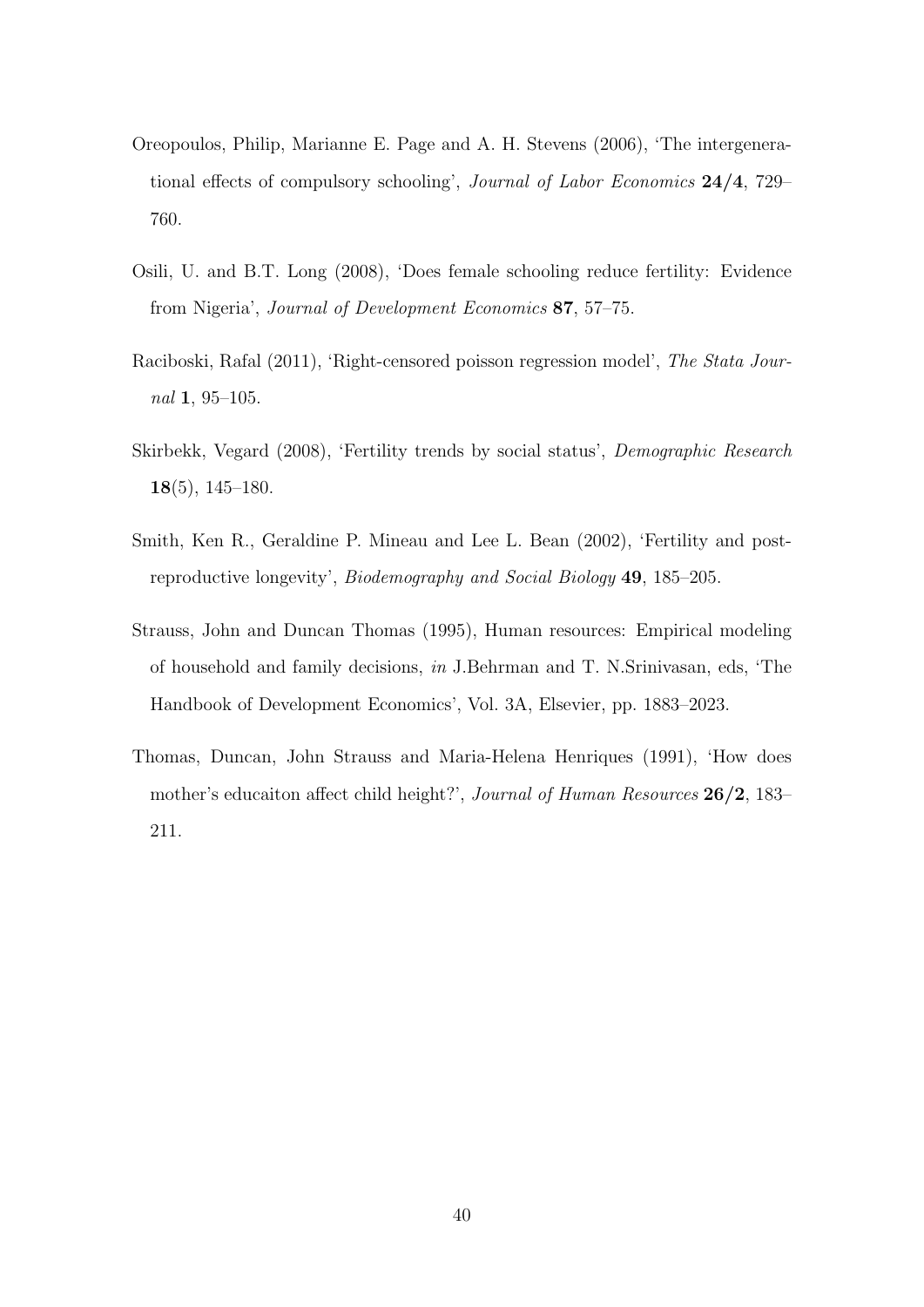- <span id="page-41-4"></span>Oreopoulos, Philip, Marianne E. Page and A. H. Stevens (2006), 'The intergenerational effects of compulsory schooling', Journal of Labor Economics 24/4, 729– 760.
- <span id="page-41-3"></span>Osili, U. and B.T. Long (2008), 'Does female schooling reduce fertility: Evidence from Nigeria', Journal of Development Economics 87, 57–75.
- <span id="page-41-6"></span>Raciboski, Rafal (2011), 'Right-censored poisson regression model', The Stata Journal 1, 95–105.
- <span id="page-41-0"></span>Skirbekk, Vegard (2008), 'Fertility trends by social status', Demographic Research 18(5), 145–180.
- <span id="page-41-5"></span>Smith, Ken R., Geraldine P. Mineau and Lee L. Bean (2002), 'Fertility and postreproductive longevity', Biodemography and Social Biology 49, 185–205.
- <span id="page-41-1"></span>Strauss, John and Duncan Thomas (1995), Human resources: Empirical modeling of household and family decisions, in J.Behrman and T. N.Srinivasan, eds, 'The Handbook of Development Economics', Vol. 3A, Elsevier, pp. 1883–2023.
- <span id="page-41-2"></span>Thomas, Duncan, John Strauss and Maria-Helena Henriques (1991), 'How does mother's educaiton affect child height?', Journal of Human Resources 26/2, 183– 211.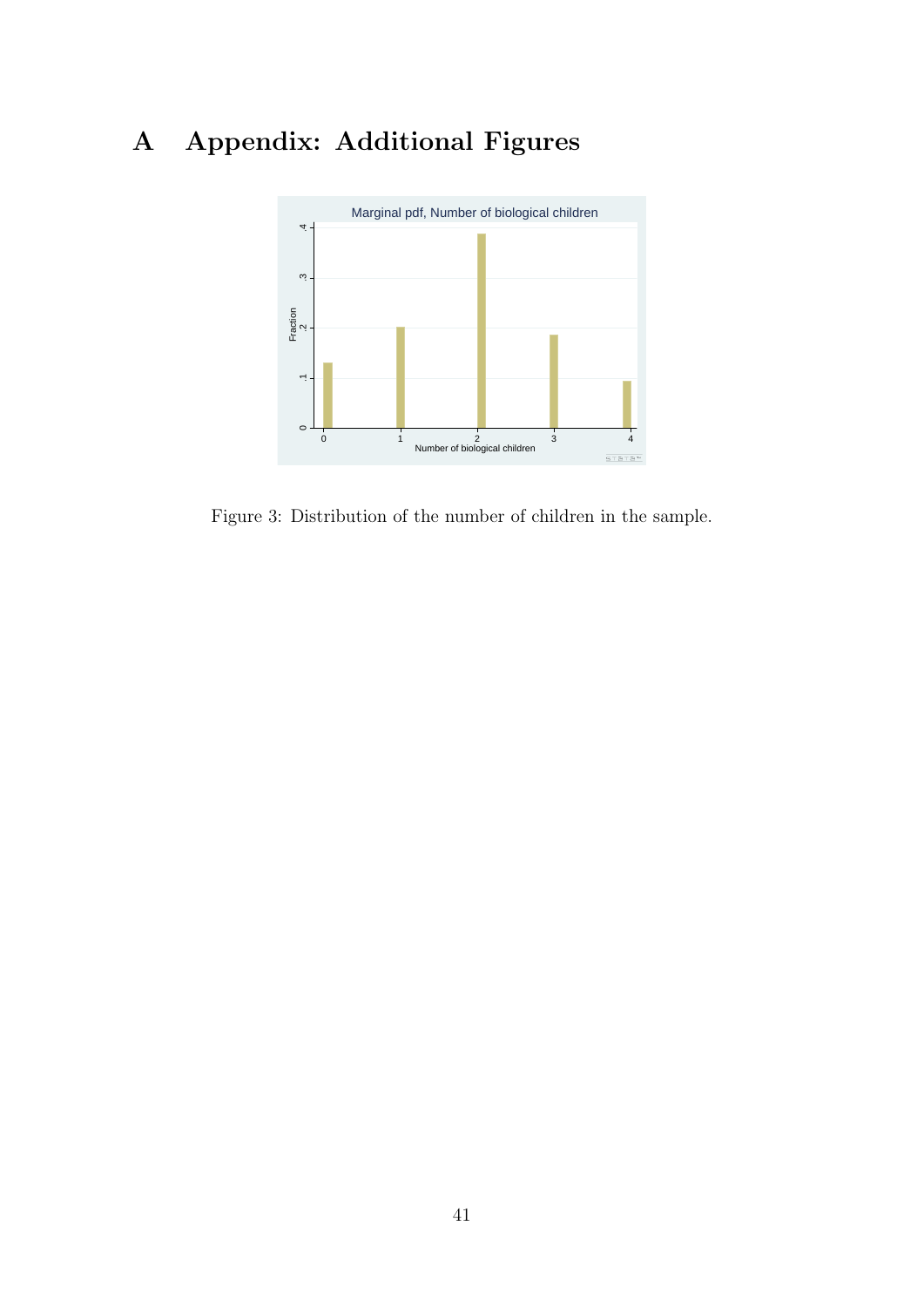## A Appendix: Additional Figures



<span id="page-42-0"></span>Figure 3: Distribution of the number of children in the sample.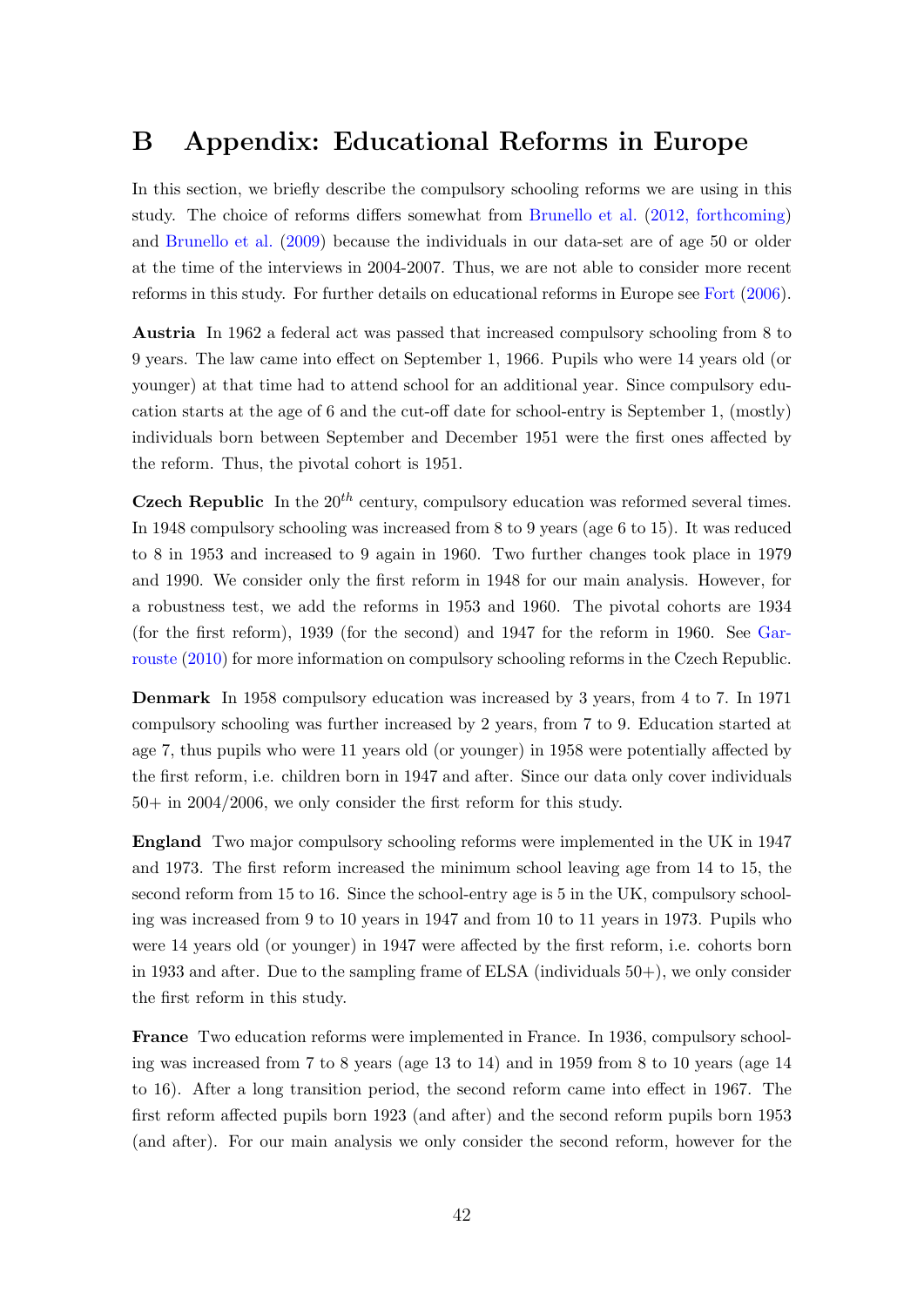## B Appendix: Educational Reforms in Europe

In this section, we briefly describe the compulsory schooling reforms we are using in this study. The choice of reforms differs somewhat from [Brunello et al.](#page-38-7) [\(2012, forthcoming\)](#page-38-7) and [Brunello et al.](#page-38-6) [\(2009\)](#page-38-6) because the individuals in our data-set are of age 50 or older at the time of the interviews in 2004-2007. Thus, we are not able to consider more recent reforms in this study. For further details on educational reforms in Europe see [Fort](#page-39-7) [\(2006\)](#page-39-7).

Austria In 1962 a federal act was passed that increased compulsory schooling from 8 to 9 years. The law came into effect on September 1, 1966. Pupils who were 14 years old (or younger) at that time had to attend school for an additional year. Since compulsory education starts at the age of 6 and the cut-off date for school-entry is September 1, (mostly) individuals born between September and December 1951 were the first ones affected by the reform. Thus, the pivotal cohort is 1951.

**Czech Republic** In the  $20^{th}$  century, compulsory education was reformed several times. In 1948 compulsory schooling was increased from 8 to 9 years (age 6 to 15). It was reduced to 8 in 1953 and increased to 9 again in 1960. Two further changes took place in 1979 and 1990. We consider only the first reform in 1948 for our main analysis. However, for a robustness test, we add the reforms in 1953 and 1960. The pivotal cohorts are 1934 (for the first reform), 1939 (for the second) and 1947 for the reform in 1960. See [Gar](#page-39-8)[rouste](#page-39-8) [\(2010\)](#page-39-8) for more information on compulsory schooling reforms in the Czech Republic.

Denmark In 1958 compulsory education was increased by 3 years, from 4 to 7. In 1971 compulsory schooling was further increased by 2 years, from 7 to 9. Education started at age 7, thus pupils who were 11 years old (or younger) in 1958 were potentially affected by the first reform, i.e. children born in 1947 and after. Since our data only cover individuals 50+ in 2004/2006, we only consider the first reform for this study.

England Two major compulsory schooling reforms were implemented in the UK in 1947 and 1973. The first reform increased the minimum school leaving age from 14 to 15, the second reform from 15 to 16. Since the school-entry age is 5 in the UK, compulsory schooling was increased from 9 to 10 years in 1947 and from 10 to 11 years in 1973. Pupils who were 14 years old (or younger) in 1947 were affected by the first reform, i.e. cohorts born in 1933 and after. Due to the sampling frame of ELSA (individuals  $50+$ ), we only consider the first reform in this study.

France Two education reforms were implemented in France. In 1936, compulsory schooling was increased from 7 to 8 years (age 13 to 14) and in 1959 from 8 to 10 years (age 14 to 16). After a long transition period, the second reform came into effect in 1967. The first reform affected pupils born 1923 (and after) and the second reform pupils born 1953 (and after). For our main analysis we only consider the second reform, however for the